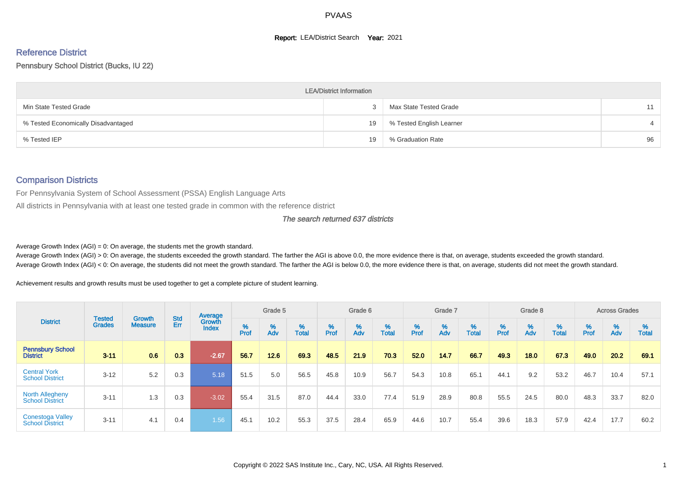#### **Report: LEA/District Search Year: 2021**

# Reference District

#### Pennsbury School District (Bucks, IU 22)

|                                     | <b>LEA/District Information</b> |                          |    |
|-------------------------------------|---------------------------------|--------------------------|----|
| Min State Tested Grade              |                                 | Max State Tested Grade   | 11 |
| % Tested Economically Disadvantaged | 19                              | % Tested English Learner |    |
| % Tested IEP                        | 19                              | % Graduation Rate        | 96 |

#### Comparison Districts

For Pennsylvania System of School Assessment (PSSA) English Language Arts

All districts in Pennsylvania with at least one tested grade in common with the reference district

#### The search returned 637 districts

Average Growth Index  $(AGI) = 0$ : On average, the students met the growth standard.

Average Growth Index (AGI) > 0: On average, the students exceeded the growth standard. The farther the AGI is above 0.0, the more evidence there is that, on average, students exceeded the growth standard. Average Growth Index (AGI) < 0: On average, the students did not meet the growth standard. The farther the AGI is below 0.0, the more evidence there is that, on average, students did not meet the growth standard.

Achievement results and growth results must be used together to get a complete picture of student learning.

|                                                   |                                |                                 |                   | Average                |           | Grade 5  |                   |        | Grade 6  |                   |           | Grade 7  |                   |           | Grade 8  |                   |           | <b>Across Grades</b> |                   |
|---------------------------------------------------|--------------------------------|---------------------------------|-------------------|------------------------|-----------|----------|-------------------|--------|----------|-------------------|-----------|----------|-------------------|-----------|----------|-------------------|-----------|----------------------|-------------------|
| <b>District</b>                                   | <b>Tested</b><br><b>Grades</b> | <b>Growth</b><br><b>Measure</b> | <b>Std</b><br>Err | Growth<br><b>Index</b> | %<br>Prof | %<br>Adv | %<br><b>Total</b> | % Pref | %<br>Adv | %<br><b>Total</b> | %<br>Prof | %<br>Adv | %<br><b>Total</b> | %<br>Prof | %<br>Adv | %<br><b>Total</b> | %<br>Prof | %<br>Adv             | %<br><b>Total</b> |
| <b>Pennsbury School</b><br><b>District</b>        | $3 - 11$                       | 0.6                             | 0.3               | $-2.67$                | 56.7      | 12.6     | 69.3              | 48.5   | 21.9     | 70.3              | 52.0      | 147      | 66.7              | 49.3      | 18.0     | 67.3              | 49.0      | 20.2                 | 69.1              |
| <b>Central York</b><br><b>School District</b>     | $3 - 12$                       | 5.2                             | 0.3               | 5.18                   | 51.5      | 5.0      | 56.5              | 45.8   | 10.9     | 56.7              | 54.3      | 10.8     | 65.1              | 44.1      | 9.2      | 53.2              | 46.7      | 10.4                 | 57.1              |
| <b>North Allegheny</b><br><b>School District</b>  | $3 - 11$                       | 1.3                             | 0.3               | $-3.02$                | 55.4      | 31.5     | 87.0              | 44.4   | 33.0     | 77.4              | 51.9      | 28.9     | 80.8              | 55.5      | 24.5     | 80.0              | 48.3      | 33.7                 | 82.0              |
| <b>Conestoga Valley</b><br><b>School District</b> | $3 - 11$                       | 4.1                             | 0.4               | 1.56                   | 45.1      | 10.2     | 55.3              | 37.5   | 28.4     | 65.9              | 44.6      | 10.7     | 55.4              | 39.6      | 18.3     | 57.9              | 42.4      | 17.7                 | 60.2              |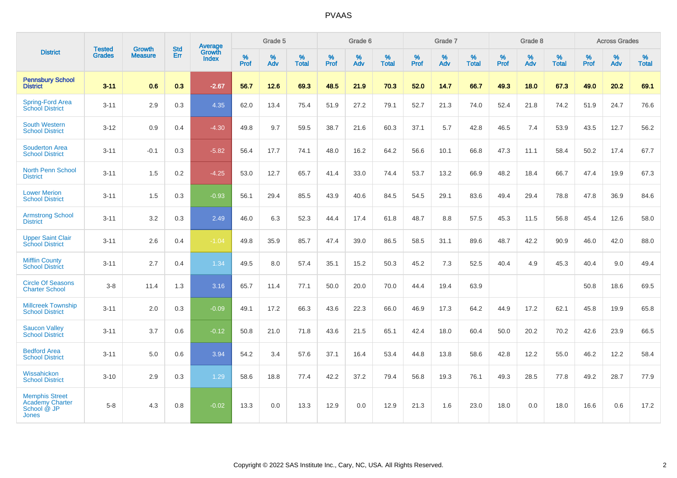|                                                                         |                                |                                 | <b>Std</b> | <b>Average</b>         |           | Grade 5  |                   |           | Grade 6  |                   |           | Grade 7  |                   |           | Grade 8  |                   |                  | <b>Across Grades</b> |                   |
|-------------------------------------------------------------------------|--------------------------------|---------------------------------|------------|------------------------|-----------|----------|-------------------|-----------|----------|-------------------|-----------|----------|-------------------|-----------|----------|-------------------|------------------|----------------------|-------------------|
| <b>District</b>                                                         | <b>Tested</b><br><b>Grades</b> | <b>Growth</b><br><b>Measure</b> | Err        | <b>Growth</b><br>Index | %<br>Prof | %<br>Adv | %<br><b>Total</b> | %<br>Prof | %<br>Adv | %<br><b>Total</b> | %<br>Prof | %<br>Adv | %<br><b>Total</b> | %<br>Prof | %<br>Adv | %<br><b>Total</b> | %<br><b>Prof</b> | %<br>Adv             | %<br><b>Total</b> |
| <b>Pennsbury School</b><br><b>District</b>                              | $3 - 11$                       | 0.6                             | 0.3        | $-2.67$                | 56.7      | 12.6     | 69.3              | 48.5      | 21.9     | 70.3              | 52.0      | 14.7     | 66.7              | 49.3      | 18.0     | 67.3              | 49.0             | 20.2                 | 69.1              |
| <b>Spring-Ford Area</b><br>School District                              | $3 - 11$                       | 2.9                             | 0.3        | 4.35                   | 62.0      | 13.4     | 75.4              | 51.9      | 27.2     | 79.1              | 52.7      | 21.3     | 74.0              | 52.4      | 21.8     | 74.2              | 51.9             | 24.7                 | 76.6              |
| <b>South Western</b><br><b>School District</b>                          | $3 - 12$                       | 0.9                             | 0.4        | $-4.30$                | 49.8      | 9.7      | 59.5              | 38.7      | 21.6     | 60.3              | 37.1      | 5.7      | 42.8              | 46.5      | 7.4      | 53.9              | 43.5             | 12.7                 | 56.2              |
| <b>Souderton Area</b><br><b>School District</b>                         | $3 - 11$                       | $-0.1$                          | 0.3        | $-5.82$                | 56.4      | 17.7     | 74.1              | 48.0      | 16.2     | 64.2              | 56.6      | 10.1     | 66.8              | 47.3      | 11.1     | 58.4              | 50.2             | 17.4                 | 67.7              |
| <b>North Penn School</b><br><b>District</b>                             | $3 - 11$                       | 1.5                             | 0.2        | $-4.25$                | 53.0      | 12.7     | 65.7              | 41.4      | 33.0     | 74.4              | 53.7      | 13.2     | 66.9              | 48.2      | 18.4     | 66.7              | 47.4             | 19.9                 | 67.3              |
| <b>Lower Merion</b><br><b>School District</b>                           | $3 - 11$                       | 1.5                             | 0.3        | $-0.93$                | 56.1      | 29.4     | 85.5              | 43.9      | 40.6     | 84.5              | 54.5      | 29.1     | 83.6              | 49.4      | 29.4     | 78.8              | 47.8             | 36.9                 | 84.6              |
| <b>Armstrong School</b><br><b>District</b>                              | $3 - 11$                       | 3.2                             | 0.3        | 2.49                   | 46.0      | 6.3      | 52.3              | 44.4      | 17.4     | 61.8              | 48.7      | 8.8      | 57.5              | 45.3      | 11.5     | 56.8              | 45.4             | 12.6                 | 58.0              |
| <b>Upper Saint Clair</b><br><b>School District</b>                      | $3 - 11$                       | 2.6                             | 0.4        | $-1.04$                | 49.8      | 35.9     | 85.7              | 47.4      | 39.0     | 86.5              | 58.5      | 31.1     | 89.6              | 48.7      | 42.2     | 90.9              | 46.0             | 42.0                 | 88.0              |
| <b>Mifflin County</b><br><b>School District</b>                         | $3 - 11$                       | 2.7                             | 0.4        | 1.34                   | 49.5      | 8.0      | 57.4              | 35.1      | 15.2     | 50.3              | 45.2      | 7.3      | 52.5              | 40.4      | 4.9      | 45.3              | 40.4             | 9.0                  | 49.4              |
| <b>Circle Of Seasons</b><br><b>Charter School</b>                       | $3 - 8$                        | 11.4                            | 1.3        | 3.16                   | 65.7      | 11.4     | 77.1              | 50.0      | 20.0     | 70.0              | 44.4      | 19.4     | 63.9              |           |          |                   | 50.8             | 18.6                 | 69.5              |
| <b>Millcreek Township</b><br><b>School District</b>                     | $3 - 11$                       | 2.0                             | 0.3        | $-0.09$                | 49.1      | 17.2     | 66.3              | 43.6      | 22.3     | 66.0              | 46.9      | 17.3     | 64.2              | 44.9      | 17.2     | 62.1              | 45.8             | 19.9                 | 65.8              |
| <b>Saucon Valley</b><br><b>School District</b>                          | $3 - 11$                       | 3.7                             | 0.6        | $-0.12$                | 50.8      | 21.0     | 71.8              | 43.6      | 21.5     | 65.1              | 42.4      | 18.0     | 60.4              | 50.0      | 20.2     | 70.2              | 42.6             | 23.9                 | 66.5              |
| <b>Bedford Area</b><br><b>School District</b>                           | $3 - 11$                       | 5.0                             | 0.6        | 3.94                   | 54.2      | 3.4      | 57.6              | 37.1      | 16.4     | 53.4              | 44.8      | 13.8     | 58.6              | 42.8      | 12.2     | 55.0              | 46.2             | 12.2                 | 58.4              |
| Wissahickon<br><b>School District</b>                                   | $3 - 10$                       | 2.9                             | 0.3        | 1.29                   | 58.6      | 18.8     | 77.4              | 42.2      | 37.2     | 79.4              | 56.8      | 19.3     | 76.1              | 49.3      | 28.5     | 77.8              | 49.2             | 28.7                 | 77.9              |
| <b>Memphis Street</b><br>Academy Charter<br>School @ JP<br><b>Jones</b> | $5 - 8$                        | 4.3                             | 0.8        | $-0.02$                | 13.3      | 0.0      | 13.3              | 12.9      | 0.0      | 12.9              | 21.3      | 1.6      | 23.0              | 18.0      | 0.0      | 18.0              | 16.6             | 0.6                  | 17.2              |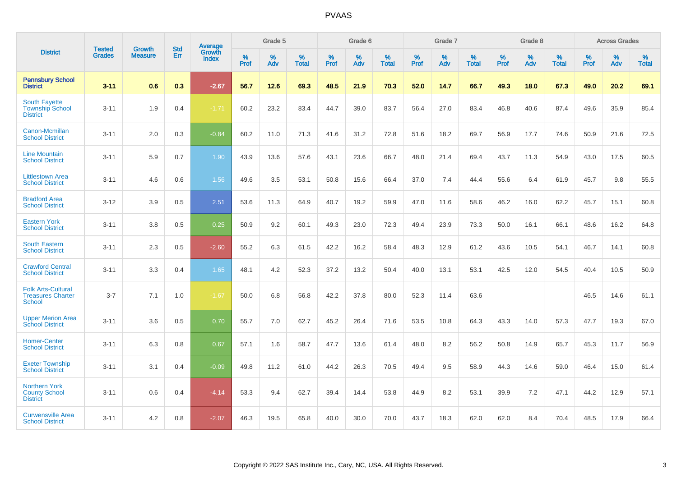|                                                                        | <b>Tested</b> | <b>Growth</b>  | <b>Std</b> | <b>Average</b>                |           | Grade 5  |                   |           | Grade 6  |                   |           | Grade 7  |                   |           | Grade 8  |                   |           | <b>Across Grades</b> |                   |
|------------------------------------------------------------------------|---------------|----------------|------------|-------------------------------|-----------|----------|-------------------|-----------|----------|-------------------|-----------|----------|-------------------|-----------|----------|-------------------|-----------|----------------------|-------------------|
| <b>District</b>                                                        | <b>Grades</b> | <b>Measure</b> | Err        | <b>Growth</b><br><b>Index</b> | %<br>Prof | %<br>Adv | %<br><b>Total</b> | %<br>Prof | %<br>Adv | %<br><b>Total</b> | %<br>Prof | %<br>Adv | %<br><b>Total</b> | %<br>Prof | %<br>Adv | %<br><b>Total</b> | %<br>Prof | %<br>Adv             | %<br><b>Total</b> |
| <b>Pennsbury School</b><br><b>District</b>                             | $3 - 11$      | 0.6            | 0.3        | $-2.67$                       | 56.7      | 12.6     | 69.3              | 48.5      | 21.9     | 70.3              | 52.0      | 14.7     | 66.7              | 49.3      | 18.0     | 67.3              | 49.0      | 20.2                 | 69.1              |
| <b>South Fayette</b><br><b>Township School</b><br><b>District</b>      | $3 - 11$      | 1.9            | 0.4        | $-1.71$                       | 60.2      | 23.2     | 83.4              | 44.7      | 39.0     | 83.7              | 56.4      | 27.0     | 83.4              | 46.8      | 40.6     | 87.4              | 49.6      | 35.9                 | 85.4              |
| Canon-Mcmillan<br><b>School District</b>                               | $3 - 11$      | 2.0            | 0.3        | $-0.84$                       | 60.2      | 11.0     | 71.3              | 41.6      | 31.2     | 72.8              | 51.6      | 18.2     | 69.7              | 56.9      | 17.7     | 74.6              | 50.9      | 21.6                 | 72.5              |
| <b>Line Mountain</b><br><b>School District</b>                         | $3 - 11$      | 5.9            | 0.7        | 1.90                          | 43.9      | 13.6     | 57.6              | 43.1      | 23.6     | 66.7              | 48.0      | 21.4     | 69.4              | 43.7      | 11.3     | 54.9              | 43.0      | 17.5                 | 60.5              |
| <b>Littlestown Area</b><br><b>School District</b>                      | $3 - 11$      | 4.6            | 0.6        | 1.56                          | 49.6      | 3.5      | 53.1              | 50.8      | 15.6     | 66.4              | 37.0      | 7.4      | 44.4              | 55.6      | 6.4      | 61.9              | 45.7      | 9.8                  | 55.5              |
| <b>Bradford Area</b><br><b>School District</b>                         | $3 - 12$      | 3.9            | 0.5        | 2.51                          | 53.6      | 11.3     | 64.9              | 40.7      | 19.2     | 59.9              | 47.0      | 11.6     | 58.6              | 46.2      | 16.0     | 62.2              | 45.7      | 15.1                 | 60.8              |
| <b>Eastern York</b><br><b>School District</b>                          | $3 - 11$      | 3.8            | 0.5        | 0.25                          | 50.9      | 9.2      | 60.1              | 49.3      | 23.0     | 72.3              | 49.4      | 23.9     | 73.3              | 50.0      | 16.1     | 66.1              | 48.6      | 16.2                 | 64.8              |
| <b>South Eastern</b><br><b>School District</b>                         | $3 - 11$      | 2.3            | 0.5        | $-2.60$                       | 55.2      | 6.3      | 61.5              | 42.2      | 16.2     | 58.4              | 48.3      | 12.9     | 61.2              | 43.6      | 10.5     | 54.1              | 46.7      | 14.1                 | 60.8              |
| <b>Crawford Central</b><br><b>School District</b>                      | $3 - 11$      | 3.3            | 0.4        | 1.65                          | 48.1      | 4.2      | 52.3              | 37.2      | 13.2     | 50.4              | 40.0      | 13.1     | 53.1              | 42.5      | 12.0     | 54.5              | 40.4      | 10.5                 | 50.9              |
| <b>Folk Arts-Cultural</b><br><b>Treasures Charter</b><br><b>School</b> | $3 - 7$       | 7.1            | 1.0        | $-1.67$                       | 50.0      | 6.8      | 56.8              | 42.2      | 37.8     | 80.0              | 52.3      | 11.4     | 63.6              |           |          |                   | 46.5      | 14.6                 | 61.1              |
| <b>Upper Merion Area</b><br><b>School District</b>                     | $3 - 11$      | 3.6            | 0.5        | 0.70                          | 55.7      | 7.0      | 62.7              | 45.2      | 26.4     | 71.6              | 53.5      | 10.8     | 64.3              | 43.3      | 14.0     | 57.3              | 47.7      | 19.3                 | 67.0              |
| <b>Homer-Center</b><br><b>School District</b>                          | $3 - 11$      | 6.3            | 0.8        | 0.67                          | 57.1      | 1.6      | 58.7              | 47.7      | 13.6     | 61.4              | 48.0      | 8.2      | 56.2              | 50.8      | 14.9     | 65.7              | 45.3      | 11.7                 | 56.9              |
| <b>Exeter Township</b><br><b>School District</b>                       | $3 - 11$      | 3.1            | 0.4        | $-0.09$                       | 49.8      | 11.2     | 61.0              | 44.2      | 26.3     | 70.5              | 49.4      | 9.5      | 58.9              | 44.3      | 14.6     | 59.0              | 46.4      | 15.0                 | 61.4              |
| <b>Northern York</b><br><b>County School</b><br><b>District</b>        | $3 - 11$      | 0.6            | 0.4        | $-4.14$                       | 53.3      | 9.4      | 62.7              | 39.4      | 14.4     | 53.8              | 44.9      | 8.2      | 53.1              | 39.9      | 7.2      | 47.1              | 44.2      | 12.9                 | 57.1              |
| <b>Curwensville Area</b><br><b>School District</b>                     | $3 - 11$      | 4.2            | 0.8        | $-2.07$                       | 46.3      | 19.5     | 65.8              | 40.0      | 30.0     | 70.0              | 43.7      | 18.3     | 62.0              | 62.0      | 8.4      | 70.4              | 48.5      | 17.9                 | 66.4              |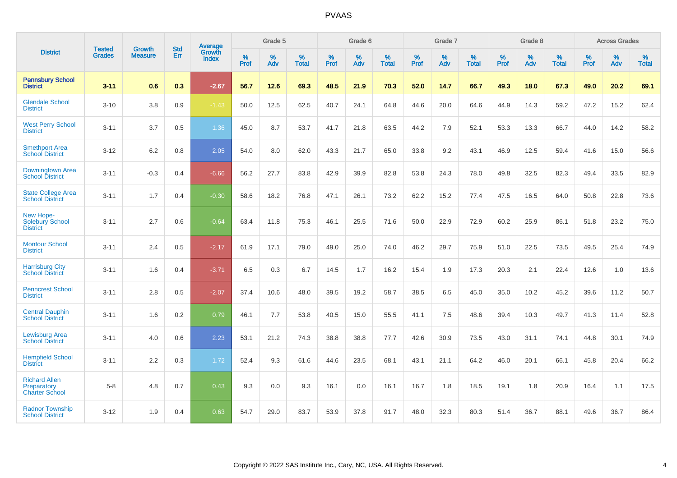| <b>District</b>                                              | <b>Tested</b> | <b>Growth</b>  | <b>Std</b> | <b>Average</b>         |           | Grade 5  |                   |           | Grade 6  |                   |           | Grade 7  |                   |           | Grade 8  |                   |           | <b>Across Grades</b> |                   |
|--------------------------------------------------------------|---------------|----------------|------------|------------------------|-----------|----------|-------------------|-----------|----------|-------------------|-----------|----------|-------------------|-----------|----------|-------------------|-----------|----------------------|-------------------|
|                                                              | <b>Grades</b> | <b>Measure</b> | Err        | Growth<br><b>Index</b> | %<br>Prof | %<br>Adv | %<br><b>Total</b> | %<br>Prof | %<br>Adv | %<br><b>Total</b> | %<br>Prof | %<br>Adv | %<br><b>Total</b> | %<br>Prof | %<br>Adv | %<br><b>Total</b> | %<br>Prof | %<br>Adv             | %<br><b>Total</b> |
| <b>Pennsbury School</b><br><b>District</b>                   | $3 - 11$      | 0.6            | 0.3        | $-2.67$                | 56.7      | 12.6     | 69.3              | 48.5      | 21.9     | 70.3              | 52.0      | 14.7     | 66.7              | 49.3      | 18.0     | 67.3              | 49.0      | 20.2                 | 69.1              |
| <b>Glendale School</b><br><b>District</b>                    | $3 - 10$      | 3.8            | 0.9        | $-1.43$                | 50.0      | 12.5     | 62.5              | 40.7      | 24.1     | 64.8              | 44.6      | 20.0     | 64.6              | 44.9      | 14.3     | 59.2              | 47.2      | 15.2                 | 62.4              |
| <b>West Perry School</b><br><b>District</b>                  | $3 - 11$      | 3.7            | 0.5        | 1.36                   | 45.0      | 8.7      | 53.7              | 41.7      | 21.8     | 63.5              | 44.2      | 7.9      | 52.1              | 53.3      | 13.3     | 66.7              | 44.0      | 14.2                 | 58.2              |
| <b>Smethport Area</b><br><b>School District</b>              | $3 - 12$      | 6.2            | 0.8        | 2.05                   | 54.0      | 8.0      | 62.0              | 43.3      | 21.7     | 65.0              | 33.8      | 9.2      | 43.1              | 46.9      | 12.5     | 59.4              | 41.6      | 15.0                 | 56.6              |
| Downingtown Area<br><b>School District</b>                   | $3 - 11$      | $-0.3$         | 0.4        | $-6.66$                | 56.2      | 27.7     | 83.8              | 42.9      | 39.9     | 82.8              | 53.8      | 24.3     | 78.0              | 49.8      | 32.5     | 82.3              | 49.4      | 33.5                 | 82.9              |
| <b>State College Area</b><br><b>School District</b>          | $3 - 11$      | 1.7            | 0.4        | $-0.30$                | 58.6      | 18.2     | 76.8              | 47.1      | 26.1     | 73.2              | 62.2      | 15.2     | 77.4              | 47.5      | 16.5     | 64.0              | 50.8      | 22.8                 | 73.6              |
| New Hope-<br>Solebury School<br><b>District</b>              | $3 - 11$      | 2.7            | 0.6        | $-0.64$                | 63.4      | 11.8     | 75.3              | 46.1      | 25.5     | 71.6              | 50.0      | 22.9     | 72.9              | 60.2      | 25.9     | 86.1              | 51.8      | 23.2                 | 75.0              |
| <b>Montour School</b><br><b>District</b>                     | $3 - 11$      | 2.4            | 0.5        | $-2.17$                | 61.9      | 17.1     | 79.0              | 49.0      | 25.0     | 74.0              | 46.2      | 29.7     | 75.9              | 51.0      | 22.5     | 73.5              | 49.5      | 25.4                 | 74.9              |
| <b>Harrisburg City</b><br><b>School District</b>             | $3 - 11$      | 1.6            | 0.4        | $-3.71$                | 6.5       | 0.3      | 6.7               | 14.5      | 1.7      | 16.2              | 15.4      | 1.9      | 17.3              | 20.3      | 2.1      | 22.4              | 12.6      | 1.0                  | 13.6              |
| <b>Penncrest School</b><br><b>District</b>                   | $3 - 11$      | 2.8            | 0.5        | $-2.07$                | 37.4      | 10.6     | 48.0              | 39.5      | 19.2     | 58.7              | 38.5      | 6.5      | 45.0              | 35.0      | 10.2     | 45.2              | 39.6      | 11.2                 | 50.7              |
| <b>Central Dauphin</b><br><b>School District</b>             | $3 - 11$      | 1.6            | 0.2        | 0.79                   | 46.1      | 7.7      | 53.8              | 40.5      | 15.0     | 55.5              | 41.1      | 7.5      | 48.6              | 39.4      | 10.3     | 49.7              | 41.3      | 11.4                 | 52.8              |
| <b>Lewisburg Area</b><br><b>School District</b>              | $3 - 11$      | 4.0            | 0.6        | 2.23                   | 53.1      | 21.2     | 74.3              | 38.8      | 38.8     | 77.7              | 42.6      | 30.9     | 73.5              | 43.0      | 31.1     | 74.1              | 44.8      | 30.1                 | 74.9              |
| <b>Hempfield School</b><br><b>District</b>                   | $3 - 11$      | 2.2            | 0.3        | 1.72                   | 52.4      | 9.3      | 61.6              | 44.6      | 23.5     | 68.1              | 43.1      | 21.1     | 64.2              | 46.0      | 20.1     | 66.1              | 45.8      | 20.4                 | 66.2              |
| <b>Richard Allen</b><br>Preparatory<br><b>Charter School</b> | $5 - 8$       | 4.8            | 0.7        | 0.43                   | 9.3       | 0.0      | 9.3               | 16.1      | 0.0      | 16.1              | 16.7      | 1.8      | 18.5              | 19.1      | 1.8      | 20.9              | 16.4      | 1.1                  | 17.5              |
| <b>Radnor Township</b><br><b>School District</b>             | $3 - 12$      | 1.9            | 0.4        | 0.63                   | 54.7      | 29.0     | 83.7              | 53.9      | 37.8     | 91.7              | 48.0      | 32.3     | 80.3              | 51.4      | 36.7     | 88.1              | 49.6      | 36.7                 | 86.4              |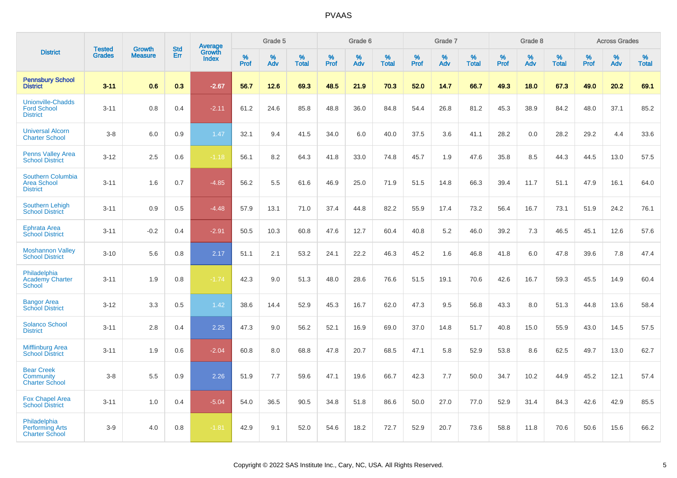|                                                                   |                                |                                 | <b>Std</b> | <b>Average</b>         |                  | Grade 5  |                   |           | Grade 6  |                   |           | Grade 7  |                   |           | Grade 8  |                   |           | <b>Across Grades</b> |                   |
|-------------------------------------------------------------------|--------------------------------|---------------------------------|------------|------------------------|------------------|----------|-------------------|-----------|----------|-------------------|-----------|----------|-------------------|-----------|----------|-------------------|-----------|----------------------|-------------------|
| <b>District</b>                                                   | <b>Tested</b><br><b>Grades</b> | <b>Growth</b><br><b>Measure</b> | Err        | Growth<br><b>Index</b> | %<br><b>Prof</b> | %<br>Adv | %<br><b>Total</b> | %<br>Prof | %<br>Adv | %<br><b>Total</b> | %<br>Prof | %<br>Adv | %<br><b>Total</b> | %<br>Prof | %<br>Adv | %<br><b>Total</b> | %<br>Prof | %<br>Adv             | %<br><b>Total</b> |
| <b>Pennsbury School</b><br><b>District</b>                        | $3 - 11$                       | 0.6                             | 0.3        | $-2.67$                | 56.7             | 12.6     | 69.3              | 48.5      | 21.9     | 70.3              | 52.0      | 14.7     | 66.7              | 49.3      | 18.0     | 67.3              | 49.0      | 20.2                 | 69.1              |
| <b>Unionville-Chadds</b><br><b>Ford School</b><br><b>District</b> | $3 - 11$                       | 0.8                             | 0.4        | $-2.11$                | 61.2             | 24.6     | 85.8              | 48.8      | 36.0     | 84.8              | 54.4      | 26.8     | 81.2              | 45.3      | 38.9     | 84.2              | 48.0      | 37.1                 | 85.2              |
| <b>Universal Alcorn</b><br><b>Charter School</b>                  | $3-8$                          | 6.0                             | 0.9        | 1.47                   | 32.1             | 9.4      | 41.5              | 34.0      | 6.0      | 40.0              | 37.5      | 3.6      | 41.1              | 28.2      | 0.0      | 28.2              | 29.2      | 4.4                  | 33.6              |
| <b>Penns Valley Area</b><br><b>School District</b>                | $3 - 12$                       | 2.5                             | 0.6        | $-1.18$                | 56.1             | 8.2      | 64.3              | 41.8      | 33.0     | 74.8              | 45.7      | 1.9      | 47.6              | 35.8      | 8.5      | 44.3              | 44.5      | 13.0                 | 57.5              |
| <b>Southern Columbia</b><br><b>Area School</b><br><b>District</b> | $3 - 11$                       | 1.6                             | 0.7        | $-4.85$                | 56.2             | 5.5      | 61.6              | 46.9      | 25.0     | 71.9              | 51.5      | 14.8     | 66.3              | 39.4      | 11.7     | 51.1              | 47.9      | 16.1                 | 64.0              |
| Southern Lehigh<br><b>School District</b>                         | $3 - 11$                       | 0.9                             | 0.5        | $-4.48$                | 57.9             | 13.1     | 71.0              | 37.4      | 44.8     | 82.2              | 55.9      | 17.4     | 73.2              | 56.4      | 16.7     | 73.1              | 51.9      | 24.2                 | 76.1              |
| <b>Ephrata Area</b><br><b>School District</b>                     | $3 - 11$                       | $-0.2$                          | 0.4        | $-2.91$                | 50.5             | 10.3     | 60.8              | 47.6      | 12.7     | 60.4              | 40.8      | 5.2      | 46.0              | 39.2      | 7.3      | 46.5              | 45.1      | 12.6                 | 57.6              |
| <b>Moshannon Valley</b><br><b>School District</b>                 | $3 - 10$                       | 5.6                             | 0.8        | 2.17                   | 51.1             | 2.1      | 53.2              | 24.1      | 22.2     | 46.3              | 45.2      | 1.6      | 46.8              | 41.8      | 6.0      | 47.8              | 39.6      | 7.8                  | 47.4              |
| Philadelphia<br><b>Academy Charter</b><br><b>School</b>           | $3 - 11$                       | 1.9                             | 0.8        | $-1.74$                | 42.3             | 9.0      | 51.3              | 48.0      | 28.6     | 76.6              | 51.5      | 19.1     | 70.6              | 42.6      | 16.7     | 59.3              | 45.5      | 14.9                 | 60.4              |
| <b>Bangor Area</b><br><b>School District</b>                      | $3 - 12$                       | 3.3                             | 0.5        | 1.42                   | 38.6             | 14.4     | 52.9              | 45.3      | 16.7     | 62.0              | 47.3      | 9.5      | 56.8              | 43.3      | 8.0      | 51.3              | 44.8      | 13.6                 | 58.4              |
| <b>Solanco School</b><br><b>District</b>                          | $3 - 11$                       | 2.8                             | 0.4        | 2.25                   | 47.3             | 9.0      | 56.2              | 52.1      | 16.9     | 69.0              | 37.0      | 14.8     | 51.7              | 40.8      | 15.0     | 55.9              | 43.0      | 14.5                 | 57.5              |
| <b>Mifflinburg Area</b><br><b>School District</b>                 | $3 - 11$                       | 1.9                             | 0.6        | $-2.04$                | 60.8             | 8.0      | 68.8              | 47.8      | 20.7     | 68.5              | 47.1      | 5.8      | 52.9              | 53.8      | 8.6      | 62.5              | 49.7      | 13.0                 | 62.7              |
| <b>Bear Creek</b><br>Community<br><b>Charter School</b>           | $3 - 8$                        | 5.5                             | 0.9        | 2.26                   | 51.9             | 7.7      | 59.6              | 47.1      | 19.6     | 66.7              | 42.3      | 7.7      | 50.0              | 34.7      | 10.2     | 44.9              | 45.2      | 12.1                 | 57.4              |
| <b>Fox Chapel Area</b><br><b>School District</b>                  | $3 - 11$                       | 1.0                             | 0.4        | $-5.04$                | 54.0             | 36.5     | 90.5              | 34.8      | 51.8     | 86.6              | 50.0      | 27.0     | 77.0              | 52.9      | 31.4     | 84.3              | 42.6      | 42.9                 | 85.5              |
| Philadelphia<br><b>Performing Arts</b><br><b>Charter School</b>   | $3-9$                          | 4.0                             | 0.8        | $-1.81$                | 42.9             | 9.1      | 52.0              | 54.6      | 18.2     | 72.7              | 52.9      | 20.7     | 73.6              | 58.8      | 11.8     | 70.6              | 50.6      | 15.6                 | 66.2              |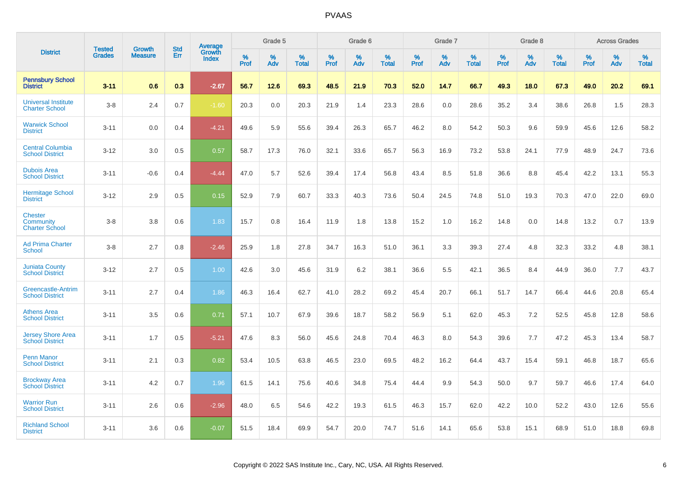|                                                      | <b>Tested</b> | <b>Growth</b>  | <b>Std</b> | Average                |              | Grade 5  |                   |              | Grade 6  |                   |              | Grade 7  |                   |              | Grade 8     |                   |              | <b>Across Grades</b> |                   |
|------------------------------------------------------|---------------|----------------|------------|------------------------|--------------|----------|-------------------|--------------|----------|-------------------|--------------|----------|-------------------|--------------|-------------|-------------------|--------------|----------------------|-------------------|
| <b>District</b>                                      | <b>Grades</b> | <b>Measure</b> | Err        | Growth<br><b>Index</b> | $\%$<br>Prof | %<br>Adv | %<br><b>Total</b> | $\%$<br>Prof | %<br>Adv | %<br><b>Total</b> | $\%$<br>Prof | %<br>Adv | %<br><b>Total</b> | $\%$<br>Prof | $\%$<br>Adv | %<br><b>Total</b> | $\%$<br>Prof | $\%$<br>Adv          | %<br><b>Total</b> |
| <b>Pennsbury School</b><br><b>District</b>           | $3 - 11$      | 0.6            | 0.3        | $-2.67$                | 56.7         | 12.6     | 69.3              | 48.5         | 21.9     | 70.3              | 52.0         | 14.7     | 66.7              | 49.3         | 18.0        | 67.3              | 49.0         | 20.2                 | 69.1              |
| <b>Universal Institute</b><br><b>Charter School</b>  | $3 - 8$       | 2.4            | 0.7        | $-1.60$                | 20.3         | 0.0      | 20.3              | 21.9         | 1.4      | 23.3              | 28.6         | 0.0      | 28.6              | 35.2         | 3.4         | 38.6              | 26.8         | 1.5                  | 28.3              |
| <b>Warwick School</b><br><b>District</b>             | $3 - 11$      | 0.0            | 0.4        | $-4.21$                | 49.6         | 5.9      | 55.6              | 39.4         | 26.3     | 65.7              | 46.2         | 8.0      | 54.2              | 50.3         | 9.6         | 59.9              | 45.6         | 12.6                 | 58.2              |
| <b>Central Columbia</b><br><b>School District</b>    | $3 - 12$      | 3.0            | 0.5        | 0.57                   | 58.7         | 17.3     | 76.0              | 32.1         | 33.6     | 65.7              | 56.3         | 16.9     | 73.2              | 53.8         | 24.1        | 77.9              | 48.9         | 24.7                 | 73.6              |
| <b>Dubois Area</b><br><b>School District</b>         | $3 - 11$      | $-0.6$         | 0.4        | $-4.44$                | 47.0         | 5.7      | 52.6              | 39.4         | 17.4     | 56.8              | 43.4         | 8.5      | 51.8              | 36.6         | 8.8         | 45.4              | 42.2         | 13.1                 | 55.3              |
| <b>Hermitage School</b><br><b>District</b>           | $3 - 12$      | 2.9            | 0.5        | 0.15                   | 52.9         | 7.9      | 60.7              | 33.3         | 40.3     | 73.6              | 50.4         | 24.5     | 74.8              | 51.0         | 19.3        | 70.3              | 47.0         | 22.0                 | 69.0              |
| <b>Chester</b><br>Community<br><b>Charter School</b> | $3 - 8$       | 3.8            | 0.6        | 1.83                   | 15.7         | 0.8      | 16.4              | 11.9         | 1.8      | 13.8              | 15.2         | 1.0      | 16.2              | 14.8         | 0.0         | 14.8              | 13.2         | 0.7                  | 13.9              |
| <b>Ad Prima Charter</b><br>School                    | $3 - 8$       | 2.7            | 0.8        | $-2.46$                | 25.9         | 1.8      | 27.8              | 34.7         | 16.3     | 51.0              | 36.1         | 3.3      | 39.3              | 27.4         | 4.8         | 32.3              | 33.2         | 4.8                  | 38.1              |
| <b>Juniata County</b><br><b>School District</b>      | $3 - 12$      | 2.7            | 0.5        | 1.00                   | 42.6         | 3.0      | 45.6              | 31.9         | 6.2      | 38.1              | 36.6         | 5.5      | 42.1              | 36.5         | 8.4         | 44.9              | 36.0         | 7.7                  | 43.7              |
| Greencastle-Antrim<br><b>School District</b>         | $3 - 11$      | 2.7            | 0.4        | 1.86                   | 46.3         | 16.4     | 62.7              | 41.0         | 28.2     | 69.2              | 45.4         | 20.7     | 66.1              | 51.7         | 14.7        | 66.4              | 44.6         | 20.8                 | 65.4              |
| <b>Athens Area</b><br><b>School District</b>         | $3 - 11$      | 3.5            | 0.6        | 0.71                   | 57.1         | 10.7     | 67.9              | 39.6         | 18.7     | 58.2              | 56.9         | 5.1      | 62.0              | 45.3         | 7.2         | 52.5              | 45.8         | 12.8                 | 58.6              |
| <b>Jersey Shore Area</b><br><b>School District</b>   | $3 - 11$      | 1.7            | 0.5        | $-5.21$                | 47.6         | 8.3      | 56.0              | 45.6         | 24.8     | 70.4              | 46.3         | 8.0      | 54.3              | 39.6         | 7.7         | 47.2              | 45.3         | 13.4                 | 58.7              |
| <b>Penn Manor</b><br><b>School District</b>          | $3 - 11$      | 2.1            | 0.3        | 0.82                   | 53.4         | 10.5     | 63.8              | 46.5         | 23.0     | 69.5              | 48.2         | 16.2     | 64.4              | 43.7         | 15.4        | 59.1              | 46.8         | 18.7                 | 65.6              |
| <b>Brockway Area</b><br><b>School District</b>       | $3 - 11$      | 4.2            | 0.7        | 1.96                   | 61.5         | 14.1     | 75.6              | 40.6         | 34.8     | 75.4              | 44.4         | 9.9      | 54.3              | 50.0         | 9.7         | 59.7              | 46.6         | 17.4                 | 64.0              |
| <b>Warrior Run</b><br><b>School District</b>         | $3 - 11$      | 2.6            | 0.6        | $-2.96$                | 48.0         | 6.5      | 54.6              | 42.2         | 19.3     | 61.5              | 46.3         | 15.7     | 62.0              | 42.2         | 10.0        | 52.2              | 43.0         | 12.6                 | 55.6              |
| <b>Richland School</b><br><b>District</b>            | $3 - 11$      | 3.6            | 0.6        | $-0.07$                | 51.5         | 18.4     | 69.9              | 54.7         | 20.0     | 74.7              | 51.6         | 14.1     | 65.6              | 53.8         | 15.1        | 68.9              | 51.0         | 18.8                 | 69.8              |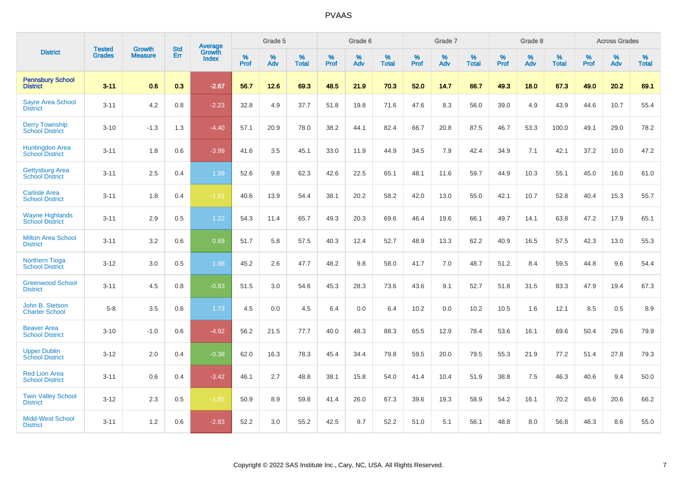|                                                  | <b>Tested</b> | <b>Growth</b>  | <b>Std</b> | Average                |              | Grade 5  |                   |              | Grade 6  |                   |              | Grade 7  |                   |              | Grade 8  |                   |                     | <b>Across Grades</b> |                   |
|--------------------------------------------------|---------------|----------------|------------|------------------------|--------------|----------|-------------------|--------------|----------|-------------------|--------------|----------|-------------------|--------------|----------|-------------------|---------------------|----------------------|-------------------|
| <b>District</b>                                  | <b>Grades</b> | <b>Measure</b> | Err        | Growth<br><b>Index</b> | $\%$<br>Prof | %<br>Adv | %<br><b>Total</b> | $\%$<br>Prof | %<br>Adv | %<br><b>Total</b> | $\%$<br>Prof | %<br>Adv | %<br><b>Total</b> | $\%$<br>Prof | %<br>Adv | %<br><b>Total</b> | $\%$<br><b>Prof</b> | $\%$<br>Adv          | %<br><b>Total</b> |
| <b>Pennsbury School</b><br><b>District</b>       | $3 - 11$      | 0.6            | 0.3        | $-2.67$                | 56.7         | 12.6     | 69.3              | 48.5         | 21.9     | 70.3              | 52.0         | 14.7     | 66.7              | 49.3         | 18.0     | 67.3              | 49.0                | 20.2                 | 69.1              |
| <b>Sayre Area School</b><br><b>District</b>      | $3 - 11$      | 4.2            | 0.8        | $-2.23$                | 32.8         | 4.9      | 37.7              | 51.8         | 19.8     | 71.6              | 47.6         | 8.3      | 56.0              | 39.0         | 4.9      | 43.9              | 44.6                | 10.7                 | 55.4              |
| <b>Derry Township</b><br><b>School District</b>  | $3 - 10$      | $-1.3$         | 1.3        | $-4.40$                | 57.1         | 20.9     | 78.0              | 38.2         | 44.1     | 82.4              | 66.7         | 20.8     | 87.5              | 46.7         | 53.3     | 100.0             | 49.1                | 29.0                 | 78.2              |
| Huntingdon Area<br>School District               | $3 - 11$      | 1.8            | 0.6        | $-3.99$                | 41.6         | 3.5      | 45.1              | 33.0         | 11.9     | 44.9              | 34.5         | 7.9      | 42.4              | 34.9         | 7.1      | 42.1              | 37.2                | 10.0                 | 47.2              |
| <b>Gettysburg Area</b><br><b>School District</b> | $3 - 11$      | 2.5            | 0.4        | 1.99                   | 52.6         | 9.8      | 62.3              | 42.6         | 22.5     | 65.1              | 48.1         | 11.6     | 59.7              | 44.9         | 10.3     | 55.1              | 45.0                | 16.0                 | 61.0              |
| <b>Carlisle Area</b><br><b>School District</b>   | $3 - 11$      | 1.8            | 0.4        | $-1.81$                | 40.6         | 13.9     | 54.4              | 38.1         | 20.2     | 58.2              | 42.0         | 13.0     | 55.0              | 42.1         | 10.7     | 52.8              | 40.4                | 15.3                 | 55.7              |
| <b>Wayne Highlands</b><br><b>School District</b> | $3 - 11$      | 2.9            | 0.5        | 1.22                   | 54.3         | 11.4     | 65.7              | 49.3         | 20.3     | 69.6              | 46.4         | 19.6     | 66.1              | 49.7         | 14.1     | 63.8              | 47.2                | 17.9                 | 65.1              |
| <b>Milton Area School</b><br><b>District</b>     | $3 - 11$      | 3.2            | 0.6        | 0.69                   | 51.7         | 5.8      | 57.5              | 40.3         | 12.4     | 52.7              | 48.9         | 13.3     | 62.2              | 40.9         | 16.5     | 57.5              | 42.3                | 13.0                 | 55.3              |
| <b>Northern Tioga</b><br><b>School District</b>  | $3 - 12$      | 3.0            | 0.5        | 1.88                   | 45.2         | 2.6      | 47.7              | 48.2         | 9.8      | 58.0              | 41.7         | 7.0      | 48.7              | 51.2         | 8.4      | 59.5              | 44.8                | 9.6                  | 54.4              |
| <b>Greenwood School</b><br><b>District</b>       | $3 - 11$      | 4.5            | 0.8        | $-0.83$                | 51.5         | 3.0      | 54.6              | 45.3         | 28.3     | 73.6              | 43.6         | 9.1      | 52.7              | 51.8         | 31.5     | 83.3              | 47.9                | 19.4                 | 67.3              |
| John B. Stetson<br><b>Charter School</b>         | $5 - 8$       | 3.5            | 0.6        | 1.73                   | 4.5          | 0.0      | 4.5               | 6.4          | 0.0      | 6.4               | 10.2         | 0.0      | 10.2              | 10.5         | 1.6      | 12.1              | 8.5                 | 0.5                  | 8.9               |
| <b>Beaver Area</b><br><b>School District</b>     | $3 - 10$      | $-1.0$         | 0.6        | $-4.92$                | 56.2         | 21.5     | 77.7              | 40.0         | 48.3     | 88.3              | 65.5         | 12.9     | 78.4              | 53.6         | 16.1     | 69.6              | 50.4                | 29.6                 | 79.9              |
| <b>Upper Dublin</b><br><b>School District</b>    | $3 - 12$      | 2.0            | 0.4        | $-0.38$                | 62.0         | 16.3     | 78.3              | 45.4         | 34.4     | 79.8              | 59.5         | 20.0     | 79.5              | 55.3         | 21.9     | 77.2              | 51.4                | 27.8                 | 79.3              |
| <b>Red Lion Area</b><br><b>School District</b>   | $3 - 11$      | 0.6            | 0.4        | $-3.42$                | 46.1         | 2.7      | 48.8              | 38.1         | 15.8     | 54.0              | 41.4         | 10.4     | 51.9              | 38.8         | 7.5      | 46.3              | 40.6                | 9.4                  | 50.0              |
| <b>Twin Valley School</b><br><b>District</b>     | $3 - 12$      | 2.3            | 0.5        | $-1.85$                | 50.9         | 8.9      | 59.8              | 41.4         | 26.0     | 67.3              | 39.6         | 19.3     | 58.9              | 54.2         | 16.1     | 70.2              | 45.6                | 20.6                 | 66.2              |
| <b>Midd-West School</b><br><b>District</b>       | $3 - 11$      | 1.2            | 0.6        | $-2.83$                | 52.2         | 3.0      | 55.2              | 42.5         | 9.7      | 52.2              | 51.0         | 5.1      | 56.1              | 48.8         | 8.0      | 56.8              | 46.3                | 8.6                  | 55.0              |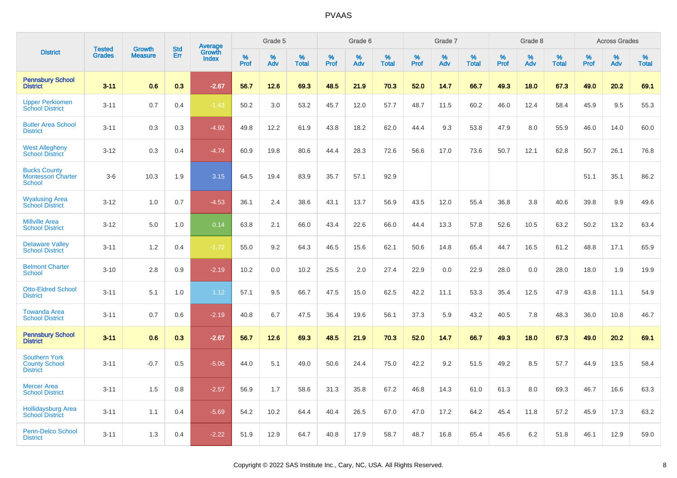|                                                                   |                                |                                 | <b>Std</b> | Average                |                     | Grade 5  |                   |                     | Grade 6  |                   |                     | Grade 7  |                   |           | Grade 8  |                      |           | <b>Across Grades</b> |                      |
|-------------------------------------------------------------------|--------------------------------|---------------------------------|------------|------------------------|---------------------|----------|-------------------|---------------------|----------|-------------------|---------------------|----------|-------------------|-----------|----------|----------------------|-----------|----------------------|----------------------|
| <b>District</b>                                                   | <b>Tested</b><br><b>Grades</b> | <b>Growth</b><br><b>Measure</b> | Err        | Growth<br><b>Index</b> | $\%$<br><b>Prof</b> | %<br>Adv | %<br><b>Total</b> | $\%$<br><b>Prof</b> | %<br>Adv | %<br><b>Total</b> | $\%$<br><b>Prof</b> | %<br>Adv | %<br><b>Total</b> | %<br>Prof | %<br>Adv | $\%$<br><b>Total</b> | %<br>Prof | %<br>Adv             | $\%$<br><b>Total</b> |
| <b>Pennsbury School</b><br><b>District</b>                        | $3 - 11$                       | 0.6                             | 0.3        | $-2.67$                | 56.7                | 12.6     | 69.3              | 48.5                | 21.9     | 70.3              | 52.0                | 14.7     | 66.7              | 49.3      | 18.0     | 67.3                 | 49.0      | 20.2                 | 69.1                 |
| <b>Upper Perkiomen</b><br><b>School District</b>                  | $3 - 11$                       | 0.7                             | 0.4        | $-1.43$                | 50.2                | 3.0      | 53.2              | 45.7                | 12.0     | 57.7              | 48.7                | 11.5     | 60.2              | 46.0      | 12.4     | 58.4                 | 45.9      | 9.5                  | 55.3                 |
| <b>Butler Area School</b><br><b>District</b>                      | $3 - 11$                       | 0.3                             | 0.3        | $-4.92$                | 49.8                | 12.2     | 61.9              | 43.8                | 18.2     | 62.0              | 44.4                | 9.3      | 53.8              | 47.9      | 8.0      | 55.9                 | 46.0      | 14.0                 | 60.0                 |
| <b>West Allegheny</b><br><b>School District</b>                   | $3 - 12$                       | 0.3                             | 0.4        | $-4.74$                | 60.9                | 19.8     | 80.6              | 44.4                | 28.3     | 72.6              | 56.6                | 17.0     | 73.6              | 50.7      | 12.1     | 62.8                 | 50.7      | 26.1                 | 76.8                 |
| <b>Bucks County</b><br><b>Montessori Charter</b><br><b>School</b> | $3-6$                          | 10.3                            | 1.9        | 3.15                   | 64.5                | 19.4     | 83.9              | 35.7                | 57.1     | 92.9              |                     |          |                   |           |          |                      | 51.1      | 35.1                 | 86.2                 |
| <b>Wyalusing Area</b><br><b>School District</b>                   | $3 - 12$                       | 1.0                             | 0.7        | $-4.53$                | 36.1                | 2.4      | 38.6              | 43.1                | 13.7     | 56.9              | 43.5                | 12.0     | 55.4              | 36.8      | 3.8      | 40.6                 | 39.8      | 9.9                  | 49.6                 |
| <b>Millville Area</b><br><b>School District</b>                   | $3 - 12$                       | 5.0                             | 1.0        | 0.14                   | 63.8                | 2.1      | 66.0              | 43.4                | 22.6     | 66.0              | 44.4                | 13.3     | 57.8              | 52.6      | 10.5     | 63.2                 | 50.2      | 13.2                 | 63.4                 |
| <b>Delaware Valley</b><br><b>School District</b>                  | $3 - 11$                       | 1.2                             | 0.4        | $-1.72$                | 55.0                | 9.2      | 64.3              | 46.5                | 15.6     | 62.1              | 50.6                | 14.8     | 65.4              | 44.7      | 16.5     | 61.2                 | 48.8      | 17.1                 | 65.9                 |
| <b>Belmont Charter</b><br><b>School</b>                           | $3 - 10$                       | 2.8                             | 0.9        | $-2.19$                | 10.2                | 0.0      | 10.2              | 25.5                | 2.0      | 27.4              | 22.9                | 0.0      | 22.9              | 28.0      | 0.0      | 28.0                 | 18.0      | 1.9                  | 19.9                 |
| <b>Otto-Eldred School</b><br><b>District</b>                      | $3 - 11$                       | 5.1                             | 1.0        | 1.12                   | 57.1                | 9.5      | 66.7              | 47.5                | 15.0     | 62.5              | 42.2                | 11.1     | 53.3              | 35.4      | 12.5     | 47.9                 | 43.8      | 11.1                 | 54.9                 |
| <b>Towanda Area</b><br><b>School District</b>                     | $3 - 11$                       | 0.7                             | 0.6        | $-2.19$                | 40.8                | 6.7      | 47.5              | 36.4                | 19.6     | 56.1              | 37.3                | 5.9      | 43.2              | 40.5      | 7.8      | 48.3                 | 36.0      | 10.8                 | 46.7                 |
| <b>Pennsbury School</b><br><b>District</b>                        | $3 - 11$                       | 0.6                             | 0.3        | $-2.67$                | 56.7                | 12.6     | 69.3              | 48.5                | 21.9     | 70.3              | 52.0                | 14.7     | 66.7              | 49.3      | 18.0     | 67.3                 | 49.0      | 20.2                 | 69.1                 |
| <b>Southern York</b><br><b>County School</b><br><b>District</b>   | $3 - 11$                       | $-0.7$                          | 0.5        | $-5.06$                | 44.0                | 5.1      | 49.0              | 50.6                | 24.4     | 75.0              | 42.2                | 9.2      | 51.5              | 49.2      | 8.5      | 57.7                 | 44.9      | 13.5                 | 58.4                 |
| <b>Mercer Area</b><br><b>School District</b>                      | $3 - 11$                       | 1.5                             | 0.8        | $-2.57$                | 56.9                | 1.7      | 58.6              | 31.3                | 35.8     | 67.2              | 46.8                | 14.3     | 61.0              | 61.3      | 8.0      | 69.3                 | 46.7      | 16.6                 | 63.3                 |
| <b>Hollidaysburg Area</b><br><b>School District</b>               | $3 - 11$                       | 1.1                             | 0.4        | $-5.69$                | 54.2                | 10.2     | 64.4              | 40.4                | 26.5     | 67.0              | 47.0                | 17.2     | 64.2              | 45.4      | 11.8     | 57.2                 | 45.9      | 17.3                 | 63.2                 |
| <b>Penn-Delco School</b><br><b>District</b>                       | $3 - 11$                       | 1.3                             | 0.4        | $-2.22$                | 51.9                | 12.9     | 64.7              | 40.8                | 17.9     | 58.7              | 48.7                | 16.8     | 65.4              | 45.6      | 6.2      | 51.8                 | 46.1      | 12.9                 | 59.0                 |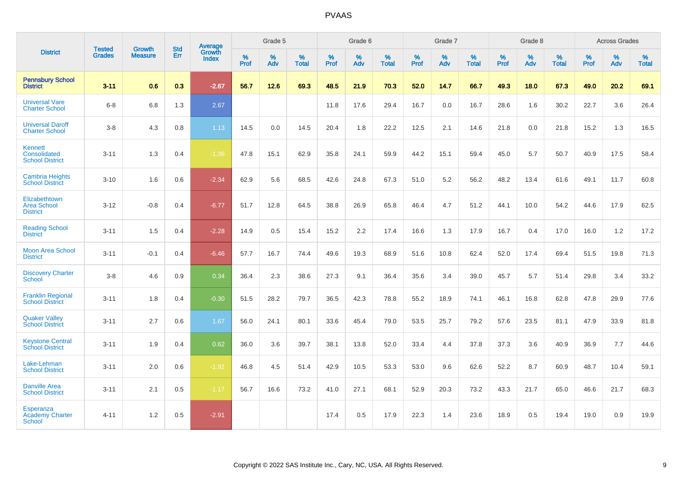| <b>District</b>                                          |                                |                                 | <b>Std</b> | Average                |           | Grade 5  |                   |           | Grade 6  |                   |           | Grade 7  |                   |           | Grade 8  |                   |           | <b>Across Grades</b> |                   |
|----------------------------------------------------------|--------------------------------|---------------------------------|------------|------------------------|-----------|----------|-------------------|-----------|----------|-------------------|-----------|----------|-------------------|-----------|----------|-------------------|-----------|----------------------|-------------------|
|                                                          | <b>Tested</b><br><b>Grades</b> | <b>Growth</b><br><b>Measure</b> | Err        | Growth<br><b>Index</b> | %<br>Prof | %<br>Adv | %<br><b>Total</b> | %<br>Prof | %<br>Adv | %<br><b>Total</b> | %<br>Prof | %<br>Adv | %<br><b>Total</b> | %<br>Prof | %<br>Adv | %<br><b>Total</b> | %<br>Prof | %<br>Adv             | %<br><b>Total</b> |
| <b>Pennsbury School</b><br><b>District</b>               | $3 - 11$                       | 0.6                             | 0.3        | $-2.67$                | 56.7      | 12.6     | 69.3              | 48.5      | 21.9     | 70.3              | 52.0      | 14.7     | 66.7              | 49.3      | 18.0     | 67.3              | 49.0      | 20.2                 | 69.1              |
| <b>Universal Vare</b><br><b>Charter School</b>           | $6 - 8$                        | 6.8                             | 1.3        | 2.67                   |           |          |                   | 11.8      | 17.6     | 29.4              | 16.7      | 0.0      | 16.7              | 28.6      | 1.6      | 30.2              | 22.7      | 3.6                  | 26.4              |
| <b>Universal Daroff</b><br><b>Charter School</b>         | $3 - 8$                        | 4.3                             | $0.8\,$    | 1.13                   | 14.5      | 0.0      | 14.5              | 20.4      | 1.8      | 22.2              | 12.5      | 2.1      | 14.6              | 21.8      | 0.0      | 21.8              | 15.2      | 1.3                  | 16.5              |
| <b>Kennett</b><br>Consolidated<br><b>School District</b> | $3 - 11$                       | 1.3                             | 0.4        | $-1.36$                | 47.8      | 15.1     | 62.9              | 35.8      | 24.1     | 59.9              | 44.2      | 15.1     | 59.4              | 45.0      | 5.7      | 50.7              | 40.9      | 17.5                 | 58.4              |
| <b>Cambria Heights</b><br><b>School District</b>         | $3 - 10$                       | 1.6                             | 0.6        | $-2.34$                | 62.9      | 5.6      | 68.5              | 42.6      | 24.8     | 67.3              | 51.0      | 5.2      | 56.2              | 48.2      | 13.4     | 61.6              | 49.1      | 11.7                 | 60.8              |
| Elizabethtown<br><b>Area School</b><br><b>District</b>   | $3 - 12$                       | $-0.8$                          | 0.4        | $-6.77$                | 51.7      | 12.8     | 64.5              | 38.8      | 26.9     | 65.8              | 46.4      | 4.7      | 51.2              | 44.1      | 10.0     | 54.2              | 44.6      | 17.9                 | 62.5              |
| <b>Reading School</b><br><b>District</b>                 | $3 - 11$                       | 1.5                             | 0.4        | $-2.28$                | 14.9      | 0.5      | 15.4              | 15.2      | 2.2      | 17.4              | 16.6      | 1.3      | 17.9              | 16.7      | 0.4      | 17.0              | 16.0      | 1.2                  | 17.2              |
| <b>Moon Area School</b><br><b>District</b>               | $3 - 11$                       | $-0.1$                          | 0.4        | $-6.46$                | 57.7      | 16.7     | 74.4              | 49.6      | 19.3     | 68.9              | 51.6      | 10.8     | 62.4              | 52.0      | 17.4     | 69.4              | 51.5      | 19.8                 | 71.3              |
| <b>Discovery Charter</b><br>School                       | $3 - 8$                        | 4.6                             | 0.9        | 0.34                   | 36.4      | 2.3      | 38.6              | 27.3      | 9.1      | 36.4              | 35.6      | 3.4      | 39.0              | 45.7      | 5.7      | 51.4              | 29.8      | 3.4                  | 33.2              |
| <b>Franklin Regional</b><br><b>School District</b>       | $3 - 11$                       | 1.8                             | 0.4        | $-0.30$                | 51.5      | 28.2     | 79.7              | 36.5      | 42.3     | 78.8              | 55.2      | 18.9     | 74.1              | 46.1      | 16.8     | 62.8              | 47.8      | 29.9                 | 77.6              |
| <b>Quaker Valley</b><br><b>School District</b>           | $3 - 11$                       | 2.7                             | 0.6        | 1.67                   | 56.0      | 24.1     | 80.1              | 33.6      | 45.4     | 79.0              | 53.5      | 25.7     | 79.2              | 57.6      | 23.5     | 81.1              | 47.9      | 33.9                 | 81.8              |
| <b>Keystone Central</b><br><b>School District</b>        | $3 - 11$                       | 1.9                             | 0.4        | 0.62                   | 36.0      | 3.6      | 39.7              | 38.1      | 13.8     | 52.0              | 33.4      | 4.4      | 37.8              | 37.3      | 3.6      | 40.9              | 36.9      | 7.7                  | 44.6              |
| Lake-Lehman<br><b>School District</b>                    | $3 - 11$                       | 2.0                             | 0.6        | $-1.92$                | 46.8      | 4.5      | 51.4              | 42.9      | 10.5     | 53.3              | 53.0      | 9.6      | 62.6              | 52.2      | 8.7      | 60.9              | 48.7      | 10.4                 | 59.1              |
| <b>Danville Area</b><br><b>School District</b>           | $3 - 11$                       | 2.1                             | 0.5        | $-1.17$                | 56.7      | 16.6     | 73.2              | 41.0      | 27.1     | 68.1              | 52.9      | 20.3     | 73.2              | 43.3      | 21.7     | 65.0              | 46.6      | 21.7                 | 68.3              |
| <b>Esperanza</b><br><b>Academy Charter</b><br>School     | $4 - 11$                       | 1.2                             | 0.5        | $-2.91$                |           |          |                   | 17.4      | 0.5      | 17.9              | 22.3      | 1.4      | 23.6              | 18.9      | 0.5      | 19.4              | 19.0      | 0.9                  | 19.9              |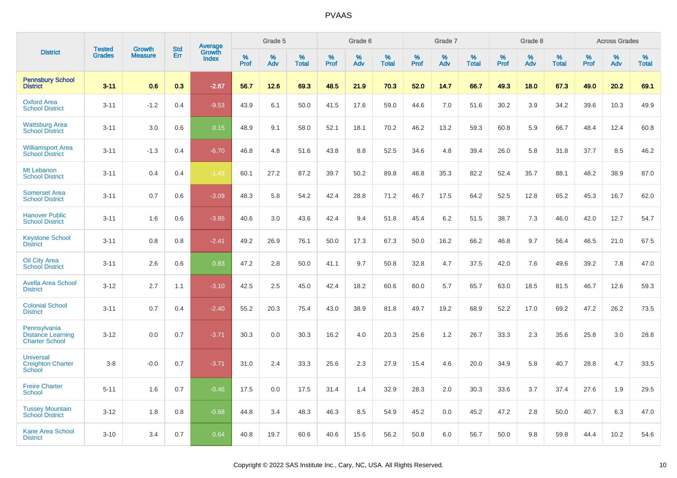|                                                                   | <b>Tested</b> |                                 | <b>Std</b> |                                   |              | Grade 5  |                   |              | Grade 6  |                   |              | Grade 7  |                   |              | Grade 8  |                   |              | <b>Across Grades</b> |                   |
|-------------------------------------------------------------------|---------------|---------------------------------|------------|-----------------------------------|--------------|----------|-------------------|--------------|----------|-------------------|--------------|----------|-------------------|--------------|----------|-------------------|--------------|----------------------|-------------------|
| <b>District</b>                                                   | <b>Grades</b> | <b>Growth</b><br><b>Measure</b> | Err        | Average<br>Growth<br><b>Index</b> | $\%$<br>Prof | %<br>Adv | %<br><b>Total</b> | $\%$<br>Prof | %<br>Adv | %<br><b>Total</b> | $\%$<br>Prof | %<br>Adv | %<br><b>Total</b> | $\%$<br>Prof | %<br>Adv | %<br><b>Total</b> | $\%$<br>Prof | $\%$<br>Adv          | %<br><b>Total</b> |
| <b>Pennsbury School</b><br><b>District</b>                        | $3 - 11$      | 0.6                             | 0.3        | $-2.67$                           | 56.7         | 12.6     | 69.3              | 48.5         | 21.9     | 70.3              | 52.0         | 14.7     | 66.7              | 49.3         | 18.0     | 67.3              | 49.0         | 20.2                 | 69.1              |
| <b>Oxford Area</b><br><b>School District</b>                      | $3 - 11$      | $-1.2$                          | 0.4        | $-9.53$                           | 43.9         | 6.1      | 50.0              | 41.5         | 17.6     | 59.0              | 44.6         | 7.0      | 51.6              | 30.2         | 3.9      | 34.2              | 39.6         | 10.3                 | 49.9              |
| <b>Wattsburg Area</b><br><b>School District</b>                   | $3 - 11$      | 3.0                             | 0.6        | 0.15                              | 48.9         | 9.1      | 58.0              | 52.1         | 18.1     | 70.2              | 46.2         | 13.2     | 59.3              | 60.8         | 5.9      | 66.7              | 48.4         | 12.4                 | 60.8              |
| <b>Williamsport Area</b><br><b>School District</b>                | $3 - 11$      | $-1.3$                          | 0.4        | $-6.70$                           | 46.8         | 4.8      | 51.6              | 43.8         | 8.8      | 52.5              | 34.6         | 4.8      | 39.4              | 26.0         | 5.8      | 31.8              | 37.7         | 8.5                  | 46.2              |
| Mt Lebanon<br><b>School District</b>                              | $3 - 11$      | 0.4                             | 0.4        | $-1.43$                           | 60.1         | 27.2     | 87.2              | 39.7         | 50.2     | 89.8              | 46.8         | 35.3     | 82.2              | 52.4         | 35.7     | 88.1              | 48.2         | 38.9                 | 87.0              |
| <b>Somerset Area</b><br><b>School District</b>                    | $3 - 11$      | 0.7                             | 0.6        | $-3.09$                           | 48.3         | 5.8      | 54.2              | 42.4         | 28.8     | 71.2              | 46.7         | 17.5     | 64.2              | 52.5         | 12.8     | 65.2              | 45.3         | 16.7                 | 62.0              |
| <b>Hanover Public</b><br><b>School District</b>                   | $3 - 11$      | 1.6                             | 0.6        | $-3.85$                           | 40.6         | 3.0      | 43.6              | 42.4         | 9.4      | 51.8              | 45.4         | 6.2      | 51.5              | 38.7         | 7.3      | 46.0              | 42.0         | 12.7                 | 54.7              |
| <b>Keystone School</b><br><b>District</b>                         | $3 - 11$      | 0.8                             | 0.8        | $-2.41$                           | 49.2         | 26.9     | 76.1              | 50.0         | 17.3     | 67.3              | 50.0         | 16.2     | 66.2              | 46.8         | 9.7      | 56.4              | 46.5         | 21.0                 | 67.5              |
| <b>Oil City Area</b><br><b>School District</b>                    | $3 - 11$      | 2.6                             | 0.6        | 0.83                              | 47.2         | 2.8      | 50.0              | 41.1         | 9.7      | 50.8              | 32.8         | 4.7      | 37.5              | 42.0         | 7.6      | 49.6              | 39.2         | 7.8                  | 47.0              |
| <b>Avella Area School</b><br><b>District</b>                      | $3 - 12$      | 2.7                             | 1.1        | $-3.10$                           | 42.5         | 2.5      | 45.0              | 42.4         | 18.2     | 60.6              | 60.0         | 5.7      | 65.7              | 63.0         | 18.5     | 81.5              | 46.7         | 12.6                 | 59.3              |
| <b>Colonial School</b><br><b>District</b>                         | $3 - 11$      | 0.7                             | 0.4        | $-2.40$                           | 55.2         | 20.3     | 75.4              | 43.0         | 38.9     | 81.8              | 49.7         | 19.2     | 68.9              | 52.2         | 17.0     | 69.2              | 47.2         | 26.2                 | 73.5              |
| Pennsylvania<br><b>Distance Learning</b><br><b>Charter School</b> | $3 - 12$      | 0.0                             | 0.7        | $-3.71$                           | 30.3         | 0.0      | 30.3              | 16.2         | 4.0      | 20.3              | 25.6         | 1.2      | 26.7              | 33.3         | 2.3      | 35.6              | 25.8         | 3.0                  | 28.8              |
| <b>Universal</b><br><b>Creighton Charter</b><br>School            | $3-8$         | $-0.0$                          | 0.7        | $-3.71$                           | 31.0         | 2.4      | 33.3              | 25.6         | 2.3      | 27.9              | 15.4         | 4.6      | 20.0              | 34.9         | 5.8      | 40.7              | 28.8         | 4.7                  | 33.5              |
| <b>Freire Charter</b><br><b>School</b>                            | $5 - 11$      | 1.6                             | 0.7        | $-0.46$                           | 17.5         | 0.0      | 17.5              | 31.4         | 1.4      | 32.9              | 28.3         | 2.0      | 30.3              | 33.6         | 3.7      | 37.4              | 27.6         | 1.9                  | 29.5              |
| <b>Tussey Mountain</b><br><b>School District</b>                  | $3 - 12$      | 1.8                             | 0.8        | $-0.68$                           | 44.8         | 3.4      | 48.3              | 46.3         | 8.5      | 54.9              | 45.2         | 0.0      | 45.2              | 47.2         | 2.8      | 50.0              | 40.7         | 6.3                  | 47.0              |
| <b>Kane Area School</b><br><b>District</b>                        | $3 - 10$      | 3.4                             | 0.7        | 0.64                              | 40.8         | 19.7     | 60.6              | 40.6         | 15.6     | 56.2              | 50.8         | 6.0      | 56.7              | 50.0         | 9.8      | 59.8              | 44.4         | 10.2                 | 54.6              |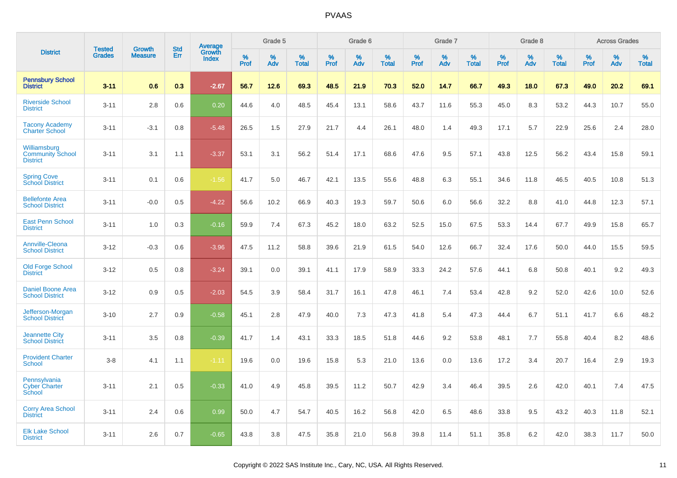|                                                            | <b>Tested</b> | <b>Growth</b>  | <b>Std</b> |                                   |              | Grade 5  |                   |              | Grade 6  |                   |              | Grade 7  |                   |              | Grade 8  |                   |              | <b>Across Grades</b> |                   |
|------------------------------------------------------------|---------------|----------------|------------|-----------------------------------|--------------|----------|-------------------|--------------|----------|-------------------|--------------|----------|-------------------|--------------|----------|-------------------|--------------|----------------------|-------------------|
| <b>District</b>                                            | <b>Grades</b> | <b>Measure</b> | Err        | Average<br>Growth<br><b>Index</b> | $\%$<br>Prof | %<br>Adv | %<br><b>Total</b> | $\%$<br>Prof | %<br>Adv | %<br><b>Total</b> | $\%$<br>Prof | %<br>Adv | %<br><b>Total</b> | $\%$<br>Prof | %<br>Adv | %<br><b>Total</b> | $\%$<br>Prof | %<br>Adv             | %<br><b>Total</b> |
| <b>Pennsbury School</b><br><b>District</b>                 | $3 - 11$      | 0.6            | 0.3        | $-2.67$                           | 56.7         | 12.6     | 69.3              | 48.5         | 21.9     | 70.3              | 52.0         | 14.7     | 66.7              | 49.3         | 18.0     | 67.3              | 49.0         | 20.2                 | 69.1              |
| <b>Riverside School</b><br><b>District</b>                 | $3 - 11$      | 2.8            | 0.6        | 0.20                              | 44.6         | 4.0      | 48.5              | 45.4         | 13.1     | 58.6              | 43.7         | 11.6     | 55.3              | 45.0         | 8.3      | 53.2              | 44.3         | 10.7                 | 55.0              |
| <b>Tacony Academy</b><br><b>Charter School</b>             | $3 - 11$      | $-3.1$         | 0.8        | $-5.48$                           | 26.5         | 1.5      | 27.9              | 21.7         | 4.4      | 26.1              | 48.0         | 1.4      | 49.3              | 17.1         | 5.7      | 22.9              | 25.6         | 2.4                  | 28.0              |
| Williamsburg<br><b>Community School</b><br><b>District</b> | $3 - 11$      | 3.1            | 1.1        | $-3.37$                           | 53.1         | 3.1      | 56.2              | 51.4         | 17.1     | 68.6              | 47.6         | 9.5      | 57.1              | 43.8         | 12.5     | 56.2              | 43.4         | 15.8                 | 59.1              |
| <b>Spring Cove</b><br><b>School District</b>               | $3 - 11$      | 0.1            | 0.6        | $-1.56$                           | 41.7         | 5.0      | 46.7              | 42.1         | 13.5     | 55.6              | 48.8         | 6.3      | 55.1              | 34.6         | 11.8     | 46.5              | 40.5         | 10.8                 | 51.3              |
| <b>Bellefonte Area</b><br><b>School District</b>           | $3 - 11$      | $-0.0$         | 0.5        | $-4.22$                           | 56.6         | 10.2     | 66.9              | 40.3         | 19.3     | 59.7              | 50.6         | 6.0      | 56.6              | 32.2         | 8.8      | 41.0              | 44.8         | 12.3                 | 57.1              |
| <b>East Penn School</b><br><b>District</b>                 | $3 - 11$      | 1.0            | 0.3        | $-0.16$                           | 59.9         | 7.4      | 67.3              | 45.2         | 18.0     | 63.2              | 52.5         | 15.0     | 67.5              | 53.3         | 14.4     | 67.7              | 49.9         | 15.8                 | 65.7              |
| Annville-Cleona<br><b>School District</b>                  | $3 - 12$      | $-0.3$         | 0.6        | $-3.96$                           | 47.5         | 11.2     | 58.8              | 39.6         | 21.9     | 61.5              | 54.0         | 12.6     | 66.7              | 32.4         | 17.6     | 50.0              | 44.0         | 15.5                 | 59.5              |
| <b>Old Forge School</b><br><b>District</b>                 | $3 - 12$      | 0.5            | 0.8        | $-3.24$                           | 39.1         | 0.0      | 39.1              | 41.1         | 17.9     | 58.9              | 33.3         | 24.2     | 57.6              | 44.1         | 6.8      | 50.8              | 40.1         | 9.2                  | 49.3              |
| <b>Daniel Boone Area</b><br><b>School District</b>         | $3 - 12$      | 0.9            | 0.5        | $-2.03$                           | 54.5         | 3.9      | 58.4              | 31.7         | 16.1     | 47.8              | 46.1         | 7.4      | 53.4              | 42.8         | 9.2      | 52.0              | 42.6         | 10.0                 | 52.6              |
| Jefferson-Morgan<br><b>School District</b>                 | $3 - 10$      | 2.7            | 0.9        | $-0.58$                           | 45.1         | 2.8      | 47.9              | 40.0         | 7.3      | 47.3              | 41.8         | 5.4      | 47.3              | 44.4         | 6.7      | 51.1              | 41.7         | 6.6                  | 48.2              |
| <b>Jeannette City</b><br><b>School District</b>            | $3 - 11$      | 3.5            | 0.8        | $-0.39$                           | 41.7         | 1.4      | 43.1              | 33.3         | 18.5     | 51.8              | 44.6         | 9.2      | 53.8              | 48.1         | 7.7      | 55.8              | 40.4         | 8.2                  | 48.6              |
| <b>Provident Charter</b><br><b>School</b>                  | $3-8$         | 4.1            | 1.1        | $-1.11$                           | 19.6         | 0.0      | 19.6              | 15.8         | 5.3      | 21.0              | 13.6         | 0.0      | 13.6              | 17.2         | 3.4      | 20.7              | 16.4         | 2.9                  | 19.3              |
| Pennsylvania<br><b>Cyber Charter</b><br>School             | $3 - 11$      | 2.1            | 0.5        | $-0.33$                           | 41.0         | 4.9      | 45.8              | 39.5         | 11.2     | 50.7              | 42.9         | 3.4      | 46.4              | 39.5         | 2.6      | 42.0              | 40.1         | 7.4                  | 47.5              |
| <b>Corry Area School</b><br><b>District</b>                | $3 - 11$      | 2.4            | 0.6        | 0.99                              | 50.0         | 4.7      | 54.7              | 40.5         | 16.2     | 56.8              | 42.0         | 6.5      | 48.6              | 33.8         | 9.5      | 43.2              | 40.3         | 11.8                 | 52.1              |
| <b>Elk Lake School</b><br><b>District</b>                  | $3 - 11$      | 2.6            | 0.7        | $-0.65$                           | 43.8         | 3.8      | 47.5              | 35.8         | 21.0     | 56.8              | 39.8         | 11.4     | 51.1              | 35.8         | 6.2      | 42.0              | 38.3         | 11.7                 | 50.0              |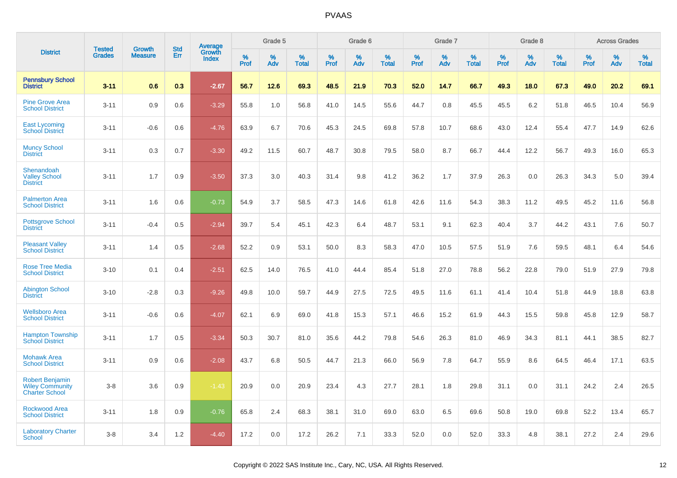|                                                                           | <b>Tested</b> | <b>Growth</b>  | <b>Std</b> | <b>Average</b>         |              | Grade 5  |                   |              | Grade 6  |                   |              | Grade 7  |                   |              | Grade 8  |                   |              | <b>Across Grades</b> |                   |
|---------------------------------------------------------------------------|---------------|----------------|------------|------------------------|--------------|----------|-------------------|--------------|----------|-------------------|--------------|----------|-------------------|--------------|----------|-------------------|--------------|----------------------|-------------------|
| <b>District</b>                                                           | <b>Grades</b> | <b>Measure</b> | Err        | Growth<br><b>Index</b> | $\%$<br>Prof | %<br>Adv | %<br><b>Total</b> | $\%$<br>Prof | %<br>Adv | %<br><b>Total</b> | $\%$<br>Prof | %<br>Adv | %<br><b>Total</b> | $\%$<br>Prof | %<br>Adv | %<br><b>Total</b> | $\%$<br>Prof | %<br>Adv             | %<br><b>Total</b> |
| <b>Pennsbury School</b><br><b>District</b>                                | $3 - 11$      | 0.6            | 0.3        | $-2.67$                | 56.7         | 12.6     | 69.3              | 48.5         | 21.9     | 70.3              | 52.0         | 14.7     | 66.7              | 49.3         | 18.0     | 67.3              | 49.0         | 20.2                 | 69.1              |
| <b>Pine Grove Area</b><br><b>School District</b>                          | $3 - 11$      | 0.9            | 0.6        | $-3.29$                | 55.8         | 1.0      | 56.8              | 41.0         | 14.5     | 55.6              | 44.7         | 0.8      | 45.5              | 45.5         | 6.2      | 51.8              | 46.5         | 10.4                 | 56.9              |
| <b>East Lycoming</b><br><b>School District</b>                            | $3 - 11$      | $-0.6$         | 0.6        | $-4.76$                | 63.9         | 6.7      | 70.6              | 45.3         | 24.5     | 69.8              | 57.8         | 10.7     | 68.6              | 43.0         | 12.4     | 55.4              | 47.7         | 14.9                 | 62.6              |
| <b>Muncy School</b><br><b>District</b>                                    | $3 - 11$      | 0.3            | 0.7        | $-3.30$                | 49.2         | 11.5     | 60.7              | 48.7         | 30.8     | 79.5              | 58.0         | 8.7      | 66.7              | 44.4         | 12.2     | 56.7              | 49.3         | 16.0                 | 65.3              |
| Shenandoah<br><b>Valley School</b><br><b>District</b>                     | $3 - 11$      | 1.7            | 0.9        | $-3.50$                | 37.3         | 3.0      | 40.3              | 31.4         | 9.8      | 41.2              | 36.2         | 1.7      | 37.9              | 26.3         | 0.0      | 26.3              | 34.3         | 5.0                  | 39.4              |
| <b>Palmerton Area</b><br><b>School District</b>                           | $3 - 11$      | 1.6            | 0.6        | $-0.73$                | 54.9         | 3.7      | 58.5              | 47.3         | 14.6     | 61.8              | 42.6         | 11.6     | 54.3              | 38.3         | 11.2     | 49.5              | 45.2         | 11.6                 | 56.8              |
| <b>Pottsgrove School</b><br><b>District</b>                               | $3 - 11$      | $-0.4$         | 0.5        | $-2.94$                | 39.7         | 5.4      | 45.1              | 42.3         | 6.4      | 48.7              | 53.1         | 9.1      | 62.3              | 40.4         | 3.7      | 44.2              | 43.1         | 7.6                  | 50.7              |
| <b>Pleasant Valley</b><br><b>School District</b>                          | $3 - 11$      | 1.4            | 0.5        | $-2.68$                | 52.2         | 0.9      | 53.1              | 50.0         | 8.3      | 58.3              | 47.0         | 10.5     | 57.5              | 51.9         | 7.6      | 59.5              | 48.1         | 6.4                  | 54.6              |
| <b>Rose Tree Media</b><br><b>School District</b>                          | $3 - 10$      | 0.1            | 0.4        | $-2.51$                | 62.5         | 14.0     | 76.5              | 41.0         | 44.4     | 85.4              | 51.8         | 27.0     | 78.8              | 56.2         | 22.8     | 79.0              | 51.9         | 27.9                 | 79.8              |
| <b>Abington School</b><br><b>District</b>                                 | $3 - 10$      | $-2.8$         | 0.3        | $-9.26$                | 49.8         | 10.0     | 59.7              | 44.9         | 27.5     | 72.5              | 49.5         | 11.6     | 61.1              | 41.4         | 10.4     | 51.8              | 44.9         | 18.8                 | 63.8              |
| <b>Wellsboro Area</b><br><b>School District</b>                           | $3 - 11$      | $-0.6$         | 0.6        | $-4.07$                | 62.1         | 6.9      | 69.0              | 41.8         | 15.3     | 57.1              | 46.6         | 15.2     | 61.9              | 44.3         | 15.5     | 59.8              | 45.8         | 12.9                 | 58.7              |
| <b>Hampton Township</b><br><b>School District</b>                         | $3 - 11$      | 1.7            | 0.5        | $-3.34$                | 50.3         | 30.7     | 81.0              | 35.6         | 44.2     | 79.8              | 54.6         | 26.3     | 81.0              | 46.9         | 34.3     | 81.1              | 44.1         | 38.5                 | 82.7              |
| <b>Mohawk Area</b><br><b>School District</b>                              | $3 - 11$      | 0.9            | 0.6        | $-2.08$                | 43.7         | 6.8      | 50.5              | 44.7         | 21.3     | 66.0              | 56.9         | 7.8      | 64.7              | 55.9         | 8.6      | 64.5              | 46.4         | 17.1                 | 63.5              |
| <b>Robert Benjamin</b><br><b>Wiley Community</b><br><b>Charter School</b> | $3-8$         | 3.6            | 0.9        | $-1.43$                | 20.9         | 0.0      | 20.9              | 23.4         | 4.3      | 27.7              | 28.1         | 1.8      | 29.8              | 31.1         | 0.0      | 31.1              | 24.2         | 2.4                  | 26.5              |
| <b>Rockwood Area</b><br><b>School District</b>                            | $3 - 11$      | 1.8            | 0.9        | $-0.76$                | 65.8         | 2.4      | 68.3              | 38.1         | 31.0     | 69.0              | 63.0         | 6.5      | 69.6              | 50.8         | 19.0     | 69.8              | 52.2         | 13.4                 | 65.7              |
| <b>Laboratory Charter</b><br><b>School</b>                                | $3-8$         | 3.4            | 1.2        | $-4.40$                | 17.2         | 0.0      | 17.2              | 26.2         | 7.1      | 33.3              | 52.0         | 0.0      | 52.0              | 33.3         | 4.8      | 38.1              | 27.2         | 2.4                  | 29.6              |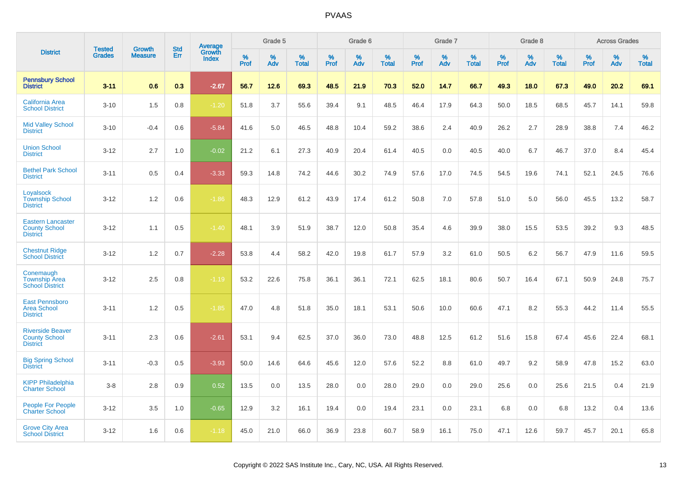|                                                                     |                                |                                 | <b>Std</b> | Average         |           | Grade 5  |                   |           | Grade 6  |                   |           | Grade 7  |                   |           | Grade 8  |                   |           | <b>Across Grades</b> |                   |
|---------------------------------------------------------------------|--------------------------------|---------------------------------|------------|-----------------|-----------|----------|-------------------|-----------|----------|-------------------|-----------|----------|-------------------|-----------|----------|-------------------|-----------|----------------------|-------------------|
| <b>District</b>                                                     | <b>Tested</b><br><b>Grades</b> | <b>Growth</b><br><b>Measure</b> | Err        | Growth<br>Index | %<br>Prof | %<br>Adv | %<br><b>Total</b> | %<br>Prof | %<br>Adv | %<br><b>Total</b> | %<br>Prof | %<br>Adv | %<br><b>Total</b> | %<br>Prof | %<br>Adv | %<br><b>Total</b> | %<br>Prof | $\%$<br>Adv          | %<br><b>Total</b> |
| <b>Pennsbury School</b><br><b>District</b>                          | $3 - 11$                       | 0.6                             | 0.3        | $-2.67$         | 56.7      | 12.6     | 69.3              | 48.5      | 21.9     | 70.3              | 52.0      | 14.7     | 66.7              | 49.3      | 18.0     | 67.3              | 49.0      | 20.2                 | 69.1              |
| <b>California Area</b><br><b>School District</b>                    | $3 - 10$                       | 1.5                             | 0.8        | $-1.20$         | 51.8      | 3.7      | 55.6              | 39.4      | 9.1      | 48.5              | 46.4      | 17.9     | 64.3              | 50.0      | 18.5     | 68.5              | 45.7      | 14.1                 | 59.8              |
| <b>Mid Valley School</b><br><b>District</b>                         | $3 - 10$                       | $-0.4$                          | 0.6        | $-5.84$         | 41.6      | 5.0      | 46.5              | 48.8      | 10.4     | 59.2              | 38.6      | 2.4      | 40.9              | 26.2      | 2.7      | 28.9              | 38.8      | 7.4                  | 46.2              |
| <b>Union School</b><br><b>District</b>                              | $3 - 12$                       | 2.7                             | 1.0        | $-0.02$         | 21.2      | 6.1      | 27.3              | 40.9      | 20.4     | 61.4              | 40.5      | 0.0      | 40.5              | 40.0      | 6.7      | 46.7              | 37.0      | 8.4                  | 45.4              |
| <b>Bethel Park School</b><br><b>District</b>                        | $3 - 11$                       | 0.5                             | 0.4        | $-3.33$         | 59.3      | 14.8     | 74.2              | 44.6      | 30.2     | 74.9              | 57.6      | 17.0     | 74.5              | 54.5      | 19.6     | 74.1              | 52.1      | 24.5                 | 76.6              |
| Loyalsock<br><b>Township School</b><br><b>District</b>              | $3 - 12$                       | 1.2                             | 0.6        | $-1.86$         | 48.3      | 12.9     | 61.2              | 43.9      | 17.4     | 61.2              | 50.8      | 7.0      | 57.8              | 51.0      | 5.0      | 56.0              | 45.5      | 13.2                 | 58.7              |
| <b>Eastern Lancaster</b><br><b>County School</b><br><b>District</b> | $3 - 12$                       | 1.1                             | 0.5        | $-1.40$         | 48.1      | 3.9      | 51.9              | 38.7      | 12.0     | 50.8              | 35.4      | 4.6      | 39.9              | 38.0      | 15.5     | 53.5              | 39.2      | 9.3                  | 48.5              |
| <b>Chestnut Ridge</b><br><b>School District</b>                     | $3 - 12$                       | 1.2                             | 0.7        | $-2.28$         | 53.8      | 4.4      | 58.2              | 42.0      | 19.8     | 61.7              | 57.9      | 3.2      | 61.0              | 50.5      | 6.2      | 56.7              | 47.9      | 11.6                 | 59.5              |
| Conemaugh<br><b>Township Area</b><br><b>School District</b>         | $3 - 12$                       | 2.5                             | 0.8        | $-1.19$         | 53.2      | 22.6     | 75.8              | 36.1      | 36.1     | 72.1              | 62.5      | 18.1     | 80.6              | 50.7      | 16.4     | 67.1              | 50.9      | 24.8                 | 75.7              |
| <b>East Pennsboro</b><br><b>Area School</b><br><b>District</b>      | $3 - 11$                       | 1.2                             | 0.5        | $-1.85$         | 47.0      | 4.8      | 51.8              | 35.0      | 18.1     | 53.1              | 50.6      | 10.0     | 60.6              | 47.1      | 8.2      | 55.3              | 44.2      | 11.4                 | 55.5              |
| <b>Riverside Beaver</b><br><b>County School</b><br><b>District</b>  | $3 - 11$                       | 2.3                             | 0.6        | $-2.61$         | 53.1      | 9.4      | 62.5              | 37.0      | 36.0     | 73.0              | 48.8      | 12.5     | 61.2              | 51.6      | 15.8     | 67.4              | 45.6      | 22.4                 | 68.1              |
| <b>Big Spring School</b><br><b>District</b>                         | $3 - 11$                       | $-0.3$                          | 0.5        | $-3.93$         | 50.0      | 14.6     | 64.6              | 45.6      | 12.0     | 57.6              | 52.2      | 8.8      | 61.0              | 49.7      | 9.2      | 58.9              | 47.8      | 15.2                 | 63.0              |
| <b>KIPP Philadelphia</b><br><b>Charter School</b>                   | $3 - 8$                        | 2.8                             | 0.9        | 0.52            | 13.5      | 0.0      | 13.5              | 28.0      | 0.0      | 28.0              | 29.0      | 0.0      | 29.0              | 25.6      | 0.0      | 25.6              | 21.5      | 0.4                  | 21.9              |
| <b>People For People</b><br><b>Charter School</b>                   | $3 - 12$                       | 3.5                             | 1.0        | $-0.65$         | 12.9      | 3.2      | 16.1              | 19.4      | 0.0      | 19.4              | 23.1      | 0.0      | 23.1              | 6.8       | 0.0      | 6.8               | 13.2      | 0.4                  | 13.6              |
| <b>Grove City Area</b><br><b>School District</b>                    | $3 - 12$                       | 1.6                             | 0.6        | $-1.18$         | 45.0      | 21.0     | 66.0              | 36.9      | 23.8     | 60.7              | 58.9      | 16.1     | 75.0              | 47.1      | 12.6     | 59.7              | 45.7      | 20.1                 | 65.8              |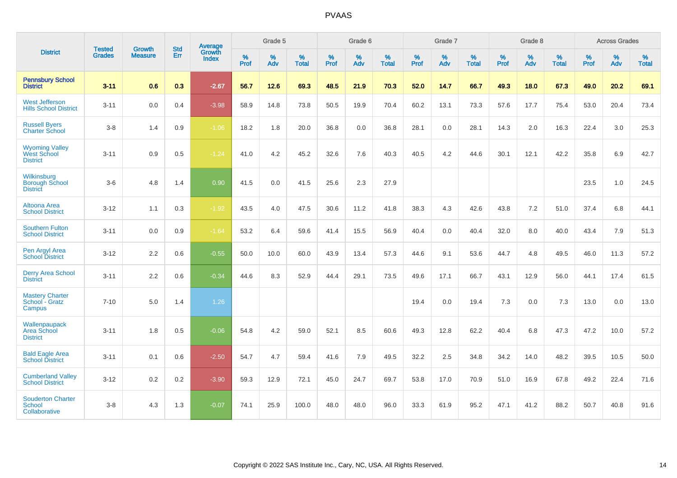|                                                                | <b>Tested</b> | <b>Growth</b>  | <b>Std</b> | Average                |                     | Grade 5     |                   |                     | Grade 6  |                   |                     | Grade 7  |                   |              | Grade 8  |                   |                     | <b>Across Grades</b> |                   |
|----------------------------------------------------------------|---------------|----------------|------------|------------------------|---------------------|-------------|-------------------|---------------------|----------|-------------------|---------------------|----------|-------------------|--------------|----------|-------------------|---------------------|----------------------|-------------------|
| <b>District</b>                                                | <b>Grades</b> | <b>Measure</b> | Err        | Growth<br><b>Index</b> | $\%$<br><b>Prof</b> | $\%$<br>Adv | %<br><b>Total</b> | $\%$<br><b>Prof</b> | %<br>Adv | %<br><b>Total</b> | $\%$<br><b>Prof</b> | %<br>Adv | %<br><b>Total</b> | $\%$<br>Prof | %<br>Adv | %<br><b>Total</b> | $\%$<br><b>Prof</b> | %<br>Adv             | %<br><b>Total</b> |
| <b>Pennsbury School</b><br><b>District</b>                     | $3 - 11$      | 0.6            | 0.3        | $-2.67$                | 56.7                | 12.6        | 69.3              | 48.5                | 21.9     | 70.3              | 52.0                | 14.7     | 66.7              | 49.3         | 18.0     | 67.3              | 49.0                | 20.2                 | 69.1              |
| <b>West Jefferson</b><br><b>Hills School District</b>          | $3 - 11$      | 0.0            | 0.4        | $-3.98$                | 58.9                | 14.8        | 73.8              | 50.5                | 19.9     | 70.4              | 60.2                | 13.1     | 73.3              | 57.6         | 17.7     | 75.4              | 53.0                | 20.4                 | 73.4              |
| <b>Russell Byers</b><br><b>Charter School</b>                  | $3-8$         | 1.4            | 0.9        | $-1.06$                | 18.2                | 1.8         | 20.0              | 36.8                | 0.0      | 36.8              | 28.1                | 0.0      | 28.1              | 14.3         | 2.0      | 16.3              | 22.4                | 3.0                  | 25.3              |
| <b>Wyoming Valley</b><br><b>West School</b><br><b>District</b> | $3 - 11$      | 0.9            | 0.5        | $-1.24$                | 41.0                | 4.2         | 45.2              | 32.6                | 7.6      | 40.3              | 40.5                | 4.2      | 44.6              | 30.1         | 12.1     | 42.2              | 35.8                | 6.9                  | 42.7              |
| Wilkinsburg<br><b>Borough School</b><br><b>District</b>        | $3-6$         | 4.8            | 1.4        | 0.90                   | 41.5                | 0.0         | 41.5              | 25.6                | 2.3      | 27.9              |                     |          |                   |              |          |                   | 23.5                | 1.0                  | 24.5              |
| Altoona Area<br><b>School District</b>                         | $3 - 12$      | 1.1            | 0.3        | $-1.92$                | 43.5                | 4.0         | 47.5              | 30.6                | 11.2     | 41.8              | 38.3                | 4.3      | 42.6              | 43.8         | 7.2      | 51.0              | 37.4                | 6.8                  | 44.1              |
| <b>Southern Fulton</b><br><b>School District</b>               | $3 - 11$      | 0.0            | 0.9        | $-1.64$                | 53.2                | 6.4         | 59.6              | 41.4                | 15.5     | 56.9              | 40.4                | 0.0      | 40.4              | 32.0         | 8.0      | 40.0              | 43.4                | 7.9                  | 51.3              |
| Pen Argyl Area<br><b>School District</b>                       | $3 - 12$      | 2.2            | 0.6        | $-0.55$                | 50.0                | 10.0        | 60.0              | 43.9                | 13.4     | 57.3              | 44.6                | 9.1      | 53.6              | 44.7         | 4.8      | 49.5              | 46.0                | 11.3                 | 57.2              |
| <b>Derry Area School</b><br><b>District</b>                    | $3 - 11$      | 2.2            | 0.6        | $-0.34$                | 44.6                | 8.3         | 52.9              | 44.4                | 29.1     | 73.5              | 49.6                | 17.1     | 66.7              | 43.1         | 12.9     | 56.0              | 44.1                | 17.4                 | 61.5              |
| <b>Mastery Charter</b><br>School - Gratz<br>Campus             | $7 - 10$      | 5.0            | 1.4        | 1.26                   |                     |             |                   |                     |          |                   | 19.4                | 0.0      | 19.4              | 7.3          | 0.0      | 7.3               | 13.0                | 0.0                  | 13.0              |
| Wallenpaupack<br>Area School<br><b>District</b>                | $3 - 11$      | 1.8            | 0.5        | $-0.06$                | 54.8                | 4.2         | 59.0              | 52.1                | 8.5      | 60.6              | 49.3                | 12.8     | 62.2              | 40.4         | 6.8      | 47.3              | 47.2                | 10.0                 | 57.2              |
| <b>Bald Eagle Area</b><br><b>School District</b>               | $3 - 11$      | 0.1            | 0.6        | $-2.50$                | 54.7                | 4.7         | 59.4              | 41.6                | 7.9      | 49.5              | 32.2                | 2.5      | 34.8              | 34.2         | 14.0     | 48.2              | 39.5                | 10.5                 | 50.0              |
| <b>Cumberland Valley</b><br><b>School District</b>             | $3 - 12$      | $0.2\,$        | $0.2\,$    | $-3.90$                | 59.3                | 12.9        | 72.1              | 45.0                | 24.7     | 69.7              | 53.8                | 17.0     | 70.9              | 51.0         | 16.9     | 67.8              | 49.2                | 22.4                 | 71.6              |
| <b>Souderton Charter</b><br><b>School</b><br>Collaborative     | $3-8$         | 4.3            | 1.3        | $-0.07$                | 74.1                | 25.9        | 100.0             | 48.0                | 48.0     | 96.0              | 33.3                | 61.9     | 95.2              | 47.1         | 41.2     | 88.2              | 50.7                | 40.8                 | 91.6              |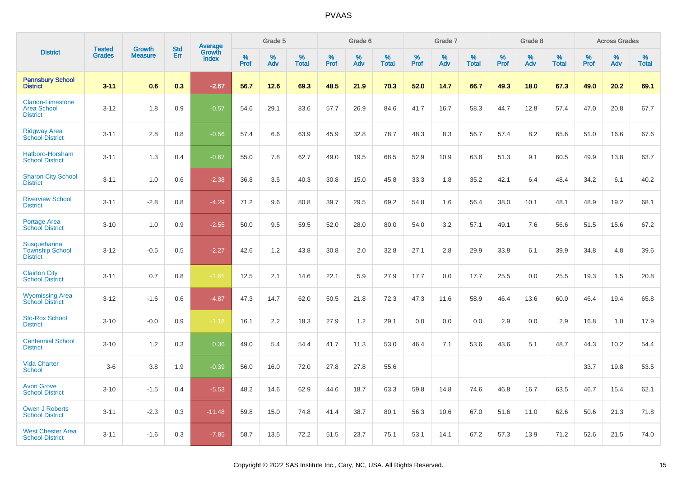|                                                                   | <b>Tested</b> | <b>Growth</b>  | <b>Std</b> | Average                |              | Grade 5  |                   |              | Grade 6  |                   |              | Grade 7  |                   |              | Grade 8  |                   |              | <b>Across Grades</b> |                   |
|-------------------------------------------------------------------|---------------|----------------|------------|------------------------|--------------|----------|-------------------|--------------|----------|-------------------|--------------|----------|-------------------|--------------|----------|-------------------|--------------|----------------------|-------------------|
| <b>District</b>                                                   | <b>Grades</b> | <b>Measure</b> | Err        | Growth<br><b>Index</b> | $\%$<br>Prof | %<br>Adv | %<br><b>Total</b> | $\%$<br>Prof | %<br>Adv | %<br><b>Total</b> | $\%$<br>Prof | %<br>Adv | %<br><b>Total</b> | $\%$<br>Prof | %<br>Adv | %<br><b>Total</b> | $\%$<br>Prof | %<br>Adv             | %<br><b>Total</b> |
| <b>Pennsbury School</b><br><b>District</b>                        | $3 - 11$      | 0.6            | 0.3        | $-2.67$                | 56.7         | 12.6     | 69.3              | 48.5         | 21.9     | 70.3              | 52.0         | 14.7     | 66.7              | 49.3         | 18.0     | 67.3              | 49.0         | 20.2                 | 69.1              |
| <b>Clarion-Limestone</b><br><b>Area School</b><br><b>District</b> | $3 - 12$      | 1.8            | 0.9        | $-0.57$                | 54.6         | 29.1     | 83.6              | 57.7         | 26.9     | 84.6              | 41.7         | 16.7     | 58.3              | 44.7         | 12.8     | 57.4              | 47.0         | 20.8                 | 67.7              |
| <b>Ridgway Area</b><br><b>School District</b>                     | $3 - 11$      | 2.8            | 0.8        | $-0.56$                | 57.4         | 6.6      | 63.9              | 45.9         | 32.8     | 78.7              | 48.3         | 8.3      | 56.7              | 57.4         | 8.2      | 65.6              | 51.0         | 16.6                 | 67.6              |
| Hatboro-Horsham<br><b>School District</b>                         | $3 - 11$      | 1.3            | 0.4        | $-0.67$                | 55.0         | 7.8      | 62.7              | 49.0         | 19.5     | 68.5              | 52.9         | 10.9     | 63.8              | 51.3         | 9.1      | 60.5              | 49.9         | 13.8                 | 63.7              |
| <b>Sharon City School</b><br><b>District</b>                      | $3 - 11$      | 1.0            | 0.6        | $-2.38$                | 36.8         | 3.5      | 40.3              | 30.8         | 15.0     | 45.8              | 33.3         | 1.8      | 35.2              | 42.1         | 6.4      | 48.4              | 34.2         | 6.1                  | 40.2              |
| <b>Riverview School</b><br><b>District</b>                        | $3 - 11$      | $-2.8$         | 0.8        | $-4.29$                | 71.2         | 9.6      | 80.8              | 39.7         | 29.5     | 69.2              | 54.8         | 1.6      | 56.4              | 38.0         | 10.1     | 48.1              | 48.9         | 19.2                 | 68.1              |
| <b>Portage Area</b><br><b>School District</b>                     | $3 - 10$      | 1.0            | 0.9        | $-2.55$                | 50.0         | 9.5      | 59.5              | 52.0         | 28.0     | 80.0              | 54.0         | 3.2      | 57.1              | 49.1         | 7.6      | 56.6              | 51.5         | 15.6                 | 67.2              |
| Susquehanna<br><b>Township School</b><br><b>District</b>          | $3 - 12$      | $-0.5$         | 0.5        | $-2.27$                | 42.6         | 1.2      | 43.8              | 30.8         | 2.0      | 32.8              | 27.1         | 2.8      | 29.9              | 33.8         | 6.1      | 39.9              | 34.8         | 4.8                  | 39.6              |
| <b>Clairton City</b><br><b>School District</b>                    | $3 - 11$      | 0.7            | 0.8        | $-1.61$                | 12.5         | 2.1      | 14.6              | 22.1         | 5.9      | 27.9              | 17.7         | 0.0      | 17.7              | 25.5         | 0.0      | 25.5              | 19.3         | 1.5                  | 20.8              |
| <b>Wyomissing Area</b><br><b>School District</b>                  | $3 - 12$      | $-1.6$         | 0.6        | $-4.87$                | 47.3         | 14.7     | 62.0              | 50.5         | 21.8     | 72.3              | 47.3         | 11.6     | 58.9              | 46.4         | 13.6     | 60.0              | 46.4         | 19.4                 | 65.8              |
| <b>Sto-Rox School</b><br><b>District</b>                          | $3 - 10$      | $-0.0$         | 0.9        | $-1.18$                | 16.1         | 2.2      | 18.3              | 27.9         | 1.2      | 29.1              | 0.0          | 0.0      | 0.0               | 2.9          | 0.0      | 2.9               | 16.8         | 1.0                  | 17.9              |
| <b>Centennial School</b><br><b>District</b>                       | $3 - 10$      | 1.2            | 0.3        | 0.36                   | 49.0         | 5.4      | 54.4              | 41.7         | 11.3     | 53.0              | 46.4         | 7.1      | 53.6              | 43.6         | 5.1      | 48.7              | 44.3         | 10.2                 | 54.4              |
| <b>Vida Charter</b><br>School                                     | $3-6$         | 3.8            | 1.9        | $-0.39$                | 56.0         | 16.0     | 72.0              | 27.8         | 27.8     | 55.6              |              |          |                   |              |          |                   | 33.7         | 19.8                 | 53.5              |
| <b>Avon Grove</b><br><b>School District</b>                       | $3 - 10$      | $-1.5$         | 0.4        | $-5.53$                | 48.2         | 14.6     | 62.9              | 44.6         | 18.7     | 63.3              | 59.8         | 14.8     | 74.6              | 46.8         | 16.7     | 63.5              | 46.7         | 15.4                 | 62.1              |
| <b>Owen J Roberts</b><br><b>School District</b>                   | $3 - 11$      | $-2.3$         | 0.3        | $-11.48$               | 59.8         | 15.0     | 74.8              | 41.4         | 38.7     | 80.1              | 56.3         | 10.6     | 67.0              | 51.6         | 11.0     | 62.6              | 50.6         | 21.3                 | 71.8              |
| <b>West Chester Area</b><br><b>School District</b>                | $3 - 11$      | $-1.6$         | 0.3        | $-7.85$                | 58.7         | 13.5     | 72.2              | 51.5         | 23.7     | 75.1              | 53.1         | 14.1     | 67.2              | 57.3         | 13.9     | 71.2              | 52.6         | 21.5                 | 74.0              |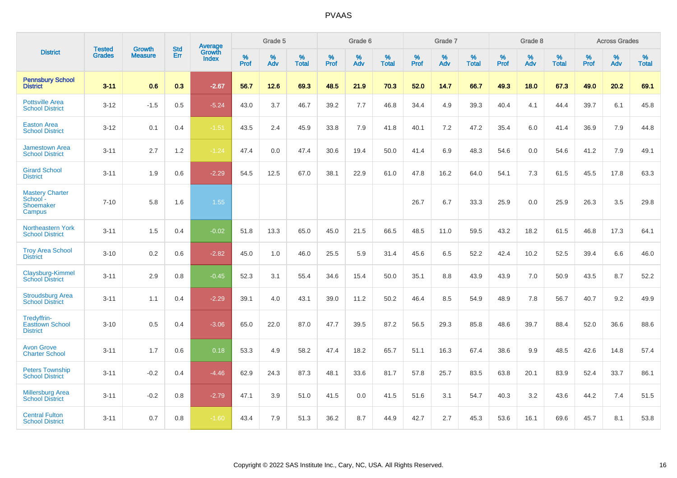|                                                           |                                |                                 | <b>Std</b> | <b>Average</b>                |           | Grade 5  |                   |           | Grade 6  |                   |           | Grade 7  |                   |           | Grade 8  |                   |           | <b>Across Grades</b> |                   |
|-----------------------------------------------------------|--------------------------------|---------------------------------|------------|-------------------------------|-----------|----------|-------------------|-----------|----------|-------------------|-----------|----------|-------------------|-----------|----------|-------------------|-----------|----------------------|-------------------|
| <b>District</b>                                           | <b>Tested</b><br><b>Grades</b> | <b>Growth</b><br><b>Measure</b> | Err        | <b>Growth</b><br><b>Index</b> | %<br>Prof | %<br>Adv | %<br><b>Total</b> | %<br>Prof | %<br>Adv | %<br><b>Total</b> | %<br>Prof | %<br>Adv | %<br><b>Total</b> | %<br>Prof | %<br>Adv | %<br><b>Total</b> | %<br>Prof | %<br>Adv             | %<br><b>Total</b> |
| <b>Pennsbury School</b><br><b>District</b>                | $3 - 11$                       | 0.6                             | 0.3        | $-2.67$                       | 56.7      | 12.6     | 69.3              | 48.5      | 21.9     | 70.3              | 52.0      | 14.7     | 66.7              | 49.3      | 18.0     | 67.3              | 49.0      | 20.2                 | 69.1              |
| <b>Pottsville Area</b><br><b>School District</b>          | $3 - 12$                       | $-1.5$                          | 0.5        | $-5.24$                       | 43.0      | 3.7      | 46.7              | 39.2      | 7.7      | 46.8              | 34.4      | 4.9      | 39.3              | 40.4      | 4.1      | 44.4              | 39.7      | 6.1                  | 45.8              |
| <b>Easton Area</b><br><b>School District</b>              | $3 - 12$                       | 0.1                             | 0.4        | $-1.51$                       | 43.5      | 2.4      | 45.9              | 33.8      | 7.9      | 41.8              | 40.1      | 7.2      | 47.2              | 35.4      | 6.0      | 41.4              | 36.9      | 7.9                  | 44.8              |
| <b>Jamestown Area</b><br><b>School District</b>           | $3 - 11$                       | 2.7                             | 1.2        | $-1.24$                       | 47.4      | 0.0      | 47.4              | 30.6      | 19.4     | 50.0              | 41.4      | 6.9      | 48.3              | 54.6      | 0.0      | 54.6              | 41.2      | 7.9                  | 49.1              |
| <b>Girard School</b><br><b>District</b>                   | $3 - 11$                       | 1.9                             | 0.6        | $-2.29$                       | 54.5      | 12.5     | 67.0              | 38.1      | 22.9     | 61.0              | 47.8      | 16.2     | 64.0              | 54.1      | 7.3      | 61.5              | 45.5      | 17.8                 | 63.3              |
| <b>Mastery Charter</b><br>School -<br>Shoemaker<br>Campus | $7 - 10$                       | 5.8                             | 1.6        | 1.55                          |           |          |                   |           |          |                   | 26.7      | 6.7      | 33.3              | 25.9      | 0.0      | 25.9              | 26.3      | 3.5                  | 29.8              |
| <b>Northeastern York</b><br><b>School District</b>        | $3 - 11$                       | 1.5                             | 0.4        | $-0.02$                       | 51.8      | 13.3     | 65.0              | 45.0      | 21.5     | 66.5              | 48.5      | 11.0     | 59.5              | 43.2      | 18.2     | 61.5              | 46.8      | 17.3                 | 64.1              |
| <b>Troy Area School</b><br><b>District</b>                | $3 - 10$                       | 0.2                             | 0.6        | $-2.82$                       | 45.0      | 1.0      | 46.0              | 25.5      | 5.9      | 31.4              | 45.6      | 6.5      | 52.2              | 42.4      | 10.2     | 52.5              | 39.4      | 6.6                  | 46.0              |
| Claysburg-Kimmel<br><b>School District</b>                | $3 - 11$                       | 2.9                             | 0.8        | $-0.45$                       | 52.3      | 3.1      | 55.4              | 34.6      | 15.4     | 50.0              | 35.1      | 8.8      | 43.9              | 43.9      | 7.0      | 50.9              | 43.5      | 8.7                  | 52.2              |
| Stroudsburg Area<br><b>School District</b>                | $3 - 11$                       | 1.1                             | 0.4        | $-2.29$                       | 39.1      | 4.0      | 43.1              | 39.0      | 11.2     | 50.2              | 46.4      | 8.5      | 54.9              | 48.9      | 7.8      | 56.7              | 40.7      | 9.2                  | 49.9              |
| Tredyffrin-<br><b>Easttown School</b><br><b>District</b>  | $3 - 10$                       | 0.5                             | 0.4        | $-3.06$                       | 65.0      | 22.0     | 87.0              | 47.7      | 39.5     | 87.2              | 56.5      | 29.3     | 85.8              | 48.6      | 39.7     | 88.4              | 52.0      | 36.6                 | 88.6              |
| <b>Avon Grove</b><br><b>Charter School</b>                | $3 - 11$                       | 1.7                             | 0.6        | 0.18                          | 53.3      | 4.9      | 58.2              | 47.4      | 18.2     | 65.7              | 51.1      | 16.3     | 67.4              | 38.6      | 9.9      | 48.5              | 42.6      | 14.8                 | 57.4              |
| <b>Peters Township</b><br><b>School District</b>          | $3 - 11$                       | $-0.2$                          | 0.4        | $-4.46$                       | 62.9      | 24.3     | 87.3              | 48.1      | 33.6     | 81.7              | 57.8      | 25.7     | 83.5              | 63.8      | 20.1     | 83.9              | 52.4      | 33.7                 | 86.1              |
| <b>Millersburg Area</b><br><b>School District</b>         | $3 - 11$                       | $-0.2$                          | 0.8        | $-2.79$                       | 47.1      | 3.9      | 51.0              | 41.5      | 0.0      | 41.5              | 51.6      | 3.1      | 54.7              | 40.3      | 3.2      | 43.6              | 44.2      | 7.4                  | 51.5              |
| <b>Central Fulton</b><br><b>School District</b>           | $3 - 11$                       | 0.7                             | 0.8        | $-1.60$                       | 43.4      | 7.9      | 51.3              | 36.2      | 8.7      | 44.9              | 42.7      | 2.7      | 45.3              | 53.6      | 16.1     | 69.6              | 45.7      | 8.1                  | 53.8              |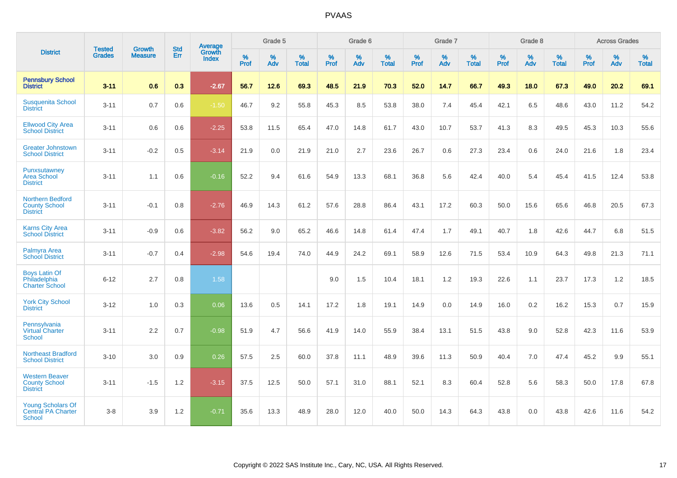|                                                                    | <b>Tested</b> | <b>Growth</b>  | <b>Std</b> | Average                |           | Grade 5  |                   |           | Grade 6  |                   |           | Grade 7  |                   |           | Grade 8  |                   |           | <b>Across Grades</b> |                   |
|--------------------------------------------------------------------|---------------|----------------|------------|------------------------|-----------|----------|-------------------|-----------|----------|-------------------|-----------|----------|-------------------|-----------|----------|-------------------|-----------|----------------------|-------------------|
| <b>District</b>                                                    | <b>Grades</b> | <b>Measure</b> | Err        | Growth<br><b>Index</b> | %<br>Prof | %<br>Adv | %<br><b>Total</b> | %<br>Prof | %<br>Adv | %<br><b>Total</b> | %<br>Prof | %<br>Adv | %<br><b>Total</b> | %<br>Prof | %<br>Adv | %<br><b>Total</b> | %<br>Prof | %<br>Adv             | %<br><b>Total</b> |
| <b>Pennsbury School</b><br><b>District</b>                         | $3 - 11$      | 0.6            | 0.3        | $-2.67$                | 56.7      | 12.6     | 69.3              | 48.5      | 21.9     | 70.3              | 52.0      | 14.7     | 66.7              | 49.3      | 18.0     | 67.3              | 49.0      | 20.2                 | 69.1              |
| <b>Susquenita School</b><br><b>District</b>                        | $3 - 11$      | 0.7            | 0.6        | $-1.50$                | 46.7      | 9.2      | 55.8              | 45.3      | 8.5      | 53.8              | 38.0      | 7.4      | 45.4              | 42.1      | 6.5      | 48.6              | 43.0      | 11.2                 | 54.2              |
| <b>Ellwood City Area</b><br><b>School District</b>                 | $3 - 11$      | 0.6            | 0.6        | $-2.25$                | 53.8      | 11.5     | 65.4              | 47.0      | 14.8     | 61.7              | 43.0      | 10.7     | 53.7              | 41.3      | 8.3      | 49.5              | 45.3      | 10.3                 | 55.6              |
| <b>Greater Johnstown</b><br><b>School District</b>                 | $3 - 11$      | $-0.2$         | 0.5        | $-3.14$                | 21.9      | 0.0      | 21.9              | 21.0      | 2.7      | 23.6              | 26.7      | 0.6      | 27.3              | 23.4      | 0.6      | 24.0              | 21.6      | 1.8                  | 23.4              |
| Punxsutawney<br><b>Area School</b><br><b>District</b>              | $3 - 11$      | 1.1            | 0.6        | $-0.16$                | 52.2      | 9.4      | 61.6              | 54.9      | 13.3     | 68.1              | 36.8      | 5.6      | 42.4              | 40.0      | 5.4      | 45.4              | 41.5      | 12.4                 | 53.8              |
| <b>Northern Bedford</b><br><b>County School</b><br><b>District</b> | $3 - 11$      | $-0.1$         | 0.8        | $-2.76$                | 46.9      | 14.3     | 61.2              | 57.6      | 28.8     | 86.4              | 43.1      | 17.2     | 60.3              | 50.0      | 15.6     | 65.6              | 46.8      | 20.5                 | 67.3              |
| <b>Karns City Area</b><br><b>School District</b>                   | $3 - 11$      | $-0.9$         | 0.6        | $-3.82$                | 56.2      | 9.0      | 65.2              | 46.6      | 14.8     | 61.4              | 47.4      | 1.7      | 49.1              | 40.7      | 1.8      | 42.6              | 44.7      | 6.8                  | 51.5              |
| Palmyra Area<br><b>School District</b>                             | $3 - 11$      | $-0.7$         | 0.4        | $-2.98$                | 54.6      | 19.4     | 74.0              | 44.9      | 24.2     | 69.1              | 58.9      | 12.6     | 71.5              | 53.4      | 10.9     | 64.3              | 49.8      | 21.3                 | 71.1              |
| <b>Boys Latin Of</b><br>Philadelphia<br><b>Charter School</b>      | $6 - 12$      | 2.7            | 0.8        | 1.58                   |           |          |                   | 9.0       | 1.5      | 10.4              | 18.1      | 1.2      | 19.3              | 22.6      | 1.1      | 23.7              | 17.3      | 1.2                  | 18.5              |
| <b>York City School</b><br><b>District</b>                         | $3 - 12$      | 1.0            | 0.3        | 0.06                   | 13.6      | 0.5      | 14.1              | 17.2      | 1.8      | 19.1              | 14.9      | 0.0      | 14.9              | 16.0      | 0.2      | 16.2              | 15.3      | 0.7                  | 15.9              |
| Pennsylvania<br><b>Virtual Charter</b><br><b>School</b>            | $3 - 11$      | 2.2            | 0.7        | $-0.98$                | 51.9      | 4.7      | 56.6              | 41.9      | 14.0     | 55.9              | 38.4      | 13.1     | 51.5              | 43.8      | 9.0      | 52.8              | 42.3      | 11.6                 | 53.9              |
| <b>Northeast Bradford</b><br><b>School District</b>                | $3 - 10$      | 3.0            | 0.9        | 0.26                   | 57.5      | 2.5      | 60.0              | 37.8      | 11.1     | 48.9              | 39.6      | 11.3     | 50.9              | 40.4      | 7.0      | 47.4              | 45.2      | 9.9                  | 55.1              |
| <b>Western Beaver</b><br><b>County School</b><br><b>District</b>   | $3 - 11$      | $-1.5$         | 1.2        | $-3.15$                | 37.5      | 12.5     | 50.0              | 57.1      | 31.0     | 88.1              | 52.1      | 8.3      | 60.4              | 52.8      | 5.6      | 58.3              | 50.0      | 17.8                 | 67.8              |
| <b>Young Scholars Of</b><br><b>Central PA Charter</b><br>School    | $3-8$         | 3.9            | 1.2        | $-0.71$                | 35.6      | 13.3     | 48.9              | 28.0      | 12.0     | 40.0              | 50.0      | 14.3     | 64.3              | 43.8      | 0.0      | 43.8              | 42.6      | 11.6                 | 54.2              |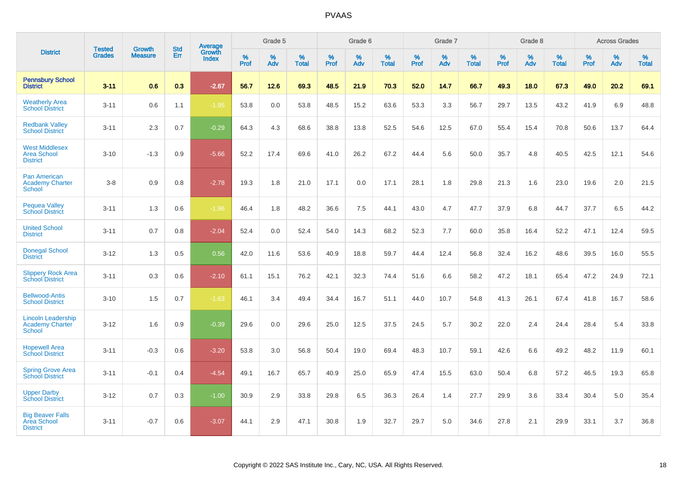|                                                                  | <b>Tested</b> | <b>Growth</b>  | <b>Std</b> |                                          |           | Grade 5  |                   |           | Grade 6  |                   |           | Grade 7  |                   |           | Grade 8  |                   |           | <b>Across Grades</b> |                   |
|------------------------------------------------------------------|---------------|----------------|------------|------------------------------------------|-----------|----------|-------------------|-----------|----------|-------------------|-----------|----------|-------------------|-----------|----------|-------------------|-----------|----------------------|-------------------|
| <b>District</b>                                                  | <b>Grades</b> | <b>Measure</b> | Err        | <b>Average</b><br>Growth<br><b>Index</b> | %<br>Prof | %<br>Adv | %<br><b>Total</b> | %<br>Prof | %<br>Adv | %<br><b>Total</b> | %<br>Prof | %<br>Adv | %<br><b>Total</b> | %<br>Prof | %<br>Adv | %<br><b>Total</b> | %<br>Prof | %<br>Adv             | %<br><b>Total</b> |
| <b>Pennsbury School</b><br><b>District</b>                       | $3 - 11$      | 0.6            | 0.3        | $-2.67$                                  | 56.7      | 12.6     | 69.3              | 48.5      | 21.9     | 70.3              | 52.0      | 14.7     | 66.7              | 49.3      | 18.0     | 67.3              | 49.0      | 20.2                 | 69.1              |
| <b>Weatherly Area</b><br><b>School District</b>                  | $3 - 11$      | 0.6            | 1.1        | $-1.95$                                  | 53.8      | 0.0      | 53.8              | 48.5      | 15.2     | 63.6              | 53.3      | 3.3      | 56.7              | 29.7      | 13.5     | 43.2              | 41.9      | 6.9                  | 48.8              |
| <b>Redbank Valley</b><br><b>School District</b>                  | $3 - 11$      | 2.3            | 0.7        | $-0.29$                                  | 64.3      | 4.3      | 68.6              | 38.8      | 13.8     | 52.5              | 54.6      | 12.5     | 67.0              | 55.4      | 15.4     | 70.8              | 50.6      | 13.7                 | 64.4              |
| <b>West Middlesex</b><br><b>Area School</b><br><b>District</b>   | $3 - 10$      | $-1.3$         | 0.9        | $-5.66$                                  | 52.2      | 17.4     | 69.6              | 41.0      | 26.2     | 67.2              | 44.4      | 5.6      | 50.0              | 35.7      | 4.8      | 40.5              | 42.5      | 12.1                 | 54.6              |
| <b>Pan American</b><br><b>Academy Charter</b><br><b>School</b>   | $3-8$         | 0.9            | 0.8        | $-2.78$                                  | 19.3      | 1.8      | 21.0              | 17.1      | 0.0      | 17.1              | 28.1      | 1.8      | 29.8              | 21.3      | 1.6      | 23.0              | 19.6      | 2.0                  | 21.5              |
| <b>Pequea Valley</b><br><b>School District</b>                   | $3 - 11$      | 1.3            | 0.6        | $-1.96$                                  | 46.4      | 1.8      | 48.2              | 36.6      | 7.5      | 44.1              | 43.0      | 4.7      | 47.7              | 37.9      | 6.8      | 44.7              | 37.7      | 6.5                  | 44.2              |
| <b>United School</b><br><b>District</b>                          | $3 - 11$      | 0.7            | 0.8        | $-2.04$                                  | 52.4      | 0.0      | 52.4              | 54.0      | 14.3     | 68.2              | 52.3      | 7.7      | 60.0              | 35.8      | 16.4     | 52.2              | 47.1      | 12.4                 | 59.5              |
| <b>Donegal School</b><br><b>District</b>                         | $3 - 12$      | 1.3            | 0.5        | 0.56                                     | 42.0      | 11.6     | 53.6              | 40.9      | 18.8     | 59.7              | 44.4      | 12.4     | 56.8              | 32.4      | 16.2     | 48.6              | 39.5      | 16.0                 | 55.5              |
| <b>Slippery Rock Area</b><br><b>School District</b>              | $3 - 11$      | 0.3            | 0.6        | $-2.10$                                  | 61.1      | 15.1     | 76.2              | 42.1      | 32.3     | 74.4              | 51.6      | 6.6      | 58.2              | 47.2      | 18.1     | 65.4              | 47.2      | 24.9                 | 72.1              |
| <b>Bellwood-Antis</b><br><b>School District</b>                  | $3 - 10$      | 1.5            | 0.7        | $-1.63$                                  | 46.1      | 3.4      | 49.4              | 34.4      | 16.7     | 51.1              | 44.0      | 10.7     | 54.8              | 41.3      | 26.1     | 67.4              | 41.8      | 16.7                 | 58.6              |
| <b>Lincoln Leadership</b><br><b>Academy Charter</b><br>School    | $3 - 12$      | 1.6            | 0.9        | $-0.39$                                  | 29.6      | 0.0      | 29.6              | 25.0      | 12.5     | 37.5              | 24.5      | 5.7      | 30.2              | 22.0      | 2.4      | 24.4              | 28.4      | 5.4                  | 33.8              |
| <b>Hopewell Area</b><br><b>School District</b>                   | $3 - 11$      | $-0.3$         | 0.6        | $-3.20$                                  | 53.8      | 3.0      | 56.8              | 50.4      | 19.0     | 69.4              | 48.3      | 10.7     | 59.1              | 42.6      | 6.6      | 49.2              | 48.2      | 11.9                 | 60.1              |
| <b>Spring Grove Area</b><br><b>School District</b>               | $3 - 11$      | $-0.1$         | 0.4        | $-4.54$                                  | 49.1      | 16.7     | 65.7              | 40.9      | 25.0     | 65.9              | 47.4      | 15.5     | 63.0              | 50.4      | 6.8      | 57.2              | 46.5      | 19.3                 | 65.8              |
| <b>Upper Darby</b><br><b>School District</b>                     | $3 - 12$      | 0.7            | 0.3        | $-1.00$                                  | 30.9      | 2.9      | 33.8              | 29.8      | 6.5      | 36.3              | 26.4      | 1.4      | 27.7              | 29.9      | 3.6      | 33.4              | 30.4      | 5.0                  | 35.4              |
| <b>Big Beaver Falls</b><br><b>Area School</b><br><b>District</b> | $3 - 11$      | $-0.7$         | 0.6        | $-3.07$                                  | 44.1      | 2.9      | 47.1              | 30.8      | 1.9      | 32.7              | 29.7      | 5.0      | 34.6              | 27.8      | 2.1      | 29.9              | 33.1      | 3.7                  | 36.8              |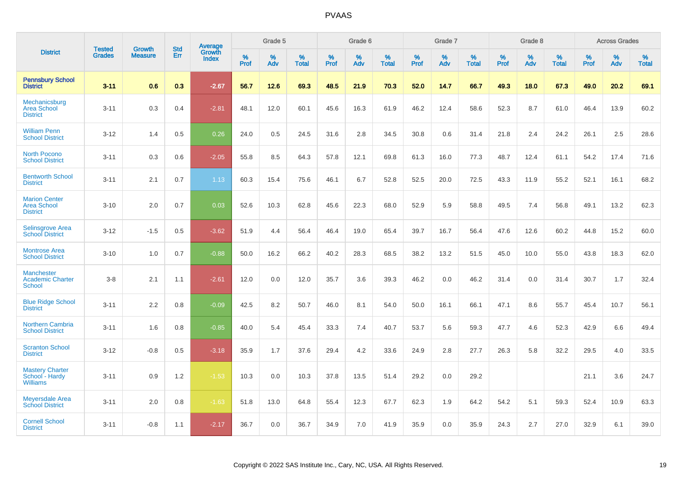|                                                               |                                |                                 | <b>Std</b> | Average                |              | Grade 5  |                   |           | Grade 6  |                   |           | Grade 7  |                   |              | Grade 8  |                   |              | <b>Across Grades</b> |                   |
|---------------------------------------------------------------|--------------------------------|---------------------------------|------------|------------------------|--------------|----------|-------------------|-----------|----------|-------------------|-----------|----------|-------------------|--------------|----------|-------------------|--------------|----------------------|-------------------|
| <b>District</b>                                               | <b>Tested</b><br><b>Grades</b> | <b>Growth</b><br><b>Measure</b> | Err        | Growth<br><b>Index</b> | $\%$<br>Prof | %<br>Adv | %<br><b>Total</b> | %<br>Prof | %<br>Adv | %<br><b>Total</b> | %<br>Prof | %<br>Adv | %<br><b>Total</b> | $\%$<br>Prof | %<br>Adv | %<br><b>Total</b> | $\%$<br>Prof | %<br>Adv             | %<br><b>Total</b> |
| <b>Pennsbury School</b><br><b>District</b>                    | $3 - 11$                       | 0.6                             | 0.3        | $-2.67$                | 56.7         | 12.6     | 69.3              | 48.5      | 21.9     | 70.3              | 52.0      | 14.7     | 66.7              | 49.3         | 18.0     | 67.3              | 49.0         | 20.2                 | 69.1              |
| Mechanicsburg<br><b>Area School</b><br><b>District</b>        | $3 - 11$                       | 0.3                             | 0.4        | $-2.81$                | 48.1         | 12.0     | 60.1              | 45.6      | 16.3     | 61.9              | 46.2      | 12.4     | 58.6              | 52.3         | 8.7      | 61.0              | 46.4         | 13.9                 | 60.2              |
| <b>William Penn</b><br><b>School District</b>                 | $3 - 12$                       | 1.4                             | 0.5        | 0.26                   | 24.0         | 0.5      | 24.5              | 31.6      | 2.8      | 34.5              | 30.8      | 0.6      | 31.4              | 21.8         | 2.4      | 24.2              | 26.1         | 2.5                  | 28.6              |
| <b>North Pocono</b><br><b>School District</b>                 | $3 - 11$                       | 0.3                             | 0.6        | $-2.05$                | 55.8         | 8.5      | 64.3              | 57.8      | 12.1     | 69.8              | 61.3      | 16.0     | 77.3              | 48.7         | 12.4     | 61.1              | 54.2         | 17.4                 | 71.6              |
| <b>Bentworth School</b><br><b>District</b>                    | $3 - 11$                       | 2.1                             | 0.7        | 1.13                   | 60.3         | 15.4     | 75.6              | 46.1      | 6.7      | 52.8              | 52.5      | 20.0     | 72.5              | 43.3         | 11.9     | 55.2              | 52.1         | 16.1                 | 68.2              |
| <b>Marion Center</b><br><b>Area School</b><br><b>District</b> | $3 - 10$                       | 2.0                             | 0.7        | 0.03                   | 52.6         | 10.3     | 62.8              | 45.6      | 22.3     | 68.0              | 52.9      | 5.9      | 58.8              | 49.5         | 7.4      | 56.8              | 49.1         | 13.2                 | 62.3              |
| Selinsgrove Area<br><b>School District</b>                    | $3 - 12$                       | $-1.5$                          | 0.5        | $-3.62$                | 51.9         | 4.4      | 56.4              | 46.4      | 19.0     | 65.4              | 39.7      | 16.7     | 56.4              | 47.6         | 12.6     | 60.2              | 44.8         | 15.2                 | 60.0              |
| <b>Montrose Area</b><br><b>School District</b>                | $3 - 10$                       | 1.0                             | 0.7        | $-0.88$                | 50.0         | 16.2     | 66.2              | 40.2      | 28.3     | 68.5              | 38.2      | 13.2     | 51.5              | 45.0         | 10.0     | 55.0              | 43.8         | 18.3                 | 62.0              |
| <b>Manchester</b><br><b>Academic Charter</b><br><b>School</b> | $3-8$                          | 2.1                             | 1.1        | $-2.61$                | 12.0         | 0.0      | 12.0              | 35.7      | 3.6      | 39.3              | 46.2      | 0.0      | 46.2              | 31.4         | 0.0      | 31.4              | 30.7         | 1.7                  | 32.4              |
| <b>Blue Ridge School</b><br><b>District</b>                   | $3 - 11$                       | 2.2                             | 0.8        | $-0.09$                | 42.5         | 8.2      | 50.7              | 46.0      | 8.1      | 54.0              | 50.0      | 16.1     | 66.1              | 47.1         | 8.6      | 55.7              | 45.4         | 10.7                 | 56.1              |
| <b>Northern Cambria</b><br><b>School District</b>             | $3 - 11$                       | 1.6                             | 0.8        | $-0.85$                | 40.0         | 5.4      | 45.4              | 33.3      | 7.4      | 40.7              | 53.7      | 5.6      | 59.3              | 47.7         | 4.6      | 52.3              | 42.9         | 6.6                  | 49.4              |
| <b>Scranton School</b><br><b>District</b>                     | $3 - 12$                       | $-0.8$                          | 0.5        | $-3.18$                | 35.9         | 1.7      | 37.6              | 29.4      | 4.2      | 33.6              | 24.9      | 2.8      | 27.7              | 26.3         | 5.8      | 32.2              | 29.5         | 4.0                  | 33.5              |
| <b>Mastery Charter</b><br>School - Hardy<br><b>Williams</b>   | $3 - 11$                       | 0.9                             | 1.2        | $-1.53$                | 10.3         | 0.0      | 10.3              | 37.8      | 13.5     | 51.4              | 29.2      | 0.0      | 29.2              |              |          |                   | 21.1         | 3.6                  | 24.7              |
| <b>Meyersdale Area</b><br><b>School District</b>              | $3 - 11$                       | 2.0                             | 0.8        | $-1.63$                | 51.8         | 13.0     | 64.8              | 55.4      | 12.3     | 67.7              | 62.3      | 1.9      | 64.2              | 54.2         | 5.1      | 59.3              | 52.4         | 10.9                 | 63.3              |
| <b>Cornell School</b><br><b>District</b>                      | $3 - 11$                       | $-0.8$                          | 1.1        | $-2.17$                | 36.7         | 0.0      | 36.7              | 34.9      | 7.0      | 41.9              | 35.9      | 0.0      | 35.9              | 24.3         | 2.7      | 27.0              | 32.9         | 6.1                  | 39.0              |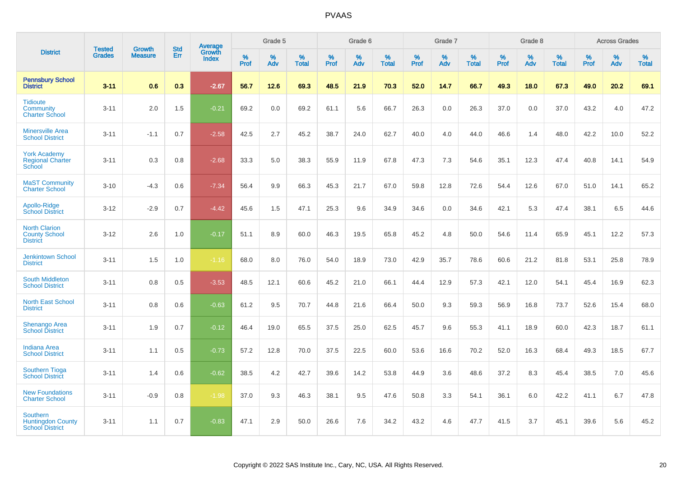|                                                                       |                                | <b>Growth</b>  | <b>Std</b> |                                          |           | Grade 5  |                   |                  | Grade 6  |                   |           | Grade 7  |                   |           | Grade 8  |                   |                  | <b>Across Grades</b> |                   |
|-----------------------------------------------------------------------|--------------------------------|----------------|------------|------------------------------------------|-----------|----------|-------------------|------------------|----------|-------------------|-----------|----------|-------------------|-----------|----------|-------------------|------------------|----------------------|-------------------|
| <b>District</b>                                                       | <b>Tested</b><br><b>Grades</b> | <b>Measure</b> | Err        | <b>Average</b><br>Growth<br><b>Index</b> | %<br>Prof | %<br>Adv | %<br><b>Total</b> | %<br><b>Prof</b> | %<br>Adv | %<br><b>Total</b> | %<br>Prof | %<br>Adv | %<br><b>Total</b> | %<br>Prof | %<br>Adv | %<br><b>Total</b> | %<br><b>Prof</b> | %<br>Adv             | %<br><b>Total</b> |
| <b>Pennsbury School</b><br><b>District</b>                            | $3 - 11$                       | 0.6            | 0.3        | $-2.67$                                  | 56.7      | 12.6     | 69.3              | 48.5             | 21.9     | 70.3              | 52.0      | 14.7     | 66.7              | 49.3      | 18.0     | 67.3              | 49.0             | 20.2                 | 69.1              |
| <b>Tidioute</b><br>Community<br><b>Charter School</b>                 | $3 - 11$                       | 2.0            | 1.5        | $-0.21$                                  | 69.2      | 0.0      | 69.2              | 61.1             | 5.6      | 66.7              | 26.3      | 0.0      | 26.3              | 37.0      | 0.0      | 37.0              | 43.2             | 4.0                  | 47.2              |
| <b>Minersville Area</b><br><b>School District</b>                     | $3 - 11$                       | $-1.1$         | 0.7        | $-2.58$                                  | 42.5      | 2.7      | 45.2              | 38.7             | 24.0     | 62.7              | 40.0      | 4.0      | 44.0              | 46.6      | 1.4      | 48.0              | 42.2             | 10.0                 | 52.2              |
| <b>York Academy</b><br><b>Regional Charter</b><br>School              | $3 - 11$                       | 0.3            | 0.8        | $-2.68$                                  | 33.3      | 5.0      | 38.3              | 55.9             | 11.9     | 67.8              | 47.3      | 7.3      | 54.6              | 35.1      | 12.3     | 47.4              | 40.8             | 14.1                 | 54.9              |
| <b>MaST Community</b><br><b>Charter School</b>                        | $3 - 10$                       | $-4.3$         | 0.6        | $-7.34$                                  | 56.4      | 9.9      | 66.3              | 45.3             | 21.7     | 67.0              | 59.8      | 12.8     | 72.6              | 54.4      | 12.6     | 67.0              | 51.0             | 14.1                 | 65.2              |
| Apollo-Ridge<br><b>School District</b>                                | $3 - 12$                       | $-2.9$         | 0.7        | $-4.42$                                  | 45.6      | 1.5      | 47.1              | 25.3             | 9.6      | 34.9              | 34.6      | 0.0      | 34.6              | 42.1      | 5.3      | 47.4              | 38.1             | 6.5                  | 44.6              |
| <b>North Clarion</b><br><b>County School</b><br><b>District</b>       | $3 - 12$                       | 2.6            | 1.0        | $-0.17$                                  | 51.1      | 8.9      | 60.0              | 46.3             | 19.5     | 65.8              | 45.2      | 4.8      | 50.0              | 54.6      | 11.4     | 65.9              | 45.1             | 12.2                 | 57.3              |
| <b>Jenkintown School</b><br><b>District</b>                           | $3 - 11$                       | 1.5            | 1.0        | $-1.16$                                  | 68.0      | 8.0      | 76.0              | 54.0             | 18.9     | 73.0              | 42.9      | 35.7     | 78.6              | 60.6      | 21.2     | 81.8              | 53.1             | 25.8                 | 78.9              |
| <b>South Middleton</b><br><b>School District</b>                      | $3 - 11$                       | 0.8            | 0.5        | $-3.53$                                  | 48.5      | 12.1     | 60.6              | 45.2             | 21.0     | 66.1              | 44.4      | 12.9     | 57.3              | 42.1      | 12.0     | 54.1              | 45.4             | 16.9                 | 62.3              |
| <b>North East School</b><br><b>District</b>                           | $3 - 11$                       | 0.8            | 0.6        | $-0.63$                                  | 61.2      | 9.5      | 70.7              | 44.8             | 21.6     | 66.4              | 50.0      | 9.3      | 59.3              | 56.9      | 16.8     | 73.7              | 52.6             | 15.4                 | 68.0              |
| <b>Shenango Area</b><br><b>School District</b>                        | $3 - 11$                       | 1.9            | 0.7        | $-0.12$                                  | 46.4      | 19.0     | 65.5              | 37.5             | 25.0     | 62.5              | 45.7      | 9.6      | 55.3              | 41.1      | 18.9     | 60.0              | 42.3             | 18.7                 | 61.1              |
| <b>Indiana Area</b><br><b>School District</b>                         | $3 - 11$                       | 1.1            | 0.5        | $-0.73$                                  | 57.2      | 12.8     | 70.0              | 37.5             | 22.5     | 60.0              | 53.6      | 16.6     | 70.2              | 52.0      | 16.3     | 68.4              | 49.3             | 18.5                 | 67.7              |
| <b>Southern Tioga</b><br><b>School District</b>                       | $3 - 11$                       | 1.4            | 0.6        | $-0.62$                                  | 38.5      | 4.2      | 42.7              | 39.6             | 14.2     | 53.8              | 44.9      | 3.6      | 48.6              | 37.2      | 8.3      | 45.4              | 38.5             | 7.0                  | 45.6              |
| <b>New Foundations</b><br><b>Charter School</b>                       | $3 - 11$                       | $-0.9$         | 0.8        | $-1.98$                                  | 37.0      | 9.3      | 46.3              | 38.1             | 9.5      | 47.6              | 50.8      | 3.3      | 54.1              | 36.1      | 6.0      | 42.2              | 41.1             | 6.7                  | 47.8              |
| <b>Southern</b><br><b>Huntingdon County</b><br><b>School District</b> | $3 - 11$                       | 1.1            | 0.7        | $-0.83$                                  | 47.1      | 2.9      | 50.0              | 26.6             | 7.6      | 34.2              | 43.2      | 4.6      | 47.7              | 41.5      | 3.7      | 45.1              | 39.6             | 5.6                  | 45.2              |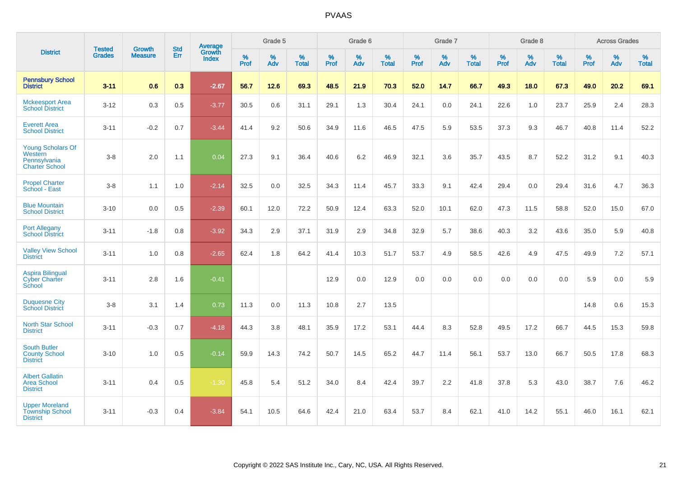|                                                                              |                                |                                 | <b>Std</b> | Average                |              | Grade 5  |                   |           | Grade 6  |                   |           | Grade 7  |                   |           | Grade 8  |                   |           | <b>Across Grades</b> |                   |
|------------------------------------------------------------------------------|--------------------------------|---------------------------------|------------|------------------------|--------------|----------|-------------------|-----------|----------|-------------------|-----------|----------|-------------------|-----------|----------|-------------------|-----------|----------------------|-------------------|
| <b>District</b>                                                              | <b>Tested</b><br><b>Grades</b> | <b>Growth</b><br><b>Measure</b> | Err        | Growth<br><b>Index</b> | $\%$<br>Prof | %<br>Adv | %<br><b>Total</b> | %<br>Prof | %<br>Adv | %<br><b>Total</b> | %<br>Prof | %<br>Adv | %<br><b>Total</b> | %<br>Prof | %<br>Adv | %<br><b>Total</b> | %<br>Prof | %<br>Adv             | %<br><b>Total</b> |
| <b>Pennsbury School</b><br><b>District</b>                                   | $3 - 11$                       | 0.6                             | 0.3        | $-2.67$                | 56.7         | 12.6     | 69.3              | 48.5      | 21.9     | 70.3              | 52.0      | 14.7     | 66.7              | 49.3      | 18.0     | 67.3              | 49.0      | 20.2                 | 69.1              |
| <b>Mckeesport Area</b><br><b>School District</b>                             | $3 - 12$                       | 0.3                             | 0.5        | $-3.77$                | 30.5         | 0.6      | 31.1              | 29.1      | 1.3      | 30.4              | 24.1      | 0.0      | 24.1              | 22.6      | 1.0      | 23.7              | 25.9      | 2.4                  | 28.3              |
| <b>Everett Area</b><br><b>School District</b>                                | $3 - 11$                       | $-0.2$                          | 0.7        | $-3.44$                | 41.4         | 9.2      | 50.6              | 34.9      | 11.6     | 46.5              | 47.5      | 5.9      | 53.5              | 37.3      | 9.3      | 46.7              | 40.8      | 11.4                 | 52.2              |
| <b>Young Scholars Of</b><br>Western<br>Pennsylvania<br><b>Charter School</b> | $3-8$                          | 2.0                             | 1.1        | 0.04                   | 27.3         | 9.1      | 36.4              | 40.6      | 6.2      | 46.9              | 32.1      | 3.6      | 35.7              | 43.5      | 8.7      | 52.2              | 31.2      | 9.1                  | 40.3              |
| <b>Propel Charter</b><br>School - East                                       | $3-8$                          | 1.1                             | 1.0        | $-2.14$                | 32.5         | 0.0      | 32.5              | 34.3      | 11.4     | 45.7              | 33.3      | 9.1      | 42.4              | 29.4      | 0.0      | 29.4              | 31.6      | 4.7                  | 36.3              |
| <b>Blue Mountain</b><br><b>School District</b>                               | $3 - 10$                       | 0.0                             | 0.5        | $-2.39$                | 60.1         | 12.0     | 72.2              | 50.9      | 12.4     | 63.3              | 52.0      | 10.1     | 62.0              | 47.3      | 11.5     | 58.8              | 52.0      | 15.0                 | 67.0              |
| <b>Port Allegany</b><br><b>School District</b>                               | $3 - 11$                       | $-1.8$                          | 0.8        | $-3.92$                | 34.3         | 2.9      | 37.1              | 31.9      | 2.9      | 34.8              | 32.9      | 5.7      | 38.6              | 40.3      | 3.2      | 43.6              | 35.0      | 5.9                  | 40.8              |
| <b>Valley View School</b><br><b>District</b>                                 | $3 - 11$                       | 1.0                             | 0.8        | $-2.65$                | 62.4         | 1.8      | 64.2              | 41.4      | 10.3     | 51.7              | 53.7      | 4.9      | 58.5              | 42.6      | 4.9      | 47.5              | 49.9      | 7.2                  | 57.1              |
| <b>Aspira Bilingual</b><br><b>Cyber Charter</b><br>School                    | $3 - 11$                       | 2.8                             | 1.6        | $-0.41$                |              |          |                   | 12.9      | 0.0      | 12.9              | 0.0       | 0.0      | 0.0               | 0.0       | 0.0      | 0.0               | 5.9       | 0.0                  | 5.9               |
| <b>Duquesne City</b><br><b>School District</b>                               | $3-8$                          | 3.1                             | 1.4        | 0.73                   | 11.3         | 0.0      | 11.3              | 10.8      | 2.7      | 13.5              |           |          |                   |           |          |                   | 14.8      | 0.6                  | 15.3              |
| <b>North Star School</b><br><b>District</b>                                  | $3 - 11$                       | $-0.3$                          | 0.7        | $-4.18$                | 44.3         | 3.8      | 48.1              | 35.9      | 17.2     | 53.1              | 44.4      | 8.3      | 52.8              | 49.5      | 17.2     | 66.7              | 44.5      | 15.3                 | 59.8              |
| <b>South Butler</b><br><b>County School</b><br><b>District</b>               | $3 - 10$                       | 1.0                             | 0.5        | $-0.14$                | 59.9         | 14.3     | 74.2              | 50.7      | 14.5     | 65.2              | 44.7      | 11.4     | 56.1              | 53.7      | 13.0     | 66.7              | 50.5      | 17.8                 | 68.3              |
| <b>Albert Gallatin</b><br><b>Area School</b><br><b>District</b>              | $3 - 11$                       | 0.4                             | 0.5        | $-1.30$                | 45.8         | 5.4      | 51.2              | 34.0      | 8.4      | 42.4              | 39.7      | 2.2      | 41.8              | 37.8      | 5.3      | 43.0              | 38.7      | 7.6                  | 46.2              |
| <b>Upper Moreland</b><br><b>Township School</b><br><b>District</b>           | $3 - 11$                       | $-0.3$                          | 0.4        | $-3.84$                | 54.1         | 10.5     | 64.6              | 42.4      | 21.0     | 63.4              | 53.7      | 8.4      | 62.1              | 41.0      | 14.2     | 55.1              | 46.0      | 16.1                 | 62.1              |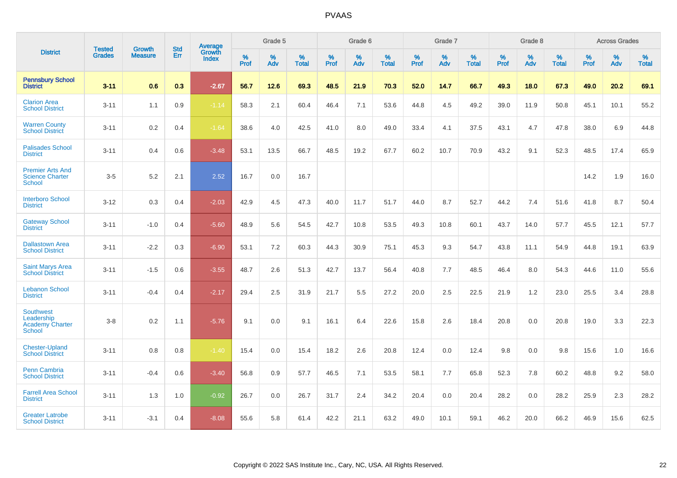|                                                                    |                                |                                 | <b>Std</b> | Average                       |           | Grade 5  |                   |           | Grade 6  |                   |           | Grade 7  |                   |           | Grade 8  |                   |           | <b>Across Grades</b> |                   |
|--------------------------------------------------------------------|--------------------------------|---------------------------------|------------|-------------------------------|-----------|----------|-------------------|-----------|----------|-------------------|-----------|----------|-------------------|-----------|----------|-------------------|-----------|----------------------|-------------------|
| <b>District</b>                                                    | <b>Tested</b><br><b>Grades</b> | <b>Growth</b><br><b>Measure</b> | Err        | <b>Growth</b><br><b>Index</b> | %<br>Prof | %<br>Adv | %<br><b>Total</b> | %<br>Prof | %<br>Adv | %<br><b>Total</b> | %<br>Prof | %<br>Adv | %<br><b>Total</b> | %<br>Prof | %<br>Adv | %<br><b>Total</b> | %<br>Prof | %<br>Adv             | %<br><b>Total</b> |
| <b>Pennsbury School</b><br><b>District</b>                         | $3 - 11$                       | 0.6                             | 0.3        | $-2.67$                       | 56.7      | 12.6     | 69.3              | 48.5      | 21.9     | 70.3              | 52.0      | 14.7     | 66.7              | 49.3      | 18.0     | 67.3              | 49.0      | 20.2                 | 69.1              |
| <b>Clarion Area</b><br><b>School District</b>                      | $3 - 11$                       | 1.1                             | 0.9        | $-1.14$                       | 58.3      | 2.1      | 60.4              | 46.4      | 7.1      | 53.6              | 44.8      | 4.5      | 49.2              | 39.0      | 11.9     | 50.8              | 45.1      | 10.1                 | 55.2              |
| <b>Warren County</b><br>School District                            | $3 - 11$                       | 0.2                             | 0.4        | $-1.64$                       | 38.6      | 4.0      | 42.5              | 41.0      | 8.0      | 49.0              | 33.4      | 4.1      | 37.5              | 43.1      | 4.7      | 47.8              | 38.0      | 6.9                  | 44.8              |
| <b>Palisades School</b><br><b>District</b>                         | $3 - 11$                       | 0.4                             | 0.6        | $-3.48$                       | 53.1      | 13.5     | 66.7              | 48.5      | 19.2     | 67.7              | 60.2      | 10.7     | 70.9              | 43.2      | 9.1      | 52.3              | 48.5      | 17.4                 | 65.9              |
| <b>Premier Arts And</b><br><b>Science Charter</b><br>School        | $3-5$                          | 5.2                             | 2.1        | 2.52                          | 16.7      | 0.0      | 16.7              |           |          |                   |           |          |                   |           |          |                   | 14.2      | 1.9                  | 16.0              |
| <b>Interboro School</b><br><b>District</b>                         | $3 - 12$                       | 0.3                             | 0.4        | $-2.03$                       | 42.9      | 4.5      | 47.3              | 40.0      | 11.7     | 51.7              | 44.0      | 8.7      | 52.7              | 44.2      | 7.4      | 51.6              | 41.8      | 8.7                  | 50.4              |
| <b>Gateway School</b><br><b>District</b>                           | $3 - 11$                       | $-1.0$                          | 0.4        | $-5.60$                       | 48.9      | 5.6      | 54.5              | 42.7      | 10.8     | 53.5              | 49.3      | 10.8     | 60.1              | 43.7      | 14.0     | 57.7              | 45.5      | 12.1                 | 57.7              |
| <b>Dallastown Area</b><br><b>School District</b>                   | $3 - 11$                       | $-2.2$                          | 0.3        | $-6.90$                       | 53.1      | 7.2      | 60.3              | 44.3      | 30.9     | 75.1              | 45.3      | 9.3      | 54.7              | 43.8      | 11.1     | 54.9              | 44.8      | 19.1                 | 63.9              |
| <b>Saint Marys Area</b><br><b>School District</b>                  | $3 - 11$                       | $-1.5$                          | 0.6        | $-3.55$                       | 48.7      | 2.6      | 51.3              | 42.7      | 13.7     | 56.4              | 40.8      | 7.7      | 48.5              | 46.4      | 8.0      | 54.3              | 44.6      | 11.0                 | 55.6              |
| <b>Lebanon School</b><br><b>District</b>                           | $3 - 11$                       | $-0.4$                          | 0.4        | $-2.17$                       | 29.4      | 2.5      | 31.9              | 21.7      | 5.5      | 27.2              | 20.0      | 2.5      | 22.5              | 21.9      | 1.2      | 23.0              | 25.5      | 3.4                  | 28.8              |
| <b>Southwest</b><br>Leadership<br><b>Academy Charter</b><br>School | $3 - 8$                        | 0.2                             | 1.1        | $-5.76$                       | 9.1       | 0.0      | 9.1               | 16.1      | 6.4      | 22.6              | 15.8      | 2.6      | 18.4              | 20.8      | 0.0      | 20.8              | 19.0      | 3.3                  | 22.3              |
| <b>Chester-Upland</b><br><b>School District</b>                    | $3 - 11$                       | 0.8                             | 0.8        | $-1.40$                       | 15.4      | 0.0      | 15.4              | 18.2      | 2.6      | 20.8              | 12.4      | 0.0      | 12.4              | 9.8       | 0.0      | 9.8               | 15.6      | 1.0                  | 16.6              |
| Penn Cambria<br><b>School District</b>                             | $3 - 11$                       | $-0.4$                          | 0.6        | $-3.40$                       | 56.8      | 0.9      | 57.7              | 46.5      | 7.1      | 53.5              | 58.1      | 7.7      | 65.8              | 52.3      | 7.8      | 60.2              | 48.8      | 9.2                  | 58.0              |
| <b>Farrell Area School</b><br><b>District</b>                      | $3 - 11$                       | 1.3                             | 1.0        | $-0.92$                       | 26.7      | 0.0      | 26.7              | 31.7      | 2.4      | 34.2              | 20.4      | 0.0      | 20.4              | 28.2      | 0.0      | 28.2              | 25.9      | 2.3                  | 28.2              |
| <b>Greater Latrobe</b><br><b>School District</b>                   | $3 - 11$                       | $-3.1$                          | 0.4        | $-8.08$                       | 55.6      | 5.8      | 61.4              | 42.2      | 21.1     | 63.2              | 49.0      | 10.1     | 59.1              | 46.2      | 20.0     | 66.2              | 46.9      | 15.6                 | 62.5              |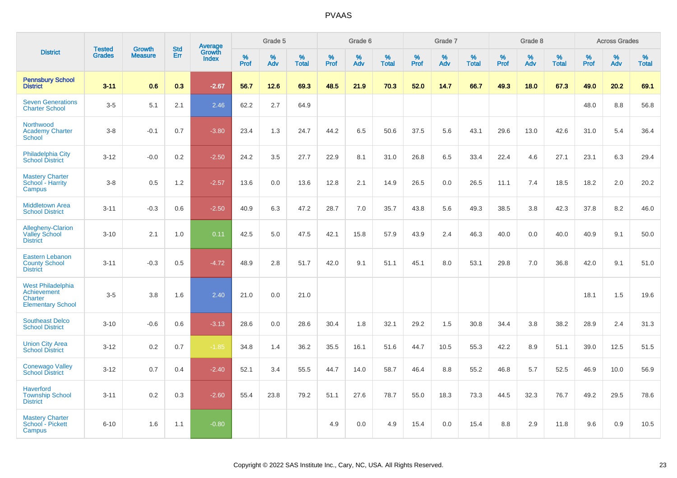|                                                                         |                                |                                 | <b>Std</b> | Average                |              | Grade 5  |                      |              | Grade 6  |                      |              | Grade 7  |                      |              | Grade 8  |                   |              | <b>Across Grades</b> |                   |
|-------------------------------------------------------------------------|--------------------------------|---------------------------------|------------|------------------------|--------------|----------|----------------------|--------------|----------|----------------------|--------------|----------|----------------------|--------------|----------|-------------------|--------------|----------------------|-------------------|
| <b>District</b>                                                         | <b>Tested</b><br><b>Grades</b> | <b>Growth</b><br><b>Measure</b> | Err        | Growth<br><b>Index</b> | $\%$<br>Prof | %<br>Adv | $\%$<br><b>Total</b> | $\%$<br>Prof | %<br>Adv | $\%$<br><b>Total</b> | $\%$<br>Prof | %<br>Adv | $\%$<br><b>Total</b> | $\%$<br>Prof | %<br>Adv | %<br><b>Total</b> | $\%$<br>Prof | %<br>Adv             | %<br><b>Total</b> |
| <b>Pennsbury School</b><br><b>District</b>                              | $3 - 11$                       | 0.6                             | 0.3        | $-2.67$                | 56.7         | 12.6     | 69.3                 | 48.5         | 21.9     | 70.3                 | 52.0         | 14.7     | 66.7                 | 49.3         | 18.0     | 67.3              | 49.0         | 20.2                 | 69.1              |
| <b>Seven Generations</b><br><b>Charter School</b>                       | $3-5$                          | 5.1                             | 2.1        | 2.46                   | 62.2         | 2.7      | 64.9                 |              |          |                      |              |          |                      |              |          |                   | 48.0         | 8.8                  | 56.8              |
| Northwood<br><b>Academy Charter</b><br>School                           | $3-8$                          | $-0.1$                          | 0.7        | $-3.80$                | 23.4         | 1.3      | 24.7                 | 44.2         | 6.5      | 50.6                 | 37.5         | 5.6      | 43.1                 | 29.6         | 13.0     | 42.6              | 31.0         | 5.4                  | 36.4              |
| <b>Philadelphia City</b><br><b>School District</b>                      | $3 - 12$                       | $-0.0$                          | 0.2        | $-2.50$                | 24.2         | 3.5      | 27.7                 | 22.9         | 8.1      | 31.0                 | 26.8         | 6.5      | 33.4                 | 22.4         | 4.6      | 27.1              | 23.1         | 6.3                  | 29.4              |
| <b>Mastery Charter</b><br>School - Harrity<br>Campus                    | $3-8$                          | 0.5                             | 1.2        | $-2.57$                | 13.6         | 0.0      | 13.6                 | 12.8         | 2.1      | 14.9                 | 26.5         | 0.0      | 26.5                 | 11.1         | 7.4      | 18.5              | 18.2         | 2.0                  | 20.2              |
| <b>Middletown Area</b><br><b>School District</b>                        | $3 - 11$                       | $-0.3$                          | 0.6        | $-2.50$                | 40.9         | 6.3      | 47.2                 | 28.7         | 7.0      | 35.7                 | 43.8         | 5.6      | 49.3                 | 38.5         | 3.8      | 42.3              | 37.8         | 8.2                  | 46.0              |
| Allegheny-Clarion<br><b>Valley School</b><br><b>District</b>            | $3 - 10$                       | 2.1                             | 1.0        | 0.11                   | 42.5         | 5.0      | 47.5                 | 42.1         | 15.8     | 57.9                 | 43.9         | 2.4      | 46.3                 | 40.0         | 0.0      | 40.0              | 40.9         | 9.1                  | 50.0              |
| <b>Eastern Lebanon</b><br><b>County School</b><br><b>District</b>       | $3 - 11$                       | $-0.3$                          | 0.5        | $-4.72$                | 48.9         | 2.8      | 51.7                 | 42.0         | 9.1      | 51.1                 | 45.1         | 8.0      | 53.1                 | 29.8         | 7.0      | 36.8              | 42.0         | 9.1                  | 51.0              |
| West Philadelphia<br>Achievement<br>Charter<br><b>Elementary School</b> | $3-5$                          | 3.8                             | 1.6        | 2.40                   | 21.0         | 0.0      | 21.0                 |              |          |                      |              |          |                      |              |          |                   | 18.1         | 1.5                  | 19.6              |
| <b>Southeast Delco</b><br><b>School District</b>                        | $3 - 10$                       | $-0.6$                          | 0.6        | $-3.13$                | 28.6         | 0.0      | 28.6                 | 30.4         | 1.8      | 32.1                 | 29.2         | 1.5      | 30.8                 | 34.4         | 3.8      | 38.2              | 28.9         | 2.4                  | 31.3              |
| <b>Union City Area</b><br><b>School District</b>                        | $3 - 12$                       | 0.2                             | 0.7        | $-1.85$                | 34.8         | 1.4      | 36.2                 | 35.5         | 16.1     | 51.6                 | 44.7         | 10.5     | 55.3                 | 42.2         | 8.9      | 51.1              | 39.0         | 12.5                 | 51.5              |
| <b>Conewago Valley</b><br><b>School District</b>                        | $3 - 12$                       | 0.7                             | 0.4        | $-2.40$                | 52.1         | 3.4      | 55.5                 | 44.7         | 14.0     | 58.7                 | 46.4         | 8.8      | 55.2                 | 46.8         | 5.7      | 52.5              | 46.9         | 10.0                 | 56.9              |
| <b>Haverford</b><br><b>Township School</b><br><b>District</b>           | $3 - 11$                       | 0.2                             | 0.3        | $-2.60$                | 55.4         | 23.8     | 79.2                 | 51.1         | 27.6     | 78.7                 | 55.0         | 18.3     | 73.3                 | 44.5         | 32.3     | 76.7              | 49.2         | 29.5                 | 78.6              |
| <b>Mastery Charter</b><br>School - Pickett<br>Campus                    | $6 - 10$                       | 1.6                             | 1.1        | $-0.80$                |              |          |                      | 4.9          | $0.0\,$  | 4.9                  | 15.4         | 0.0      | 15.4                 | 8.8          | 2.9      | 11.8              | 9.6          | 0.9                  | 10.5              |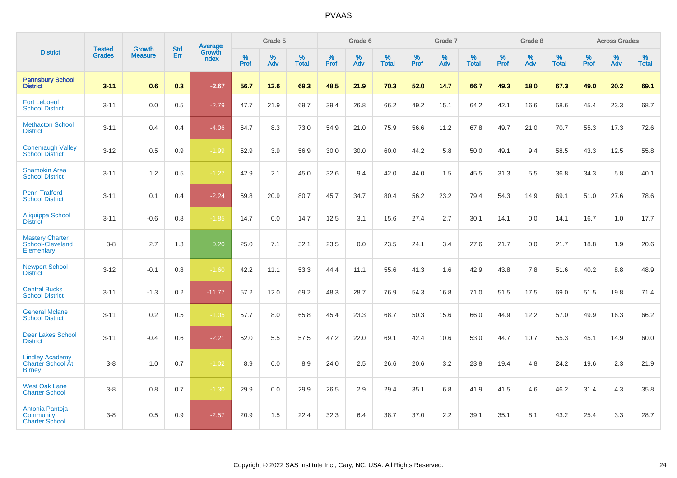|                                                                     |                                |                                 | <b>Std</b> | Average                       |           | Grade 5  |                   |           | Grade 6  |                   |           | Grade 7  |                   |           | Grade 8  |                   |           | <b>Across Grades</b> |                   |
|---------------------------------------------------------------------|--------------------------------|---------------------------------|------------|-------------------------------|-----------|----------|-------------------|-----------|----------|-------------------|-----------|----------|-------------------|-----------|----------|-------------------|-----------|----------------------|-------------------|
| <b>District</b>                                                     | <b>Tested</b><br><b>Grades</b> | <b>Growth</b><br><b>Measure</b> | Err        | <b>Growth</b><br><b>Index</b> | %<br>Prof | %<br>Adv | %<br><b>Total</b> | %<br>Prof | %<br>Adv | %<br><b>Total</b> | %<br>Prof | %<br>Adv | %<br><b>Total</b> | %<br>Prof | %<br>Adv | %<br><b>Total</b> | %<br>Prof | %<br>Adv             | %<br><b>Total</b> |
| <b>Pennsbury School</b><br><b>District</b>                          | $3 - 11$                       | 0.6                             | 0.3        | $-2.67$                       | 56.7      | 12.6     | 69.3              | 48.5      | 21.9     | 70.3              | 52.0      | 14.7     | 66.7              | 49.3      | 18.0     | 67.3              | 49.0      | 20.2                 | 69.1              |
| <b>Fort Leboeuf</b><br><b>School District</b>                       | $3 - 11$                       | 0.0                             | 0.5        | $-2.79$                       | 47.7      | 21.9     | 69.7              | 39.4      | 26.8     | 66.2              | 49.2      | 15.1     | 64.2              | 42.1      | 16.6     | 58.6              | 45.4      | 23.3                 | 68.7              |
| <b>Methacton School</b><br><b>District</b>                          | $3 - 11$                       | 0.4                             | 0.4        | $-4.06$                       | 64.7      | 8.3      | 73.0              | 54.9      | 21.0     | 75.9              | 56.6      | 11.2     | 67.8              | 49.7      | 21.0     | 70.7              | 55.3      | 17.3                 | 72.6              |
| <b>Conemaugh Valley</b><br><b>School District</b>                   | $3 - 12$                       | 0.5                             | 0.9        | $-1.99$                       | 52.9      | 3.9      | 56.9              | 30.0      | 30.0     | 60.0              | 44.2      | 5.8      | 50.0              | 49.1      | 9.4      | 58.5              | 43.3      | 12.5                 | 55.8              |
| <b>Shamokin Area</b><br><b>School District</b>                      | $3 - 11$                       | 1.2                             | 0.5        | $-1.27$                       | 42.9      | 2.1      | 45.0              | 32.6      | 9.4      | 42.0              | 44.0      | 1.5      | 45.5              | 31.3      | 5.5      | 36.8              | 34.3      | 5.8                  | 40.1              |
| Penn-Trafford<br><b>School District</b>                             | $3 - 11$                       | 0.1                             | 0.4        | $-2.24$                       | 59.8      | 20.9     | 80.7              | 45.7      | 34.7     | 80.4              | 56.2      | 23.2     | 79.4              | 54.3      | 14.9     | 69.1              | 51.0      | 27.6                 | 78.6              |
| Aliquippa School<br><b>District</b>                                 | $3 - 11$                       | $-0.6$                          | 0.8        | $-1.85$                       | 14.7      | 0.0      | 14.7              | 12.5      | 3.1      | 15.6              | 27.4      | 2.7      | 30.1              | 14.1      | 0.0      | 14.1              | 16.7      | 1.0                  | 17.7              |
| <b>Mastery Charter</b><br>School-Cleveland<br>Elementary            | $3 - 8$                        | 2.7                             | 1.3        | 0.20                          | 25.0      | 7.1      | 32.1              | 23.5      | 0.0      | 23.5              | 24.1      | 3.4      | 27.6              | 21.7      | 0.0      | 21.7              | 18.8      | 1.9                  | 20.6              |
| <b>Newport School</b><br><b>District</b>                            | $3 - 12$                       | $-0.1$                          | 0.8        | $-1.60$                       | 42.2      | 11.1     | 53.3              | 44.4      | 11.1     | 55.6              | 41.3      | 1.6      | 42.9              | 43.8      | 7.8      | 51.6              | 40.2      | 8.8                  | 48.9              |
| <b>Central Bucks</b><br><b>School District</b>                      | $3 - 11$                       | $-1.3$                          | 0.2        | $-11.77$                      | 57.2      | 12.0     | 69.2              | 48.3      | 28.7     | 76.9              | 54.3      | 16.8     | 71.0              | 51.5      | 17.5     | 69.0              | 51.5      | 19.8                 | 71.4              |
| <b>General Mclane</b><br><b>School District</b>                     | $3 - 11$                       | 0.2                             | 0.5        | $-1.05$                       | 57.7      | 8.0      | 65.8              | 45.4      | 23.3     | 68.7              | 50.3      | 15.6     | 66.0              | 44.9      | 12.2     | 57.0              | 49.9      | 16.3                 | 66.2              |
| <b>Deer Lakes School</b><br><b>District</b>                         | $3 - 11$                       | $-0.4$                          | 0.6        | $-2.21$                       | 52.0      | 5.5      | 57.5              | 47.2      | 22.0     | 69.1              | 42.4      | 10.6     | 53.0              | 44.7      | 10.7     | 55.3              | 45.1      | 14.9                 | 60.0              |
| <b>Lindley Academy</b><br><b>Charter School At</b><br><b>Birney</b> | $3 - 8$                        | 1.0                             | 0.7        | $-1.02$                       | 8.9       | 0.0      | 8.9               | 24.0      | 2.5      | 26.6              | 20.6      | 3.2      | 23.8              | 19.4      | 4.8      | 24.2              | 19.6      | 2.3                  | 21.9              |
| <b>West Oak Lane</b><br><b>Charter School</b>                       | $3 - 8$                        | 0.8                             | 0.7        | $-1.30$                       | 29.9      | 0.0      | 29.9              | 26.5      | 2.9      | 29.4              | 35.1      | 6.8      | 41.9              | 41.5      | 4.6      | 46.2              | 31.4      | 4.3                  | 35.8              |
| Antonia Pantoja<br>Community<br><b>Charter School</b>               | $3 - 8$                        | 0.5                             | 0.9        | $-2.57$                       | 20.9      | 1.5      | 22.4              | 32.3      | 6.4      | 38.7              | 37.0      | 2.2      | 39.1              | 35.1      | 8.1      | 43.2              | 25.4      | 3.3                  | 28.7              |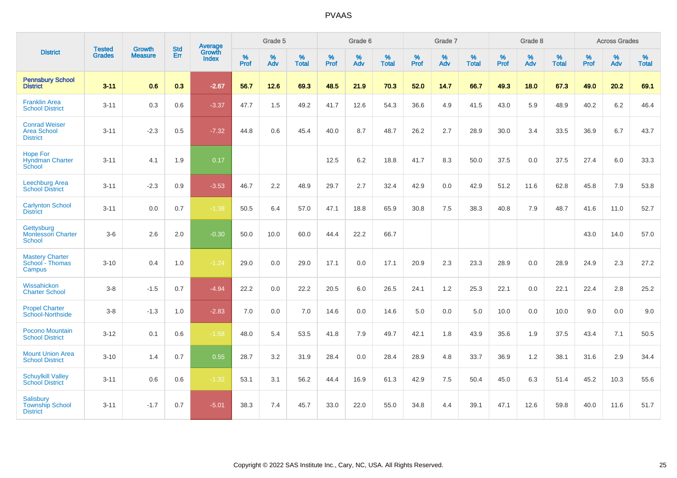|                                                               | <b>Tested</b> | <b>Growth</b>  | <b>Std</b> | Average                |                     | Grade 5  |                   |                     | Grade 6  |                   |                     | Grade 7  |                   |              | Grade 8  |                   |                     | <b>Across Grades</b> |                   |
|---------------------------------------------------------------|---------------|----------------|------------|------------------------|---------------------|----------|-------------------|---------------------|----------|-------------------|---------------------|----------|-------------------|--------------|----------|-------------------|---------------------|----------------------|-------------------|
| <b>District</b>                                               | <b>Grades</b> | <b>Measure</b> | Err        | Growth<br><b>Index</b> | $\%$<br><b>Prof</b> | %<br>Adv | %<br><b>Total</b> | $\%$<br><b>Prof</b> | %<br>Adv | %<br><b>Total</b> | $\%$<br><b>Prof</b> | %<br>Adv | %<br><b>Total</b> | $\%$<br>Prof | %<br>Adv | %<br><b>Total</b> | $\%$<br><b>Prof</b> | %<br>Adv             | %<br><b>Total</b> |
| <b>Pennsbury School</b><br><b>District</b>                    | $3 - 11$      | 0.6            | 0.3        | $-2.67$                | 56.7                | 12.6     | 69.3              | 48.5                | 21.9     | 70.3              | 52.0                | 14.7     | 66.7              | 49.3         | 18.0     | 67.3              | 49.0                | 20.2                 | 69.1              |
| <b>Franklin Area</b><br><b>School District</b>                | $3 - 11$      | 0.3            | 0.6        | $-3.37$                | 47.7                | 1.5      | 49.2              | 41.7                | 12.6     | 54.3              | 36.6                | 4.9      | 41.5              | 43.0         | 5.9      | 48.9              | 40.2                | 6.2                  | 46.4              |
| <b>Conrad Weiser</b><br>Area School<br><b>District</b>        | $3 - 11$      | $-2.3$         | 0.5        | $-7.32$                | 44.8                | 0.6      | 45.4              | 40.0                | 8.7      | 48.7              | 26.2                | 2.7      | 28.9              | 30.0         | 3.4      | 33.5              | 36.9                | 6.7                  | 43.7              |
| <b>Hope For</b><br><b>Hyndman Charter</b><br>School           | $3 - 11$      | 4.1            | 1.9        | 0.17                   |                     |          |                   | 12.5                | 6.2      | 18.8              | 41.7                | 8.3      | 50.0              | 37.5         | 0.0      | 37.5              | 27.4                | 6.0                  | 33.3              |
| Leechburg Area<br><b>School District</b>                      | $3 - 11$      | $-2.3$         | 0.9        | $-3.53$                | 46.7                | 2.2      | 48.9              | 29.7                | 2.7      | 32.4              | 42.9                | 0.0      | 42.9              | 51.2         | 11.6     | 62.8              | 45.8                | 7.9                  | 53.8              |
| <b>Carlynton School</b><br><b>District</b>                    | $3 - 11$      | 0.0            | 0.7        | $-1.38$                | 50.5                | 6.4      | 57.0              | 47.1                | 18.8     | 65.9              | 30.8                | 7.5      | 38.3              | 40.8         | 7.9      | 48.7              | 41.6                | 11.0                 | 52.7              |
| Gettysburg<br><b>Montessori Charter</b><br>School             | $3-6$         | 2.6            | 2.0        | $-0.30$                | 50.0                | 10.0     | 60.0              | 44.4                | 22.2     | 66.7              |                     |          |                   |              |          |                   | 43.0                | 14.0                 | 57.0              |
| <b>Mastery Charter</b><br>School - Thomas<br>Campus           | $3 - 10$      | 0.4            | 1.0        | $-1.24$                | 29.0                | 0.0      | 29.0              | 17.1                | 0.0      | 17.1              | 20.9                | 2.3      | 23.3              | 28.9         | 0.0      | 28.9              | 24.9                | 2.3                  | 27.2              |
| Wissahickon<br><b>Charter School</b>                          | $3-8$         | $-1.5$         | 0.7        | $-4.94$                | 22.2                | 0.0      | 22.2              | 20.5                | 6.0      | 26.5              | 24.1                | 1.2      | 25.3              | 22.1         | 0.0      | 22.1              | 22.4                | 2.8                  | 25.2              |
| <b>Propel Charter</b><br>School-Northside                     | $3-8$         | $-1.3$         | 1.0        | $-2.83$                | 7.0                 | 0.0      | 7.0               | 14.6                | 0.0      | 14.6              | 5.0                 | 0.0      | 5.0               | 10.0         | 0.0      | 10.0              | 9.0                 | 0.0                  | 9.0               |
| Pocono Mountain<br><b>School District</b>                     | $3 - 12$      | 0.1            | 0.6        | $-1.58$                | 48.0                | 5.4      | 53.5              | 41.8                | 7.9      | 49.7              | 42.1                | 1.8      | 43.9              | 35.6         | 1.9      | 37.5              | 43.4                | 7.1                  | 50.5              |
| <b>Mount Union Area</b><br><b>School District</b>             | $3 - 10$      | 1.4            | 0.7        | 0.55                   | 28.7                | 3.2      | 31.9              | 28.4                | 0.0      | 28.4              | 28.9                | 4.8      | 33.7              | 36.9         | 1.2      | 38.1              | 31.6                | 2.9                  | 34.4              |
| <b>Schuylkill Valley</b><br><b>School District</b>            | $3 - 11$      | 0.6            | 0.6        | $-1.32$                | 53.1                | 3.1      | 56.2              | 44.4                | 16.9     | 61.3              | 42.9                | 7.5      | 50.4              | 45.0         | 6.3      | 51.4              | 45.2                | 10.3                 | 55.6              |
| <b>Salisbury</b><br><b>Township School</b><br><b>District</b> | $3 - 11$      | $-1.7$         | 0.7        | $-5.01$                | 38.3                | 7.4      | 45.7              | 33.0                | 22.0     | 55.0              | 34.8                | 4.4      | 39.1              | 47.1         | 12.6     | 59.8              | 40.0                | 11.6                 | 51.7              |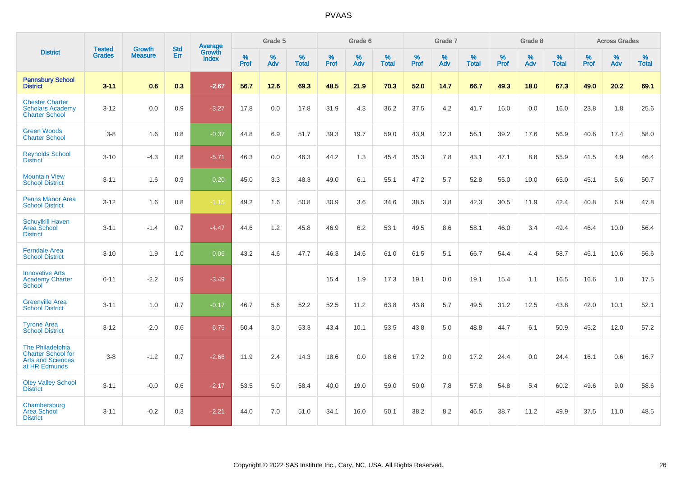|                                                                                            |                                |                                 | <b>Std</b> | Average                       |              | Grade 5  |                   |           | Grade 6  |                   |           | Grade 7  |                   |           | Grade 8  |                   |           | <b>Across Grades</b> |                   |
|--------------------------------------------------------------------------------------------|--------------------------------|---------------------------------|------------|-------------------------------|--------------|----------|-------------------|-----------|----------|-------------------|-----------|----------|-------------------|-----------|----------|-------------------|-----------|----------------------|-------------------|
| <b>District</b>                                                                            | <b>Tested</b><br><b>Grades</b> | <b>Growth</b><br><b>Measure</b> | Err        | <b>Growth</b><br><b>Index</b> | $\%$<br>Prof | %<br>Adv | %<br><b>Total</b> | %<br>Prof | %<br>Adv | %<br><b>Total</b> | %<br>Prof | %<br>Adv | %<br><b>Total</b> | %<br>Prof | %<br>Adv | %<br><b>Total</b> | %<br>Prof | %<br>Adv             | %<br><b>Total</b> |
| <b>Pennsbury School</b><br><b>District</b>                                                 | $3 - 11$                       | 0.6                             | 0.3        | $-2.67$                       | 56.7         | 12.6     | 69.3              | 48.5      | 21.9     | 70.3              | 52.0      | 14.7     | 66.7              | 49.3      | 18.0     | 67.3              | 49.0      | 20.2                 | 69.1              |
| <b>Chester Charter</b><br><b>Scholars Academy</b><br><b>Charter School</b>                 | $3 - 12$                       | 0.0                             | 0.9        | $-3.27$                       | 17.8         | 0.0      | 17.8              | 31.9      | 4.3      | 36.2              | 37.5      | 4.2      | 41.7              | 16.0      | 0.0      | 16.0              | 23.8      | 1.8                  | 25.6              |
| <b>Green Woods</b><br><b>Charter School</b>                                                | $3-8$                          | 1.6                             | 0.8        | $-0.37$                       | 44.8         | 6.9      | 51.7              | 39.3      | 19.7     | 59.0              | 43.9      | 12.3     | 56.1              | 39.2      | 17.6     | 56.9              | 40.6      | 17.4                 | 58.0              |
| <b>Reynolds School</b><br><b>District</b>                                                  | $3 - 10$                       | $-4.3$                          | 0.8        | $-5.71$                       | 46.3         | 0.0      | 46.3              | 44.2      | 1.3      | 45.4              | 35.3      | 7.8      | 43.1              | 47.1      | 8.8      | 55.9              | 41.5      | 4.9                  | 46.4              |
| <b>Mountain View</b><br><b>School District</b>                                             | $3 - 11$                       | 1.6                             | 0.9        | 0.20                          | 45.0         | 3.3      | 48.3              | 49.0      | 6.1      | 55.1              | 47.2      | 5.7      | 52.8              | 55.0      | 10.0     | 65.0              | 45.1      | 5.6                  | 50.7              |
| <b>Penns Manor Area</b><br><b>School District</b>                                          | $3 - 12$                       | 1.6                             | 0.8        | $-1.15$                       | 49.2         | 1.6      | 50.8              | 30.9      | 3.6      | 34.6              | 38.5      | 3.8      | 42.3              | 30.5      | 11.9     | 42.4              | 40.8      | 6.9                  | 47.8              |
| <b>Schuylkill Haven</b><br>Area School<br><b>District</b>                                  | $3 - 11$                       | $-1.4$                          | 0.7        | $-4.47$                       | 44.6         | 1.2      | 45.8              | 46.9      | 6.2      | 53.1              | 49.5      | 8.6      | 58.1              | 46.0      | 3.4      | 49.4              | 46.4      | 10.0                 | 56.4              |
| <b>Ferndale Area</b><br><b>School District</b>                                             | $3 - 10$                       | 1.9                             | 1.0        | 0.06                          | 43.2         | 4.6      | 47.7              | 46.3      | 14.6     | 61.0              | 61.5      | 5.1      | 66.7              | 54.4      | 4.4      | 58.7              | 46.1      | 10.6                 | 56.6              |
| <b>Innovative Arts</b><br><b>Academy Charter</b><br>School                                 | $6 - 11$                       | $-2.2$                          | 0.9        | $-3.49$                       |              |          |                   | 15.4      | 1.9      | 17.3              | 19.1      | 0.0      | 19.1              | 15.4      | 1.1      | 16.5              | 16.6      | 1.0                  | 17.5              |
| <b>Greenville Area</b><br><b>School District</b>                                           | $3 - 11$                       | 1.0                             | 0.7        | $-0.17$                       | 46.7         | 5.6      | 52.2              | 52.5      | 11.2     | 63.8              | 43.8      | 5.7      | 49.5              | 31.2      | 12.5     | 43.8              | 42.0      | 10.1                 | 52.1              |
| <b>Tyrone Area</b><br><b>School District</b>                                               | $3 - 12$                       | $-2.0$                          | 0.6        | $-6.75$                       | 50.4         | 3.0      | 53.3              | 43.4      | 10.1     | 53.5              | 43.8      | 5.0      | 48.8              | 44.7      | 6.1      | 50.9              | 45.2      | 12.0                 | 57.2              |
| The Philadelphia<br><b>Charter School for</b><br><b>Arts and Sciences</b><br>at HR Edmunds | $3-8$                          | $-1.2$                          | 0.7        | $-2.66$                       | 11.9         | 2.4      | 14.3              | 18.6      | 0.0      | 18.6              | 17.2      | 0.0      | 17.2              | 24.4      | 0.0      | 24.4              | 16.1      | 0.6                  | 16.7              |
| <b>Oley Valley School</b><br><b>District</b>                                               | $3 - 11$                       | $-0.0$                          | 0.6        | $-2.17$                       | 53.5         | 5.0      | 58.4              | 40.0      | 19.0     | 59.0              | 50.0      | 7.8      | 57.8              | 54.8      | 5.4      | 60.2              | 49.6      | 9.0                  | 58.6              |
| Chambersburg<br><b>Area School</b><br><b>District</b>                                      | $3 - 11$                       | $-0.2$                          | 0.3        | $-2.21$                       | 44.0         | 7.0      | 51.0              | 34.1      | 16.0     | 50.1              | 38.2      | 8.2      | 46.5              | 38.7      | 11.2     | 49.9              | 37.5      | 11.0                 | 48.5              |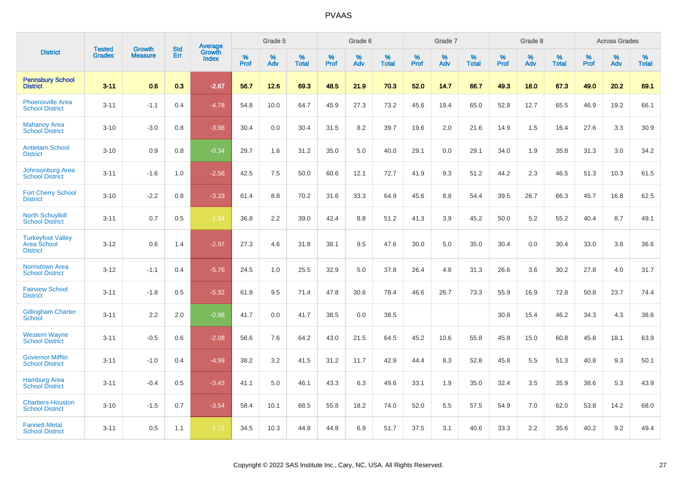|                                                            |                                |                                 | <b>Std</b> | Average                |              | Grade 5  |                      |                     | Grade 6     |                      |              | Grade 7     |                      |              | Grade 8     |                      |                     | <b>Across Grades</b> |                   |
|------------------------------------------------------------|--------------------------------|---------------------------------|------------|------------------------|--------------|----------|----------------------|---------------------|-------------|----------------------|--------------|-------------|----------------------|--------------|-------------|----------------------|---------------------|----------------------|-------------------|
| <b>District</b>                                            | <b>Tested</b><br><b>Grades</b> | <b>Growth</b><br><b>Measure</b> | Err        | Growth<br><b>Index</b> | $\%$<br>Prof | %<br>Adv | $\%$<br><b>Total</b> | $\%$<br><b>Prof</b> | $\%$<br>Adv | $\%$<br><b>Total</b> | $\%$<br>Prof | $\%$<br>Adv | $\%$<br><b>Total</b> | $\%$<br>Prof | $\%$<br>Adv | $\%$<br><b>Total</b> | $\%$<br><b>Prof</b> | $\%$<br>Adv          | %<br><b>Total</b> |
| <b>Pennsbury School</b><br><b>District</b>                 | $3 - 11$                       | 0.6                             | 0.3        | $-2.67$                | 56.7         | 12.6     | 69.3                 | 48.5                | 21.9        | 70.3                 | 52.0         | 14.7        | 66.7                 | 49.3         | 18.0        | 67.3                 | 49.0                | 20.2                 | 69.1              |
| <b>Phoenixville Area</b><br><b>School District</b>         | $3 - 11$                       | $-1.1$                          | 0.4        | $-4.78$                | 54.8         | 10.0     | 64.7                 | 45.9                | 27.3        | 73.2                 | 45.6         | 19.4        | 65.0                 | 52.8         | 12.7        | 65.5                 | 46.9                | 19.2                 | 66.1              |
| <b>Mahanoy Area</b><br><b>School District</b>              | $3 - 10$                       | $-3.0$                          | 0.8        | $-3.98$                | 30.4         | 0.0      | 30.4                 | 31.5                | 8.2         | 39.7                 | 19.6         | 2.0         | 21.6                 | 14.9         | 1.5         | 16.4                 | 27.6                | 3.3                  | 30.9              |
| <b>Antietam School</b><br><b>District</b>                  | $3 - 10$                       | 0.9                             | 0.8        | $-0.34$                | 29.7         | 1.6      | 31.2                 | 35.0                | 5.0         | 40.0                 | 29.1         | 0.0         | 29.1                 | 34.0         | 1.9         | 35.8                 | 31.3                | 3.0                  | 34.2              |
| <b>Johnsonburg Area</b><br><b>School District</b>          | $3 - 11$                       | $-1.6$                          | 1.0        | $-2.56$                | 42.5         | 7.5      | 50.0                 | 60.6                | 12.1        | 72.7                 | 41.9         | 9.3         | 51.2                 | 44.2         | 2.3         | 46.5                 | 51.3                | 10.3                 | 61.5              |
| <b>Fort Cherry School</b><br><b>District</b>               | $3 - 10$                       | $-2.2$                          | 0.8        | $-3.33$                | 61.4         | 8.8      | 70.2                 | 31.6                | 33.3        | 64.9                 | 45.6         | 8.8         | 54.4                 | 39.5         | 26.7        | 66.3                 | 45.7                | 16.8                 | 62.5              |
| <b>North Schuylkill</b><br><b>School District</b>          | $3 - 11$                       | 0.7                             | 0.5        | $-1.34$                | 36.8         | 2.2      | 39.0                 | 42.4                | 8.8         | 51.2                 | 41.3         | 3.9         | 45.2                 | 50.0         | 5.2         | 55.2                 | 40.4                | 8.7                  | 49.1              |
| <b>Turkeyfoot Valley</b><br>Area School<br><b>District</b> | $3 - 12$                       | 0.6                             | 1.4        | $-2.97$                | 27.3         | 4.6      | 31.8                 | 38.1                | 9.5         | 47.6                 | 30.0         | 5.0         | 35.0                 | 30.4         | 0.0         | 30.4                 | 33.0                | 3.6                  | 36.6              |
| <b>Norristown Area</b><br><b>School District</b>           | $3 - 12$                       | $-1.1$                          | 0.4        | $-5.76$                | 24.5         | 1.0      | 25.5                 | 32.9                | 5.0         | 37.8                 | 26.4         | 4.8         | 31.3                 | 26.6         | 3.6         | 30.2                 | 27.8                | 4.0                  | 31.7              |
| <b>Fairview School</b><br><b>District</b>                  | $3 - 11$                       | $-1.8$                          | 0.5        | $-5.32$                | 61.9         | 9.5      | 71.4                 | 47.8                | 30.6        | 78.4                 | 46.6         | 26.7        | 73.3                 | 55.9         | 16.9        | 72.8                 | 50.8                | 23.7                 | 74.4              |
| <b>Gillingham Charter</b><br>School                        | $3 - 11$                       | 2.2                             | 2.0        | $-0.98$                | 41.7         | 0.0      | 41.7                 | 38.5                | 0.0         | 38.5                 |              |             |                      | 30.8         | 15.4        | 46.2                 | 34.3                | 4.3                  | 38.6              |
| <b>Western Wayne</b><br><b>School District</b>             | $3 - 11$                       | $-0.5$                          | 0.6        | $-2.08$                | 56.6         | 7.6      | 64.2                 | 43.0                | 21.5        | 64.5                 | 45.2         | 10.6        | 55.8                 | 45.8         | 15.0        | 60.8                 | 45.8                | 18.1                 | 63.9              |
| <b>Governor Mifflin</b><br><b>School District</b>          | $3 - 11$                       | $-1.0$                          | 0.4        | $-4.99$                | 38.2         | 3.2      | 41.5                 | 31.2                | 11.7        | 42.9                 | 44.4         | 8.3         | 52.8                 | 45.8         | 5.5         | 51.3                 | 40.8                | 9.3                  | 50.1              |
| <b>Hamburg Area</b><br><b>School District</b>              | $3 - 11$                       | $-0.4$                          | 0.5        | $-3.43$                | 41.1         | 5.0      | 46.1                 | 43.3                | 6.3         | 49.6                 | 33.1         | 1.9         | 35.0                 | 32.4         | 3.5         | 35.9                 | 38.6                | 5.3                  | 43.9              |
| <b>Chartiers-Houston</b><br><b>School District</b>         | $3 - 10$                       | $-1.5$                          | 0.7        | $-3.54$                | 58.4         | 10.1     | 68.5                 | 55.8                | 18.2        | 74.0                 | 52.0         | 5.5         | 57.5                 | 54.9         | 7.0         | 62.0                 | 53.8                | 14.2                 | 68.0              |
| <b>Fannett-Metal</b><br><b>School District</b>             | $3 - 11$                       | 0.5                             | 1.1        | $-1.72$                | 34.5         | 10.3     | 44.8                 | 44.8                | 6.9         | 51.7                 | 37.5         | 3.1         | 40.6                 | 33.3         | 2.2         | 35.6                 | 40.2                | 9.2                  | 49.4              |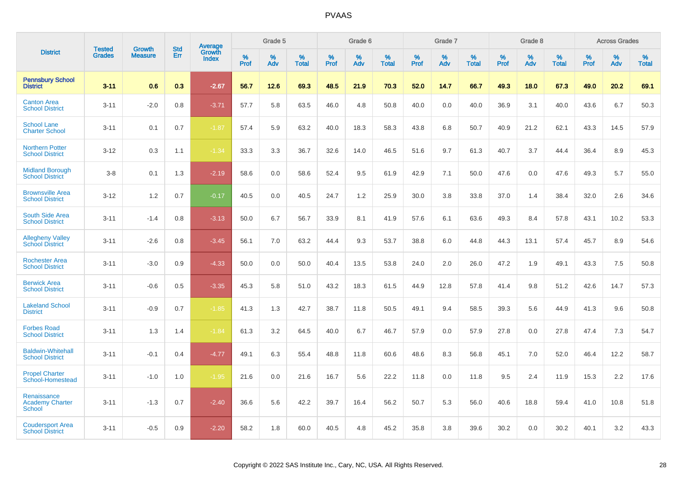|                                                        | <b>Tested</b> | <b>Growth</b>  | <b>Std</b> | Average                |              | Grade 5  |                      |                  | Grade 6  |                   |              | Grade 7  |                   |              | Grade 8  |                      |              | <b>Across Grades</b> |                      |
|--------------------------------------------------------|---------------|----------------|------------|------------------------|--------------|----------|----------------------|------------------|----------|-------------------|--------------|----------|-------------------|--------------|----------|----------------------|--------------|----------------------|----------------------|
| <b>District</b>                                        | <b>Grades</b> | <b>Measure</b> | Err        | Growth<br><b>Index</b> | $\%$<br>Prof | %<br>Adv | $\%$<br><b>Total</b> | %<br><b>Prof</b> | %<br>Adv | %<br><b>Total</b> | $\%$<br>Prof | %<br>Adv | %<br><b>Total</b> | $\%$<br>Prof | %<br>Adv | $\%$<br><b>Total</b> | $\%$<br>Prof | %<br>Adv             | $\%$<br><b>Total</b> |
| <b>Pennsbury School</b><br><b>District</b>             | $3 - 11$      | 0.6            | 0.3        | $-2.67$                | 56.7         | 12.6     | 69.3                 | 48.5             | 21.9     | 70.3              | 52.0         | 14.7     | 66.7              | 49.3         | 18.0     | 67.3                 | 49.0         | 20.2                 | 69.1                 |
| <b>Canton Area</b><br><b>School District</b>           | $3 - 11$      | $-2.0$         | 0.8        | $-3.71$                | 57.7         | 5.8      | 63.5                 | 46.0             | 4.8      | 50.8              | 40.0         | 0.0      | 40.0              | 36.9         | 3.1      | 40.0                 | 43.6         | 6.7                  | 50.3                 |
| <b>School Lane</b><br><b>Charter School</b>            | $3 - 11$      | 0.1            | 0.7        | $-1.87$                | 57.4         | 5.9      | 63.2                 | 40.0             | 18.3     | 58.3              | 43.8         | 6.8      | 50.7              | 40.9         | 21.2     | 62.1                 | 43.3         | 14.5                 | 57.9                 |
| <b>Northern Potter</b><br><b>School District</b>       | $3 - 12$      | 0.3            | 1.1        | $-1.34$                | 33.3         | 3.3      | 36.7                 | 32.6             | 14.0     | 46.5              | 51.6         | 9.7      | 61.3              | 40.7         | 3.7      | 44.4                 | 36.4         | 8.9                  | 45.3                 |
| <b>Midland Borough</b><br><b>School District</b>       | $3-8$         | 0.1            | 1.3        | $-2.19$                | 58.6         | 0.0      | 58.6                 | 52.4             | 9.5      | 61.9              | 42.9         | 7.1      | 50.0              | 47.6         | 0.0      | 47.6                 | 49.3         | 5.7                  | 55.0                 |
| <b>Brownsville Area</b><br><b>School District</b>      | $3 - 12$      | 1.2            | 0.7        | $-0.17$                | 40.5         | 0.0      | 40.5                 | 24.7             | 1.2      | 25.9              | 30.0         | 3.8      | 33.8              | 37.0         | 1.4      | 38.4                 | 32.0         | 2.6                  | 34.6                 |
| South Side Area<br><b>School District</b>              | $3 - 11$      | $-1.4$         | 0.8        | $-3.13$                | 50.0         | 6.7      | 56.7                 | 33.9             | 8.1      | 41.9              | 57.6         | 6.1      | 63.6              | 49.3         | 8.4      | 57.8                 | 43.1         | 10.2                 | 53.3                 |
| <b>Allegheny Valley</b><br><b>School District</b>      | $3 - 11$      | $-2.6$         | 0.8        | $-3.45$                | 56.1         | 7.0      | 63.2                 | 44.4             | 9.3      | 53.7              | 38.8         | 6.0      | 44.8              | 44.3         | 13.1     | 57.4                 | 45.7         | 8.9                  | 54.6                 |
| <b>Rochester Area</b><br><b>School District</b>        | $3 - 11$      | $-3.0$         | 0.9        | $-4.33$                | 50.0         | 0.0      | 50.0                 | 40.4             | 13.5     | 53.8              | 24.0         | 2.0      | 26.0              | 47.2         | 1.9      | 49.1                 | 43.3         | 7.5                  | 50.8                 |
| <b>Berwick Area</b><br><b>School District</b>          | $3 - 11$      | $-0.6$         | 0.5        | $-3.35$                | 45.3         | 5.8      | 51.0                 | 43.2             | 18.3     | 61.5              | 44.9         | 12.8     | 57.8              | 41.4         | 9.8      | 51.2                 | 42.6         | 14.7                 | 57.3                 |
| <b>Lakeland School</b><br><b>District</b>              | $3 - 11$      | $-0.9$         | 0.7        | $-1.85$                | 41.3         | 1.3      | 42.7                 | 38.7             | 11.8     | 50.5              | 49.1         | 9.4      | 58.5              | 39.3         | 5.6      | 44.9                 | 41.3         | 9.6                  | 50.8                 |
| <b>Forbes Road</b><br><b>School District</b>           | $3 - 11$      | 1.3            | 1.4        | $-1.84$                | 61.3         | 3.2      | 64.5                 | 40.0             | 6.7      | 46.7              | 57.9         | 0.0      | 57.9              | 27.8         | 0.0      | 27.8                 | 47.4         | 7.3                  | 54.7                 |
| <b>Baldwin-Whitehall</b><br><b>School District</b>     | $3 - 11$      | $-0.1$         | 0.4        | $-4.77$                | 49.1         | 6.3      | 55.4                 | 48.8             | 11.8     | 60.6              | 48.6         | 8.3      | 56.8              | 45.1         | 7.0      | 52.0                 | 46.4         | 12.2                 | 58.7                 |
| <b>Propel Charter</b><br>School-Homestead              | $3 - 11$      | $-1.0$         | 1.0        | $-1.95$                | 21.6         | 0.0      | 21.6                 | 16.7             | 5.6      | 22.2              | 11.8         | 0.0      | 11.8              | 9.5          | 2.4      | 11.9                 | 15.3         | 2.2                  | 17.6                 |
| Renaissance<br><b>Academy Charter</b><br><b>School</b> | $3 - 11$      | $-1.3$         | 0.7        | $-2.40$                | 36.6         | 5.6      | 42.2                 | 39.7             | 16.4     | 56.2              | 50.7         | 5.3      | 56.0              | 40.6         | 18.8     | 59.4                 | 41.0         | 10.8                 | 51.8                 |
| <b>Coudersport Area</b><br><b>School District</b>      | $3 - 11$      | $-0.5$         | 0.9        | $-2.20$                | 58.2         | 1.8      | 60.0                 | 40.5             | 4.8      | 45.2              | 35.8         | 3.8      | 39.6              | 30.2         | 0.0      | 30.2                 | 40.1         | 3.2                  | 43.3                 |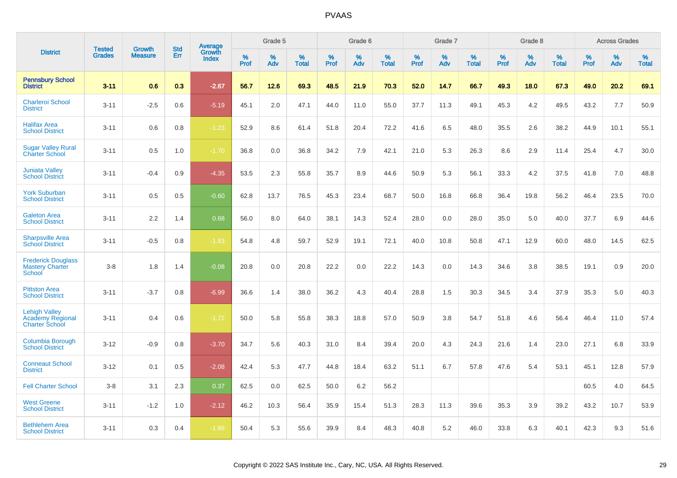|                                                                          |                                |                                 | <b>Std</b> | Average         |                     | Grade 5  |                      |                     | Grade 6     |                      |              | Grade 7     |                   |              | Grade 8     |                      |                     | <b>Across Grades</b> |                   |
|--------------------------------------------------------------------------|--------------------------------|---------------------------------|------------|-----------------|---------------------|----------|----------------------|---------------------|-------------|----------------------|--------------|-------------|-------------------|--------------|-------------|----------------------|---------------------|----------------------|-------------------|
| <b>District</b>                                                          | <b>Tested</b><br><b>Grades</b> | <b>Growth</b><br><b>Measure</b> | Err        | Growth<br>Index | $\%$<br><b>Prof</b> | %<br>Adv | $\%$<br><b>Total</b> | $\%$<br><b>Prof</b> | $\%$<br>Adv | $\%$<br><b>Total</b> | $\%$<br>Prof | $\%$<br>Adv | %<br><b>Total</b> | $\%$<br>Prof | $\%$<br>Adv | $\%$<br><b>Total</b> | $\%$<br><b>Prof</b> | $\%$<br>Adv          | %<br><b>Total</b> |
| <b>Pennsbury School</b><br><b>District</b>                               | $3 - 11$                       | 0.6                             | 0.3        | $-2.67$         | 56.7                | 12.6     | 69.3                 | 48.5                | 21.9        | 70.3                 | 52.0         | 14.7        | 66.7              | 49.3         | 18.0        | 67.3                 | 49.0                | 20.2                 | 69.1              |
| <b>Charleroi School</b><br><b>District</b>                               | $3 - 11$                       | $-2.5$                          | 0.6        | $-5.19$         | 45.1                | 2.0      | 47.1                 | 44.0                | 11.0        | 55.0                 | 37.7         | 11.3        | 49.1              | 45.3         | 4.2         | 49.5                 | 43.2                | 7.7                  | 50.9              |
| <b>Halifax Area</b><br><b>School District</b>                            | $3 - 11$                       | 0.6                             | 0.8        | $-1.23$         | 52.9                | 8.6      | 61.4                 | 51.8                | 20.4        | 72.2                 | 41.6         | 6.5         | 48.0              | 35.5         | 2.6         | 38.2                 | 44.9                | 10.1                 | 55.1              |
| <b>Sugar Valley Rural</b><br><b>Charter School</b>                       | $3 - 11$                       | 0.5                             | 1.0        | $-1.70$         | 36.8                | 0.0      | 36.8                 | 34.2                | 7.9         | 42.1                 | 21.0         | 5.3         | 26.3              | 8.6          | 2.9         | 11.4                 | 25.4                | 4.7                  | 30.0              |
| <b>Juniata Valley</b><br><b>School District</b>                          | $3 - 11$                       | $-0.4$                          | 0.9        | $-4.35$         | 53.5                | 2.3      | 55.8                 | 35.7                | 8.9         | 44.6                 | 50.9         | 5.3         | 56.1              | 33.3         | 4.2         | 37.5                 | 41.8                | 7.0                  | 48.8              |
| <b>York Suburban</b><br><b>School District</b>                           | $3 - 11$                       | 0.5                             | 0.5        | $-0.60$         | 62.8                | 13.7     | 76.5                 | 45.3                | 23.4        | 68.7                 | 50.0         | 16.8        | 66.8              | 36.4         | 19.8        | 56.2                 | 46.4                | 23.5                 | 70.0              |
| <b>Galeton Area</b><br><b>School District</b>                            | $3 - 11$                       | 2.2                             | 1.4        | 0.68            | 56.0                | 8.0      | 64.0                 | 38.1                | 14.3        | 52.4                 | 28.0         | 0.0         | 28.0              | 35.0         | 5.0         | 40.0                 | 37.7                | 6.9                  | 44.6              |
| <b>Sharpsville Area</b><br><b>School District</b>                        | $3 - 11$                       | $-0.5$                          | 0.8        | $-1.83$         | 54.8                | 4.8      | 59.7                 | 52.9                | 19.1        | 72.1                 | 40.0         | 10.8        | 50.8              | 47.1         | 12.9        | 60.0                 | 48.0                | 14.5                 | 62.5              |
| <b>Frederick Douglass</b><br><b>Mastery Charter</b><br>School            | $3 - 8$                        | 1.8                             | 1.4        | $-0.08$         | 20.8                | 0.0      | 20.8                 | 22.2                | 0.0         | 22.2                 | 14.3         | 0.0         | 14.3              | 34.6         | 3.8         | 38.5                 | 19.1                | 0.9                  | 20.0              |
| <b>Pittston Area</b><br><b>School District</b>                           | $3 - 11$                       | $-3.7$                          | 0.8        | $-6.99$         | 36.6                | 1.4      | 38.0                 | 36.2                | 4.3         | 40.4                 | 28.8         | 1.5         | 30.3              | 34.5         | 3.4         | 37.9                 | 35.3                | 5.0                  | 40.3              |
| <b>Lehigh Valley</b><br><b>Academy Regional</b><br><b>Charter School</b> | $3 - 11$                       | 0.4                             | 0.6        | $-1.72$         | 50.0                | 5.8      | 55.8                 | 38.3                | 18.8        | 57.0                 | 50.9         | 3.8         | 54.7              | 51.8         | 4.6         | 56.4                 | 46.4                | 11.0                 | 57.4              |
| <b>Columbia Borough</b><br><b>School District</b>                        | $3 - 12$                       | $-0.9$                          | 0.8        | $-3.70$         | 34.7                | 5.6      | 40.3                 | 31.0                | 8.4         | 39.4                 | 20.0         | 4.3         | 24.3              | 21.6         | 1.4         | 23.0                 | 27.1                | 6.8                  | 33.9              |
| <b>Conneaut School</b><br><b>District</b>                                | $3 - 12$                       | 0.1                             | 0.5        | $-2.08$         | 42.4                | 5.3      | 47.7                 | 44.8                | 18.4        | 63.2                 | 51.1         | 6.7         | 57.8              | 47.6         | 5.4         | 53.1                 | 45.1                | 12.8                 | 57.9              |
| <b>Fell Charter School</b>                                               | $3 - 8$                        | 3.1                             | 2.3        | 0.37            | 62.5                | 0.0      | 62.5                 | 50.0                | 6.2         | 56.2                 |              |             |                   |              |             |                      | 60.5                | 4.0                  | 64.5              |
| <b>West Greene</b><br><b>School District</b>                             | $3 - 11$                       | $-1.2$                          | 1.0        | $-2.12$         | 46.2                | 10.3     | 56.4                 | 35.9                | 15.4        | 51.3                 | 28.3         | 11.3        | 39.6              | 35.3         | 3.9         | 39.2                 | 43.2                | 10.7                 | 53.9              |
| <b>Bethlehem Area</b><br><b>School District</b>                          | $3 - 11$                       | 0.3                             | 0.4        | $-1.86$         | 50.4                | 5.3      | 55.6                 | 39.9                | 8.4         | 48.3                 | 40.8         | 5.2         | 46.0              | 33.8         | 6.3         | 40.1                 | 42.3                | 9.3                  | 51.6              |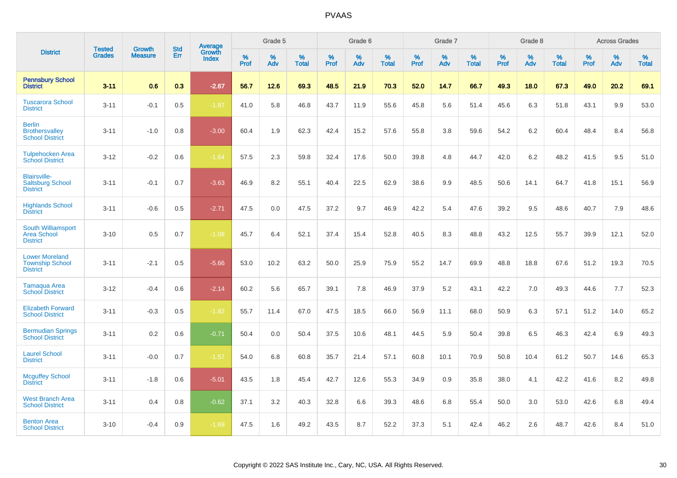|                                                                    |                                | <b>Growth</b>  | <b>Std</b> |                                   |              | Grade 5  |                   |              | Grade 6  |                   |              | Grade 7  |                   |              | Grade 8  |                   |              | <b>Across Grades</b> |                   |
|--------------------------------------------------------------------|--------------------------------|----------------|------------|-----------------------------------|--------------|----------|-------------------|--------------|----------|-------------------|--------------|----------|-------------------|--------------|----------|-------------------|--------------|----------------------|-------------------|
| <b>District</b>                                                    | <b>Tested</b><br><b>Grades</b> | <b>Measure</b> | <b>Err</b> | <b>Average</b><br>Growth<br>Index | $\%$<br>Prof | %<br>Adv | %<br><b>Total</b> | $\%$<br>Prof | %<br>Adv | %<br><b>Total</b> | $\%$<br>Prof | %<br>Adv | %<br><b>Total</b> | $\%$<br>Prof | %<br>Adv | %<br><b>Total</b> | $\%$<br>Prof | %<br>Adv             | %<br><b>Total</b> |
| <b>Pennsbury School</b><br><b>District</b>                         | $3 - 11$                       | 0.6            | 0.3        | $-2.67$                           | 56.7         | 12.6     | 69.3              | 48.5         | 21.9     | 70.3              | 52.0         | 14.7     | 66.7              | 49.3         | 18.0     | 67.3              | 49.0         | 20.2                 | 69.1              |
| <b>Tuscarora School</b><br><b>District</b>                         | $3 - 11$                       | $-0.1$         | 0.5        | $-1.87$                           | 41.0         | 5.8      | 46.8              | 43.7         | 11.9     | 55.6              | 45.8         | 5.6      | 51.4              | 45.6         | 6.3      | 51.8              | 43.1         | 9.9                  | 53.0              |
| <b>Berlin</b><br><b>Brothersvalley</b><br><b>School District</b>   | $3 - 11$                       | $-1.0$         | 0.8        | $-3.00$                           | 60.4         | 1.9      | 62.3              | 42.4         | 15.2     | 57.6              | 55.8         | 3.8      | 59.6              | 54.2         | 6.2      | 60.4              | 48.4         | 8.4                  | 56.8              |
| <b>Tulpehocken Area</b><br><b>School District</b>                  | $3 - 12$                       | $-0.2$         | 0.6        | $-1.64$                           | 57.5         | 2.3      | 59.8              | 32.4         | 17.6     | 50.0              | 39.8         | 4.8      | 44.7              | 42.0         | 6.2      | 48.2              | 41.5         | 9.5                  | 51.0              |
| <b>Blairsville-</b><br><b>Saltsburg School</b><br><b>District</b>  | $3 - 11$                       | $-0.1$         | 0.7        | $-3.63$                           | 46.9         | 8.2      | 55.1              | 40.4         | 22.5     | 62.9              | 38.6         | 9.9      | 48.5              | 50.6         | 14.1     | 64.7              | 41.8         | 15.1                 | 56.9              |
| <b>Highlands School</b><br><b>District</b>                         | $3 - 11$                       | $-0.6$         | 0.5        | $-2.71$                           | 47.5         | 0.0      | 47.5              | 37.2         | 9.7      | 46.9              | 42.2         | 5.4      | 47.6              | 39.2         | 9.5      | 48.6              | 40.7         | 7.9                  | 48.6              |
| South Williamsport<br><b>Area School</b><br><b>District</b>        | $3 - 10$                       | 0.5            | 0.7        | $-1.08$                           | 45.7         | 6.4      | 52.1              | 37.4         | 15.4     | 52.8              | 40.5         | 8.3      | 48.8              | 43.2         | 12.5     | 55.7              | 39.9         | 12.1                 | 52.0              |
| <b>Lower Moreland</b><br><b>Township School</b><br><b>District</b> | $3 - 11$                       | $-2.1$         | 0.5        | $-5.66$                           | 53.0         | 10.2     | 63.2              | 50.0         | 25.9     | 75.9              | 55.2         | 14.7     | 69.9              | 48.8         | 18.8     | 67.6              | 51.2         | 19.3                 | 70.5              |
| <b>Tamaqua Area</b><br><b>School District</b>                      | $3 - 12$                       | $-0.4$         | 0.6        | $-2.14$                           | 60.2         | 5.6      | 65.7              | 39.1         | 7.8      | 46.9              | 37.9         | 5.2      | 43.1              | 42.2         | 7.0      | 49.3              | 44.6         | 7.7                  | 52.3              |
| <b>Elizabeth Forward</b><br><b>School District</b>                 | $3 - 11$                       | $-0.3$         | 0.5        | $-1.82$                           | 55.7         | 11.4     | 67.0              | 47.5         | 18.5     | 66.0              | 56.9         | 11.1     | 68.0              | 50.9         | 6.3      | 57.1              | 51.2         | 14.0                 | 65.2              |
| <b>Bermudian Springs</b><br><b>School District</b>                 | $3 - 11$                       | 0.2            | 0.6        | $-0.71$                           | 50.4         | 0.0      | 50.4              | 37.5         | 10.6     | 48.1              | 44.5         | 5.9      | 50.4              | 39.8         | 6.5      | 46.3              | 42.4         | 6.9                  | 49.3              |
| <b>Laurel School</b><br><b>District</b>                            | $3 - 11$                       | $-0.0$         | 0.7        | $-1.57$                           | 54.0         | 6.8      | 60.8              | 35.7         | 21.4     | 57.1              | 60.8         | 10.1     | 70.9              | 50.8         | 10.4     | 61.2              | 50.7         | 14.6                 | 65.3              |
| <b>Mcguffey School</b><br><b>District</b>                          | $3 - 11$                       | $-1.8$         | 0.6        | $-5.01$                           | 43.5         | 1.8      | 45.4              | 42.7         | 12.6     | 55.3              | 34.9         | 0.9      | 35.8              | 38.0         | 4.1      | 42.2              | 41.6         | 8.2                  | 49.8              |
| <b>West Branch Area</b><br><b>School District</b>                  | $3 - 11$                       | 0.4            | 0.8        | $-0.62$                           | 37.1         | 3.2      | 40.3              | 32.8         | 6.6      | 39.3              | 48.6         | 6.8      | 55.4              | 50.0         | 3.0      | 53.0              | 42.6         | 6.8                  | 49.4              |
| <b>Benton Area</b><br><b>School District</b>                       | $3 - 10$                       | $-0.4$         | 0.9        | $-1.69$                           | 47.5         | 1.6      | 49.2              | 43.5         | 8.7      | 52.2              | 37.3         | 5.1      | 42.4              | 46.2         | 2.6      | 48.7              | 42.6         | 8.4                  | 51.0              |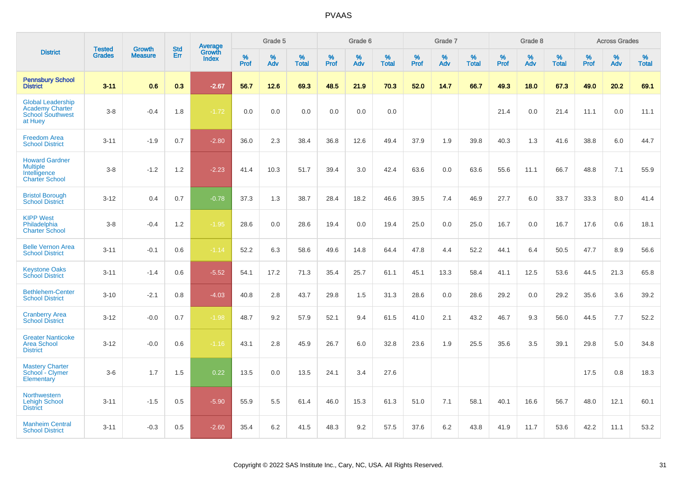|                                                                                          | <b>Tested</b> | <b>Growth</b>  | <b>Std</b> |                                   |              | Grade 5  |                   |           | Grade 6  |                   |              | Grade 7  |                   |              | Grade 8  |                   |           | <b>Across Grades</b> |                   |
|------------------------------------------------------------------------------------------|---------------|----------------|------------|-----------------------------------|--------------|----------|-------------------|-----------|----------|-------------------|--------------|----------|-------------------|--------------|----------|-------------------|-----------|----------------------|-------------------|
| <b>District</b>                                                                          | <b>Grades</b> | <b>Measure</b> | Err        | Average<br>Growth<br><b>Index</b> | $\%$<br>Prof | %<br>Adv | %<br><b>Total</b> | %<br>Prof | %<br>Adv | %<br><b>Total</b> | $\%$<br>Prof | %<br>Adv | %<br><b>Total</b> | $\%$<br>Prof | %<br>Adv | %<br><b>Total</b> | %<br>Prof | %<br>Adv             | %<br><b>Total</b> |
| <b>Pennsbury School</b><br><b>District</b>                                               | $3 - 11$      | 0.6            | 0.3        | $-2.67$                           | 56.7         | 12.6     | 69.3              | 48.5      | 21.9     | 70.3              | 52.0         | 14.7     | 66.7              | 49.3         | 18.0     | 67.3              | 49.0      | 20.2                 | 69.1              |
| <b>Global Leadership</b><br><b>Academy Charter</b><br><b>School Southwest</b><br>at Huey | $3 - 8$       | $-0.4$         | 1.8        | $-1.72$                           | 0.0          | 0.0      | 0.0               | 0.0       | 0.0      | 0.0               |              |          |                   | 21.4         | 0.0      | 21.4              | 11.1      | 0.0                  | 11.1              |
| <b>Freedom Area</b><br><b>School District</b>                                            | $3 - 11$      | $-1.9$         | 0.7        | $-2.80$                           | 36.0         | 2.3      | 38.4              | 36.8      | 12.6     | 49.4              | 37.9         | 1.9      | 39.8              | 40.3         | 1.3      | 41.6              | 38.8      | 6.0                  | 44.7              |
| <b>Howard Gardner</b><br><b>Multiple</b><br>Intelligence<br><b>Charter School</b>        | $3 - 8$       | $-1.2$         | 1.2        | $-2.23$                           | 41.4         | 10.3     | 51.7              | 39.4      | 3.0      | 42.4              | 63.6         | 0.0      | 63.6              | 55.6         | 11.1     | 66.7              | 48.8      | 7.1                  | 55.9              |
| <b>Bristol Borough</b><br><b>School District</b>                                         | $3 - 12$      | 0.4            | 0.7        | $-0.78$                           | 37.3         | 1.3      | 38.7              | 28.4      | 18.2     | 46.6              | 39.5         | 7.4      | 46.9              | 27.7         | 6.0      | 33.7              | 33.3      | 8.0                  | 41.4              |
| <b>KIPP West</b><br>Philadelphia<br><b>Charter School</b>                                | $3 - 8$       | $-0.4$         | 1.2        | $-1.95$                           | 28.6         | 0.0      | 28.6              | 19.4      | 0.0      | 19.4              | 25.0         | 0.0      | 25.0              | 16.7         | 0.0      | 16.7              | 17.6      | 0.6                  | 18.1              |
| <b>Belle Vernon Area</b><br><b>School District</b>                                       | $3 - 11$      | $-0.1$         | 0.6        | $-1.14$                           | 52.2         | 6.3      | 58.6              | 49.6      | 14.8     | 64.4              | 47.8         | 4.4      | 52.2              | 44.1         | 6.4      | 50.5              | 47.7      | 8.9                  | 56.6              |
| <b>Keystone Oaks</b><br><b>School District</b>                                           | $3 - 11$      | $-1.4$         | 0.6        | $-5.52$                           | 54.1         | 17.2     | 71.3              | 35.4      | 25.7     | 61.1              | 45.1         | 13.3     | 58.4              | 41.1         | 12.5     | 53.6              | 44.5      | 21.3                 | 65.8              |
| <b>Bethlehem-Center</b><br><b>School District</b>                                        | $3 - 10$      | $-2.1$         | 0.8        | $-4.03$                           | 40.8         | 2.8      | 43.7              | 29.8      | 1.5      | 31.3              | 28.6         | 0.0      | 28.6              | 29.2         | 0.0      | 29.2              | 35.6      | 3.6                  | 39.2              |
| <b>Cranberry Area</b><br><b>School District</b>                                          | $3 - 12$      | $-0.0$         | 0.7        | $-1.98$                           | 48.7         | 9.2      | 57.9              | 52.1      | 9.4      | 61.5              | 41.0         | 2.1      | 43.2              | 46.7         | 9.3      | 56.0              | 44.5      | 7.7                  | 52.2              |
| <b>Greater Nanticoke</b><br><b>Area School</b><br><b>District</b>                        | $3 - 12$      | $-0.0$         | 0.6        | $-1.16$                           | 43.1         | 2.8      | 45.9              | 26.7      | 6.0      | 32.8              | 23.6         | 1.9      | 25.5              | 35.6         | 3.5      | 39.1              | 29.8      | 5.0                  | 34.8              |
| <b>Mastery Charter</b><br>School - Clymer<br>Elementary                                  | $3-6$         | 1.7            | 1.5        | 0.22                              | 13.5         | 0.0      | 13.5              | 24.1      | 3.4      | 27.6              |              |          |                   |              |          |                   | 17.5      | 0.8                  | 18.3              |
| Northwestern<br><b>Lehigh School</b><br><b>District</b>                                  | $3 - 11$      | $-1.5$         | 0.5        | $-5.90$                           | 55.9         | 5.5      | 61.4              | 46.0      | 15.3     | 61.3              | 51.0         | 7.1      | 58.1              | 40.1         | 16.6     | 56.7              | 48.0      | 12.1                 | 60.1              |
| <b>Manheim Central</b><br><b>School District</b>                                         | $3 - 11$      | $-0.3$         | 0.5        | $-2.60$                           | 35.4         | 6.2      | 41.5              | 48.3      | 9.2      | 57.5              | 37.6         | 6.2      | 43.8              | 41.9         | 11.7     | 53.6              | 42.2      | 11.1                 | 53.2              |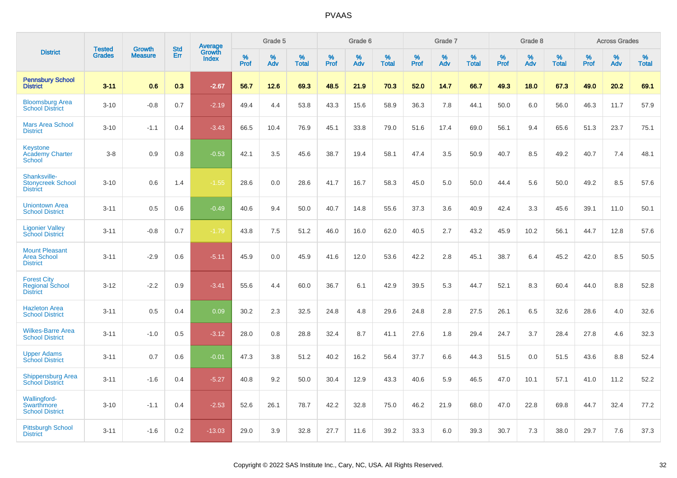|                                                                 | <b>Tested</b> | <b>Growth</b>  | <b>Std</b> |                                          |              | Grade 5  |                   |           | Grade 6  |                   |           | Grade 7  |                   |           | Grade 8  |                   |           | <b>Across Grades</b> |                   |
|-----------------------------------------------------------------|---------------|----------------|------------|------------------------------------------|--------------|----------|-------------------|-----------|----------|-------------------|-----------|----------|-------------------|-----------|----------|-------------------|-----------|----------------------|-------------------|
| <b>District</b>                                                 | <b>Grades</b> | <b>Measure</b> | Err        | <b>Average</b><br>Growth<br><b>Index</b> | $\%$<br>Prof | %<br>Adv | %<br><b>Total</b> | %<br>Prof | %<br>Adv | %<br><b>Total</b> | %<br>Prof | %<br>Adv | %<br><b>Total</b> | %<br>Prof | %<br>Adv | %<br><b>Total</b> | %<br>Prof | %<br>Adv             | %<br><b>Total</b> |
| <b>Pennsbury School</b><br><b>District</b>                      | $3 - 11$      | 0.6            | 0.3        | $-2.67$                                  | 56.7         | 12.6     | 69.3              | 48.5      | 21.9     | 70.3              | 52.0      | 14.7     | 66.7              | 49.3      | 18.0     | 67.3              | 49.0      | 20.2                 | 69.1              |
| <b>Bloomsburg Area</b><br><b>School District</b>                | $3 - 10$      | $-0.8$         | 0.7        | $-2.19$                                  | 49.4         | 4.4      | 53.8              | 43.3      | 15.6     | 58.9              | 36.3      | 7.8      | 44.1              | 50.0      | 6.0      | 56.0              | 46.3      | 11.7                 | 57.9              |
| <b>Mars Area School</b><br><b>District</b>                      | $3 - 10$      | $-1.1$         | 0.4        | $-3.43$                                  | 66.5         | 10.4     | 76.9              | 45.1      | 33.8     | 79.0              | 51.6      | 17.4     | 69.0              | 56.1      | 9.4      | 65.6              | 51.3      | 23.7                 | 75.1              |
| Keystone<br><b>Academy Charter</b><br>School                    | $3-8$         | 0.9            | 0.8        | $-0.53$                                  | 42.1         | 3.5      | 45.6              | 38.7      | 19.4     | 58.1              | 47.4      | 3.5      | 50.9              | 40.7      | 8.5      | 49.2              | 40.7      | 7.4                  | 48.1              |
| Shanksville-<br><b>Stonycreek School</b><br><b>District</b>     | $3 - 10$      | 0.6            | 1.4        | $-1.55$                                  | 28.6         | 0.0      | 28.6              | 41.7      | 16.7     | 58.3              | 45.0      | 5.0      | 50.0              | 44.4      | 5.6      | 50.0              | 49.2      | 8.5                  | 57.6              |
| <b>Uniontown Area</b><br><b>School District</b>                 | $3 - 11$      | 0.5            | 0.6        | $-0.49$                                  | 40.6         | 9.4      | 50.0              | 40.7      | 14.8     | 55.6              | 37.3      | 3.6      | 40.9              | 42.4      | 3.3      | 45.6              | 39.1      | 11.0                 | 50.1              |
| <b>Ligonier Valley</b><br><b>School District</b>                | $3 - 11$      | $-0.8$         | 0.7        | $-1.79$                                  | 43.8         | 7.5      | 51.2              | 46.0      | 16.0     | 62.0              | 40.5      | 2.7      | 43.2              | 45.9      | 10.2     | 56.1              | 44.7      | 12.8                 | 57.6              |
| <b>Mount Pleasant</b><br><b>Area School</b><br><b>District</b>  | $3 - 11$      | $-2.9$         | 0.6        | $-5.11$                                  | 45.9         | 0.0      | 45.9              | 41.6      | 12.0     | 53.6              | 42.2      | 2.8      | 45.1              | 38.7      | 6.4      | 45.2              | 42.0      | 8.5                  | 50.5              |
| <b>Forest City</b><br><b>Regional School</b><br><b>District</b> | $3 - 12$      | $-2.2$         | 0.9        | $-3.41$                                  | 55.6         | 4.4      | 60.0              | 36.7      | 6.1      | 42.9              | 39.5      | 5.3      | 44.7              | 52.1      | 8.3      | 60.4              | 44.0      | 8.8                  | 52.8              |
| <b>Hazleton Area</b><br><b>School District</b>                  | $3 - 11$      | 0.5            | 0.4        | 0.09                                     | 30.2         | 2.3      | 32.5              | 24.8      | 4.8      | 29.6              | 24.8      | 2.8      | 27.5              | 26.1      | 6.5      | 32.6              | 28.6      | 4.0                  | 32.6              |
| <b>Wilkes-Barre Area</b><br><b>School District</b>              | $3 - 11$      | $-1.0$         | 0.5        | $-3.12$                                  | 28.0         | 0.8      | 28.8              | 32.4      | 8.7      | 41.1              | 27.6      | 1.8      | 29.4              | 24.7      | 3.7      | 28.4              | 27.8      | 4.6                  | 32.3              |
| <b>Upper Adams</b><br><b>School District</b>                    | $3 - 11$      | 0.7            | 0.6        | $-0.01$                                  | 47.3         | 3.8      | 51.2              | 40.2      | 16.2     | 56.4              | 37.7      | 6.6      | 44.3              | 51.5      | 0.0      | 51.5              | 43.6      | 8.8                  | 52.4              |
| <b>Shippensburg Area</b><br><b>School District</b>              | $3 - 11$      | $-1.6$         | 0.4        | $-5.27$                                  | 40.8         | 9.2      | 50.0              | 30.4      | 12.9     | 43.3              | 40.6      | 5.9      | 46.5              | 47.0      | 10.1     | 57.1              | 41.0      | 11.2                 | 52.2              |
| <b>Wallingford-</b><br>Swarthmore<br><b>School District</b>     | $3 - 10$      | $-1.1$         | 0.4        | $-2.53$                                  | 52.6         | 26.1     | 78.7              | 42.2      | 32.8     | 75.0              | 46.2      | 21.9     | 68.0              | 47.0      | 22.8     | 69.8              | 44.7      | 32.4                 | 77.2              |
| <b>Pittsburgh School</b><br><b>District</b>                     | $3 - 11$      | $-1.6$         | 0.2        | $-13.03$                                 | 29.0         | 3.9      | 32.8              | 27.7      | 11.6     | 39.2              | 33.3      | 6.0      | 39.3              | 30.7      | 7.3      | 38.0              | 29.7      | 7.6                  | 37.3              |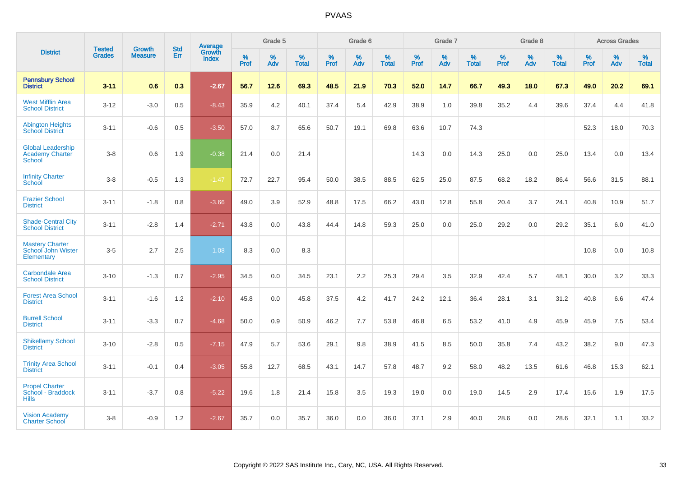|                                                                     | <b>Tested</b> | <b>Growth</b>  | <b>Std</b> | Average                |           | Grade 5  |                   |           | Grade 6  |                   |           | Grade 7  |                   |           | Grade 8  |                   |           | <b>Across Grades</b> |                   |
|---------------------------------------------------------------------|---------------|----------------|------------|------------------------|-----------|----------|-------------------|-----------|----------|-------------------|-----------|----------|-------------------|-----------|----------|-------------------|-----------|----------------------|-------------------|
| <b>District</b>                                                     | <b>Grades</b> | <b>Measure</b> | Err        | Growth<br><b>Index</b> | %<br>Prof | %<br>Adv | %<br><b>Total</b> | %<br>Prof | %<br>Adv | %<br><b>Total</b> | %<br>Prof | %<br>Adv | %<br><b>Total</b> | %<br>Prof | %<br>Adv | %<br><b>Total</b> | %<br>Prof | %<br>Adv             | %<br><b>Total</b> |
| <b>Pennsbury School</b><br><b>District</b>                          | $3 - 11$      | 0.6            | 0.3        | $-2.67$                | 56.7      | 12.6     | 69.3              | 48.5      | 21.9     | 70.3              | 52.0      | 14.7     | 66.7              | 49.3      | 18.0     | 67.3              | 49.0      | 20.2                 | 69.1              |
| <b>West Mifflin Area</b><br><b>School District</b>                  | $3 - 12$      | $-3.0$         | 0.5        | $-8.43$                | 35.9      | 4.2      | 40.1              | 37.4      | 5.4      | 42.9              | 38.9      | 1.0      | 39.8              | 35.2      | 4.4      | 39.6              | 37.4      | 4.4                  | 41.8              |
| <b>Abington Heights</b><br><b>School District</b>                   | $3 - 11$      | $-0.6$         | 0.5        | $-3.50$                | 57.0      | 8.7      | 65.6              | 50.7      | 19.1     | 69.8              | 63.6      | 10.7     | 74.3              |           |          |                   | 52.3      | 18.0                 | 70.3              |
| <b>Global Leadership</b><br><b>Academy Charter</b><br><b>School</b> | $3 - 8$       | 0.6            | 1.9        | $-0.38$                | 21.4      | 0.0      | 21.4              |           |          |                   | 14.3      | 0.0      | 14.3              | 25.0      | 0.0      | 25.0              | 13.4      | 0.0                  | 13.4              |
| <b>Infinity Charter</b><br><b>School</b>                            | $3 - 8$       | $-0.5$         | 1.3        | $-1.47$                | 72.7      | 22.7     | 95.4              | 50.0      | 38.5     | 88.5              | 62.5      | 25.0     | 87.5              | 68.2      | 18.2     | 86.4              | 56.6      | 31.5                 | 88.1              |
| <b>Frazier School</b><br><b>District</b>                            | $3 - 11$      | $-1.8$         | 0.8        | $-3.66$                | 49.0      | 3.9      | 52.9              | 48.8      | 17.5     | 66.2              | 43.0      | 12.8     | 55.8              | 20.4      | 3.7      | 24.1              | 40.8      | 10.9                 | 51.7              |
| <b>Shade-Central City</b><br><b>School District</b>                 | $3 - 11$      | $-2.8$         | 1.4        | $-2.71$                | 43.8      | 0.0      | 43.8              | 44.4      | 14.8     | 59.3              | 25.0      | 0.0      | 25.0              | 29.2      | 0.0      | 29.2              | 35.1      | 6.0                  | 41.0              |
| <b>Mastery Charter</b><br>School John Wister<br>Elementary          | $3-5$         | 2.7            | 2.5        | 1.08                   | 8.3       | 0.0      | 8.3               |           |          |                   |           |          |                   |           |          |                   | 10.8      | 0.0                  | 10.8              |
| <b>Carbondale Area</b><br><b>School District</b>                    | $3 - 10$      | $-1.3$         | 0.7        | $-2.95$                | 34.5      | 0.0      | 34.5              | 23.1      | 2.2      | 25.3              | 29.4      | 3.5      | 32.9              | 42.4      | 5.7      | 48.1              | 30.0      | 3.2                  | 33.3              |
| <b>Forest Area School</b><br><b>District</b>                        | $3 - 11$      | $-1.6$         | 1.2        | $-2.10$                | 45.8      | 0.0      | 45.8              | 37.5      | 4.2      | 41.7              | 24.2      | 12.1     | 36.4              | 28.1      | 3.1      | 31.2              | 40.8      | 6.6                  | 47.4              |
| <b>Burrell School</b><br><b>District</b>                            | $3 - 11$      | $-3.3$         | 0.7        | $-4.68$                | 50.0      | 0.9      | 50.9              | 46.2      | 7.7      | 53.8              | 46.8      | 6.5      | 53.2              | 41.0      | 4.9      | 45.9              | 45.9      | 7.5                  | 53.4              |
| <b>Shikellamy School</b><br><b>District</b>                         | $3 - 10$      | $-2.8$         | 0.5        | $-7.15$                | 47.9      | 5.7      | 53.6              | 29.1      | 9.8      | 38.9              | 41.5      | 8.5      | 50.0              | 35.8      | 7.4      | 43.2              | 38.2      | 9.0                  | 47.3              |
| <b>Trinity Area School</b><br><b>District</b>                       | $3 - 11$      | $-0.1$         | 0.4        | $-3.05$                | 55.8      | 12.7     | 68.5              | 43.1      | 14.7     | 57.8              | 48.7      | 9.2      | 58.0              | 48.2      | 13.5     | 61.6              | 46.8      | 15.3                 | 62.1              |
| <b>Propel Charter</b><br>School - Braddock<br><b>Hills</b>          | $3 - 11$      | $-3.7$         | 0.8        | $-5.22$                | 19.6      | 1.8      | 21.4              | 15.8      | 3.5      | 19.3              | 19.0      | 0.0      | 19.0              | 14.5      | 2.9      | 17.4              | 15.6      | 1.9                  | 17.5              |
| <b>Vision Academy</b><br><b>Charter School</b>                      | $3 - 8$       | $-0.9$         | 1.2        | $-2.67$                | 35.7      | 0.0      | 35.7              | 36.0      | 0.0      | 36.0              | 37.1      | 2.9      | 40.0              | 28.6      | 0.0      | 28.6              | 32.1      | 1.1                  | 33.2              |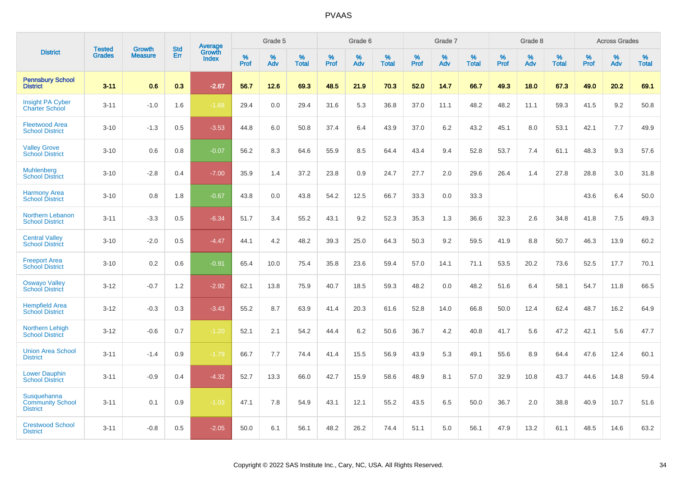|                                                           | <b>Tested</b> | <b>Growth</b>  | <b>Std</b> | Average                |                     | Grade 5  |                      |                     | Grade 6     |                      |              | Grade 7     |                   |              | Grade 8     |                   |              | <b>Across Grades</b> |                   |
|-----------------------------------------------------------|---------------|----------------|------------|------------------------|---------------------|----------|----------------------|---------------------|-------------|----------------------|--------------|-------------|-------------------|--------------|-------------|-------------------|--------------|----------------------|-------------------|
| <b>District</b>                                           | <b>Grades</b> | <b>Measure</b> | Err        | Growth<br><b>Index</b> | $\%$<br><b>Prof</b> | %<br>Adv | $\%$<br><b>Total</b> | $\%$<br><b>Prof</b> | $\%$<br>Adv | $\%$<br><b>Total</b> | $\%$<br>Prof | $\%$<br>Adv | %<br><b>Total</b> | $\%$<br>Prof | $\%$<br>Adv | %<br><b>Total</b> | $\%$<br>Prof | $\%$<br>Adv          | %<br><b>Total</b> |
| <b>Pennsbury School</b><br><b>District</b>                | $3 - 11$      | 0.6            | 0.3        | $-2.67$                | 56.7                | 12.6     | 69.3                 | 48.5                | 21.9        | 70.3                 | 52.0         | 14.7        | 66.7              | 49.3         | 18.0        | 67.3              | 49.0         | 20.2                 | 69.1              |
| <b>Insight PA Cyber</b><br><b>Charter School</b>          | $3 - 11$      | $-1.0$         | 1.6        | $-1.68$                | 29.4                | 0.0      | 29.4                 | 31.6                | 5.3         | 36.8                 | 37.0         | 11.1        | 48.2              | 48.2         | 11.1        | 59.3              | 41.5         | 9.2                  | 50.8              |
| <b>Fleetwood Area</b><br><b>School District</b>           | $3 - 10$      | $-1.3$         | 0.5        | $-3.53$                | 44.8                | 6.0      | 50.8                 | 37.4                | 6.4         | 43.9                 | 37.0         | 6.2         | 43.2              | 45.1         | 8.0         | 53.1              | 42.1         | 7.7                  | 49.9              |
| <b>Valley Grove</b><br><b>School District</b>             | $3 - 10$      | 0.6            | 0.8        | $-0.07$                | 56.2                | 8.3      | 64.6                 | 55.9                | 8.5         | 64.4                 | 43.4         | 9.4         | 52.8              | 53.7         | 7.4         | 61.1              | 48.3         | 9.3                  | 57.6              |
| <b>Muhlenberg</b><br><b>School District</b>               | $3 - 10$      | $-2.8$         | 0.4        | $-7.00$                | 35.9                | 1.4      | 37.2                 | 23.8                | 0.9         | 24.7                 | 27.7         | 2.0         | 29.6              | 26.4         | 1.4         | 27.8              | 28.8         | 3.0                  | 31.8              |
| <b>Harmony Area</b><br><b>School District</b>             | $3 - 10$      | 0.8            | 1.8        | $-0.67$                | 43.8                | 0.0      | 43.8                 | 54.2                | 12.5        | 66.7                 | 33.3         | 0.0         | 33.3              |              |             |                   | 43.6         | 6.4                  | 50.0              |
| Northern Lebanon<br><b>School District</b>                | $3 - 11$      | $-3.3$         | 0.5        | $-6.34$                | 51.7                | 3.4      | 55.2                 | 43.1                | 9.2         | 52.3                 | 35.3         | 1.3         | 36.6              | 32.3         | 2.6         | 34.8              | 41.8         | 7.5                  | 49.3              |
| <b>Central Valley</b><br><b>School District</b>           | $3 - 10$      | $-2.0$         | 0.5        | $-4.47$                | 44.1                | 4.2      | 48.2                 | 39.3                | 25.0        | 64.3                 | 50.3         | 9.2         | 59.5              | 41.9         | 8.8         | 50.7              | 46.3         | 13.9                 | 60.2              |
| <b>Freeport Area</b><br><b>School District</b>            | $3 - 10$      | 0.2            | 0.6        | $-0.91$                | 65.4                | 10.0     | 75.4                 | 35.8                | 23.6        | 59.4                 | 57.0         | 14.1        | 71.1              | 53.5         | 20.2        | 73.6              | 52.5         | 17.7                 | 70.1              |
| <b>Oswayo Valley</b><br>School District                   | $3 - 12$      | $-0.7$         | 1.2        | $-2.92$                | 62.1                | 13.8     | 75.9                 | 40.7                | 18.5        | 59.3                 | 48.2         | 0.0         | 48.2              | 51.6         | 6.4         | 58.1              | 54.7         | 11.8                 | 66.5              |
| <b>Hempfield Area</b><br><b>School District</b>           | $3 - 12$      | $-0.3$         | 0.3        | $-3.43$                | 55.2                | 8.7      | 63.9                 | 41.4                | 20.3        | 61.6                 | 52.8         | 14.0        | 66.8              | 50.0         | 12.4        | 62.4              | 48.7         | 16.2                 | 64.9              |
| <b>Northern Lehigh</b><br><b>School District</b>          | $3 - 12$      | $-0.6$         | 0.7        | $-1.20$                | 52.1                | 2.1      | 54.2                 | 44.4                | 6.2         | 50.6                 | 36.7         | 4.2         | 40.8              | 41.7         | 5.6         | 47.2              | 42.1         | 5.6                  | 47.7              |
| <b>Union Area School</b><br><b>District</b>               | $3 - 11$      | $-1.4$         | 0.9        | $-1.79$                | 66.7                | 7.7      | 74.4                 | 41.4                | 15.5        | 56.9                 | 43.9         | 5.3         | 49.1              | 55.6         | 8.9         | 64.4              | 47.6         | 12.4                 | 60.1              |
| <b>Lower Dauphin</b><br><b>School District</b>            | $3 - 11$      | $-0.9$         | 0.4        | $-4.32$                | 52.7                | 13.3     | 66.0                 | 42.7                | 15.9        | 58.6                 | 48.9         | 8.1         | 57.0              | 32.9         | 10.8        | 43.7              | 44.6         | 14.8                 | 59.4              |
| Susquehanna<br><b>Community School</b><br><b>District</b> | $3 - 11$      | 0.1            | 0.9        | $-1.03$                | 47.1                | 7.8      | 54.9                 | 43.1                | 12.1        | 55.2                 | 43.5         | 6.5         | 50.0              | 36.7         | 2.0         | 38.8              | 40.9         | 10.7                 | 51.6              |
| <b>Crestwood School</b><br><b>District</b>                | $3 - 11$      | $-0.8$         | 0.5        | $-2.05$                | 50.0                | 6.1      | 56.1                 | 48.2                | 26.2        | 74.4                 | 51.1         | 5.0         | 56.1              | 47.9         | 13.2        | 61.1              | 48.5         | 14.6                 | 63.2              |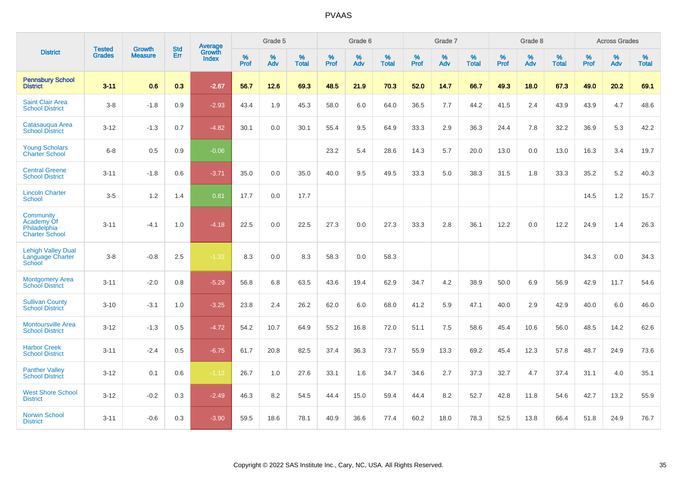|                                                                  | <b>Tested</b> | <b>Growth</b>  | <b>Std</b> | <b>Average</b>         |           | Grade 5  |                   |           | Grade 6  |                   |           | Grade 7  |                   |           | Grade 8  |                   |           | <b>Across Grades</b> |                   |
|------------------------------------------------------------------|---------------|----------------|------------|------------------------|-----------|----------|-------------------|-----------|----------|-------------------|-----------|----------|-------------------|-----------|----------|-------------------|-----------|----------------------|-------------------|
| <b>District</b>                                                  | <b>Grades</b> | <b>Measure</b> | Err        | Growth<br><b>Index</b> | %<br>Prof | %<br>Adv | %<br><b>Total</b> | %<br>Prof | %<br>Adv | %<br><b>Total</b> | %<br>Prof | %<br>Adv | %<br><b>Total</b> | %<br>Prof | %<br>Adv | %<br><b>Total</b> | %<br>Prof | %<br>Adv             | %<br><b>Total</b> |
| <b>Pennsbury School</b><br><b>District</b>                       | $3 - 11$      | 0.6            | 0.3        | $-2.67$                | 56.7      | 12.6     | 69.3              | 48.5      | 21.9     | 70.3              | 52.0      | 14.7     | 66.7              | 49.3      | 18.0     | 67.3              | 49.0      | 20.2                 | 69.1              |
| <b>Saint Clair Area</b><br><b>School District</b>                | $3 - 8$       | $-1.8$         | 0.9        | $-2.93$                | 43.4      | 1.9      | 45.3              | 58.0      | 6.0      | 64.0              | 36.5      | 7.7      | 44.2              | 41.5      | 2.4      | 43.9              | 43.9      | 4.7                  | 48.6              |
| Catasauqua Area<br><b>School District</b>                        | $3 - 12$      | $-1.3$         | 0.7        | $-4.82$                | 30.1      | 0.0      | 30.1              | 55.4      | 9.5      | 64.9              | 33.3      | 2.9      | 36.3              | 24.4      | 7.8      | 32.2              | 36.9      | 5.3                  | 42.2              |
| <b>Young Scholars</b><br><b>Charter School</b>                   | $6 - 8$       | 0.5            | 0.9        | $-0.06$                |           |          |                   | 23.2      | 5.4      | 28.6              | 14.3      | 5.7      | 20.0              | 13.0      | 0.0      | 13.0              | 16.3      | 3.4                  | 19.7              |
| <b>Central Greene</b><br><b>School District</b>                  | $3 - 11$      | $-1.8$         | 0.6        | $-3.71$                | 35.0      | 0.0      | 35.0              | 40.0      | 9.5      | 49.5              | 33.3      | 5.0      | 38.3              | 31.5      | 1.8      | 33.3              | 35.2      | 5.2                  | 40.3              |
| <b>Lincoln Charter</b><br><b>School</b>                          | $3-5$         | 1.2            | 1.4        | 0.81                   | 17.7      | 0.0      | 17.7              |           |          |                   |           |          |                   |           |          |                   | 14.5      | 1.2                  | 15.7              |
| Community<br>Academy Of<br>Philadelphia<br><b>Charter School</b> | $3 - 11$      | $-4.1$         | 1.0        | $-4.18$                | 22.5      | 0.0      | 22.5              | 27.3      | 0.0      | 27.3              | 33.3      | 2.8      | 36.1              | 12.2      | 0.0      | 12.2              | 24.9      | 1.4                  | 26.3              |
| <b>Lehigh Valley Dual</b><br>Language Charter<br>School          | $3 - 8$       | $-0.8$         | 2.5        | $-1.32$                | 8.3       | 0.0      | 8.3               | 58.3      | 0.0      | 58.3              |           |          |                   |           |          |                   | 34.3      | 0.0                  | 34.3              |
| <b>Montgomery Area</b><br><b>School District</b>                 | $3 - 11$      | $-2.0$         | 0.8        | $-5.29$                | 56.8      | 6.8      | 63.5              | 43.6      | 19.4     | 62.9              | 34.7      | 4.2      | 38.9              | 50.0      | 6.9      | 56.9              | 42.9      | 11.7                 | 54.6              |
| <b>Sullivan County</b><br><b>School District</b>                 | $3 - 10$      | $-3.1$         | 1.0        | $-3.25$                | 23.8      | 2.4      | 26.2              | 62.0      | 6.0      | 68.0              | 41.2      | 5.9      | 47.1              | 40.0      | 2.9      | 42.9              | 40.0      | 6.0                  | 46.0              |
| <b>Montoursville Area</b><br><b>School District</b>              | $3 - 12$      | $-1.3$         | 0.5        | $-4.72$                | 54.2      | 10.7     | 64.9              | 55.2      | 16.8     | 72.0              | 51.1      | 7.5      | 58.6              | 45.4      | 10.6     | 56.0              | 48.5      | 14.2                 | 62.6              |
| <b>Harbor Creek</b><br><b>School District</b>                    | $3 - 11$      | $-2.4$         | 0.5        | $-6.75$                | 61.7      | 20.8     | 82.5              | 37.4      | 36.3     | 73.7              | 55.9      | 13.3     | 69.2              | 45.4      | 12.3     | 57.8              | 48.7      | 24.9                 | 73.6              |
| <b>Panther Valley</b><br><b>School District</b>                  | $3 - 12$      | 0.1            | 0.6        | $-1.12$                | 26.7      | 1.0      | 27.6              | 33.1      | 1.6      | 34.7              | 34.6      | 2.7      | 37.3              | 32.7      | 4.7      | 37.4              | 31.1      | 4.0                  | 35.1              |
| <b>West Shore School</b><br><b>District</b>                      | $3 - 12$      | $-0.2$         | 0.3        | $-2.49$                | 46.3      | 8.2      | 54.5              | 44.4      | 15.0     | 59.4              | 44.4      | 8.2      | 52.7              | 42.8      | 11.8     | 54.6              | 42.7      | 13.2                 | 55.9              |
| <b>Norwin School</b><br><b>District</b>                          | $3 - 11$      | $-0.6$         | 0.3        | $-3.90$                | 59.5      | 18.6     | 78.1              | 40.9      | 36.6     | 77.4              | 60.2      | 18.0     | 78.3              | 52.5      | 13.8     | 66.4              | 51.8      | 24.9                 | 76.7              |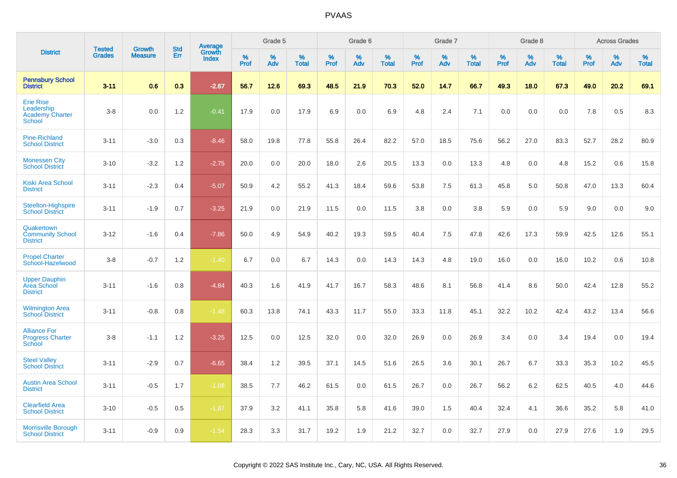|                                                                           | <b>Tested</b> | <b>Growth</b>  | <b>Std</b> | Average                |           | Grade 5  |                   |           | Grade 6  |                   |           | Grade 7  |                   |           | Grade 8  |                   |           | <b>Across Grades</b> |                   |
|---------------------------------------------------------------------------|---------------|----------------|------------|------------------------|-----------|----------|-------------------|-----------|----------|-------------------|-----------|----------|-------------------|-----------|----------|-------------------|-----------|----------------------|-------------------|
| <b>District</b>                                                           | <b>Grades</b> | <b>Measure</b> | Err        | Growth<br><b>Index</b> | %<br>Prof | %<br>Adv | %<br><b>Total</b> | %<br>Prof | %<br>Adv | %<br><b>Total</b> | %<br>Prof | %<br>Adv | %<br><b>Total</b> | %<br>Prof | %<br>Adv | %<br><b>Total</b> | %<br>Prof | %<br>Adv             | %<br><b>Total</b> |
| <b>Pennsbury School</b><br><b>District</b>                                | $3 - 11$      | 0.6            | 0.3        | $-2.67$                | 56.7      | 12.6     | 69.3              | 48.5      | 21.9     | 70.3              | 52.0      | 14.7     | 66.7              | 49.3      | 18.0     | 67.3              | 49.0      | 20.2                 | 69.1              |
| <b>Erie Rise</b><br>Leadership<br><b>Academy Charter</b><br><b>School</b> | $3 - 8$       | 0.0            | 1.2        | $-0.41$                | 17.9      | 0.0      | 17.9              | 6.9       | 0.0      | 6.9               | 4.8       | 2.4      | 7.1               | 0.0       | 0.0      | 0.0               | 7.8       | 0.5                  | 8.3               |
| <b>Pine-Richland</b><br><b>School District</b>                            | $3 - 11$      | $-3.0$         | 0.3        | $-8.46$                | 58.0      | 19.8     | 77.8              | 55.8      | 26.4     | 82.2              | 57.0      | 18.5     | 75.6              | 56.2      | 27.0     | 83.3              | 52.7      | 28.2                 | 80.9              |
| <b>Monessen City</b><br><b>School District</b>                            | $3 - 10$      | $-3.2$         | 1.2        | $-2.75$                | 20.0      | 0.0      | 20.0              | 18.0      | 2.6      | 20.5              | 13.3      | 0.0      | 13.3              | 4.8       | 0.0      | 4.8               | 15.2      | 0.6                  | 15.8              |
| <b>Kiski Area School</b><br><b>District</b>                               | $3 - 11$      | $-2.3$         | 0.4        | $-5.07$                | 50.9      | 4.2      | 55.2              | 41.3      | 18.4     | 59.6              | 53.8      | 7.5      | 61.3              | 45.8      | 5.0      | 50.8              | 47.0      | 13.3                 | 60.4              |
| Steelton-Highspire<br><b>School District</b>                              | $3 - 11$      | $-1.9$         | 0.7        | $-3.25$                | 21.9      | 0.0      | 21.9              | 11.5      | 0.0      | 11.5              | 3.8       | 0.0      | 3.8               | 5.9       | 0.0      | 5.9               | 9.0       | 0.0                  | 9.0               |
| Quakertown<br><b>Community School</b><br><b>District</b>                  | $3 - 12$      | $-1.6$         | 0.4        | $-7.86$                | 50.0      | 4.9      | 54.9              | 40.2      | 19.3     | 59.5              | 40.4      | 7.5      | 47.8              | 42.6      | 17.3     | 59.9              | 42.5      | 12.6                 | 55.1              |
| <b>Propel Charter</b><br>School-Hazelwood                                 | $3-8$         | $-0.7$         | 1.2        | $-1.40$                | 6.7       | 0.0      | 6.7               | 14.3      | 0.0      | 14.3              | 14.3      | 4.8      | 19.0              | 16.0      | 0.0      | 16.0              | 10.2      | 0.6                  | 10.8              |
| <b>Upper Dauphin</b><br>Area School<br><b>District</b>                    | $3 - 11$      | $-1.6$         | 0.8        | $-4.84$                | 40.3      | 1.6      | 41.9              | 41.7      | 16.7     | 58.3              | 48.6      | 8.1      | 56.8              | 41.4      | 8.6      | 50.0              | 42.4      | 12.8                 | 55.2              |
| <b>Wilmington Area</b><br><b>School District</b>                          | $3 - 11$      | $-0.8$         | 0.8        | $-1.48$                | 60.3      | 13.8     | 74.1              | 43.3      | 11.7     | 55.0              | 33.3      | 11.8     | 45.1              | 32.2      | 10.2     | 42.4              | 43.2      | 13.4                 | 56.6              |
| <b>Alliance For</b><br><b>Progress Charter</b><br>School                  | $3-8$         | $-1.1$         | 1.2        | $-3.25$                | 12.5      | 0.0      | 12.5              | 32.0      | 0.0      | 32.0              | 26.9      | 0.0      | 26.9              | 3.4       | 0.0      | 3.4               | 19.4      | 0.0                  | 19.4              |
| <b>Steel Valley</b><br><b>School District</b>                             | $3 - 11$      | $-2.9$         | 0.7        | $-6.65$                | 38.4      | 1.2      | 39.5              | 37.1      | 14.5     | 51.6              | 26.5      | 3.6      | 30.1              | 26.7      | 6.7      | 33.3              | 35.3      | 10.2                 | 45.5              |
| <b>Austin Area School</b><br><b>District</b>                              | $3 - 11$      | $-0.5$         | 1.7        | $-1.08$                | 38.5      | 7.7      | 46.2              | 61.5      | 0.0      | 61.5              | 26.7      | 0.0      | 26.7              | 56.2      | 6.2      | 62.5              | 40.5      | 4.0                  | 44.6              |
| <b>Clearfield Area</b><br><b>School District</b>                          | $3 - 10$      | $-0.5$         | 0.5        | $-1.87$                | 37.9      | 3.2      | 41.1              | 35.8      | 5.8      | 41.6              | 39.0      | 1.5      | 40.4              | 32.4      | 4.1      | 36.6              | 35.2      | 5.8                  | 41.0              |
| <b>Morrisville Borough</b><br><b>School District</b>                      | $3 - 11$      | $-0.9$         | 0.9        | $-1.54$                | 28.3      | 3.3      | 31.7              | 19.2      | 1.9      | 21.2              | 32.7      | 0.0      | 32.7              | 27.9      | 0.0      | 27.9              | 27.6      | 1.9                  | 29.5              |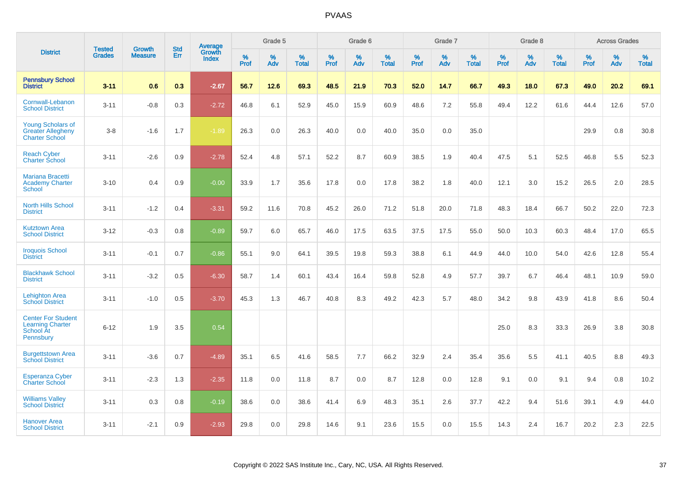|                                                                                |                                | <b>Growth</b>  | <b>Std</b> |                                   |              | Grade 5  |                   |              | Grade 6  |                   |              | Grade 7  |                   |              | Grade 8  |                   |              | <b>Across Grades</b> |                   |
|--------------------------------------------------------------------------------|--------------------------------|----------------|------------|-----------------------------------|--------------|----------|-------------------|--------------|----------|-------------------|--------------|----------|-------------------|--------------|----------|-------------------|--------------|----------------------|-------------------|
| <b>District</b>                                                                | <b>Tested</b><br><b>Grades</b> | <b>Measure</b> | <b>Err</b> | <b>Average</b><br>Growth<br>Index | $\%$<br>Prof | %<br>Adv | %<br><b>Total</b> | $\%$<br>Prof | %<br>Adv | %<br><b>Total</b> | $\%$<br>Prof | %<br>Adv | %<br><b>Total</b> | $\%$<br>Prof | %<br>Adv | %<br><b>Total</b> | $\%$<br>Prof | %<br>Adv             | %<br><b>Total</b> |
| <b>Pennsbury School</b><br><b>District</b>                                     | $3 - 11$                       | 0.6            | 0.3        | $-2.67$                           | 56.7         | 12.6     | 69.3              | 48.5         | 21.9     | 70.3              | 52.0         | 14.7     | 66.7              | 49.3         | 18.0     | 67.3              | 49.0         | 20.2                 | 69.1              |
| Cornwall-Lebanon<br><b>School District</b>                                     | $3 - 11$                       | $-0.8$         | 0.3        | $-2.72$                           | 46.8         | 6.1      | 52.9              | 45.0         | 15.9     | 60.9              | 48.6         | 7.2      | 55.8              | 49.4         | 12.2     | 61.6              | 44.4         | 12.6                 | 57.0              |
| <b>Young Scholars of</b><br><b>Greater Allegheny</b><br><b>Charter School</b>  | $3 - 8$                        | $-1.6$         | 1.7        | $-1.89$                           | 26.3         | 0.0      | 26.3              | 40.0         | 0.0      | 40.0              | 35.0         | 0.0      | 35.0              |              |          |                   | 29.9         | 0.8                  | 30.8              |
| <b>Reach Cyber</b><br><b>Charter School</b>                                    | $3 - 11$                       | $-2.6$         | 0.9        | $-2.78$                           | 52.4         | 4.8      | 57.1              | 52.2         | 8.7      | 60.9              | 38.5         | 1.9      | 40.4              | 47.5         | 5.1      | 52.5              | 46.8         | 5.5                  | 52.3              |
| <b>Mariana Bracetti</b><br><b>Academy Charter</b><br>School                    | $3 - 10$                       | 0.4            | 0.9        | $-0.00$                           | 33.9         | 1.7      | 35.6              | 17.8         | 0.0      | 17.8              | 38.2         | 1.8      | 40.0              | 12.1         | 3.0      | 15.2              | 26.5         | 2.0                  | 28.5              |
| <b>North Hills School</b><br><b>District</b>                                   | $3 - 11$                       | $-1.2$         | 0.4        | $-3.31$                           | 59.2         | 11.6     | 70.8              | 45.2         | 26.0     | 71.2              | 51.8         | 20.0     | 71.8              | 48.3         | 18.4     | 66.7              | 50.2         | 22.0                 | 72.3              |
| <b>Kutztown Area</b><br><b>School District</b>                                 | $3 - 12$                       | $-0.3$         | 0.8        | $-0.89$                           | 59.7         | 6.0      | 65.7              | 46.0         | 17.5     | 63.5              | 37.5         | 17.5     | 55.0              | 50.0         | 10.3     | 60.3              | 48.4         | 17.0                 | 65.5              |
| <b>Iroquois School</b><br><b>District</b>                                      | $3 - 11$                       | $-0.1$         | 0.7        | $-0.86$                           | 55.1         | 9.0      | 64.1              | 39.5         | 19.8     | 59.3              | 38.8         | 6.1      | 44.9              | 44.0         | 10.0     | 54.0              | 42.6         | 12.8                 | 55.4              |
| <b>Blackhawk School</b><br><b>District</b>                                     | $3 - 11$                       | $-3.2$         | 0.5        | $-6.30$                           | 58.7         | 1.4      | 60.1              | 43.4         | 16.4     | 59.8              | 52.8         | 4.9      | 57.7              | 39.7         | 6.7      | 46.4              | 48.1         | 10.9                 | 59.0              |
| <b>Lehighton Area</b><br><b>School District</b>                                | $3 - 11$                       | $-1.0$         | 0.5        | $-3.70$                           | 45.3         | 1.3      | 46.7              | 40.8         | 8.3      | 49.2              | 42.3         | 5.7      | 48.0              | 34.2         | 9.8      | 43.9              | 41.8         | 8.6                  | 50.4              |
| <b>Center For Student</b><br><b>Learning Charter</b><br>School At<br>Pennsbury | $6 - 12$                       | 1.9            | 3.5        | 0.54                              |              |          |                   |              |          |                   |              |          |                   | 25.0         | 8.3      | 33.3              | 26.9         | 3.8                  | 30.8              |
| <b>Burgettstown Area</b><br><b>School District</b>                             | $3 - 11$                       | $-3.6$         | 0.7        | $-4.89$                           | 35.1         | 6.5      | 41.6              | 58.5         | 7.7      | 66.2              | 32.9         | 2.4      | 35.4              | 35.6         | 5.5      | 41.1              | 40.5         | 8.8                  | 49.3              |
| <b>Esperanza Cyber</b><br><b>Charter School</b>                                | $3 - 11$                       | $-2.3$         | 1.3        | $-2.35$                           | 11.8         | 0.0      | 11.8              | 8.7          | 0.0      | 8.7               | 12.8         | 0.0      | 12.8              | 9.1          | 0.0      | 9.1               | 9.4          | 0.8                  | 10.2              |
| <b>Williams Valley</b><br><b>School District</b>                               | $3 - 11$                       | 0.3            | 0.8        | $-0.19$                           | 38.6         | 0.0      | 38.6              | 41.4         | 6.9      | 48.3              | 35.1         | 2.6      | 37.7              | 42.2         | 9.4      | 51.6              | 39.1         | 4.9                  | 44.0              |
| <b>Hanover Area</b><br><b>School District</b>                                  | $3 - 11$                       | $-2.1$         | 0.9        | $-2.93$                           | 29.8         | 0.0      | 29.8              | 14.6         | 9.1      | 23.6              | 15.5         | 0.0      | 15.5              | 14.3         | 2.4      | 16.7              | 20.2         | 2.3                  | 22.5              |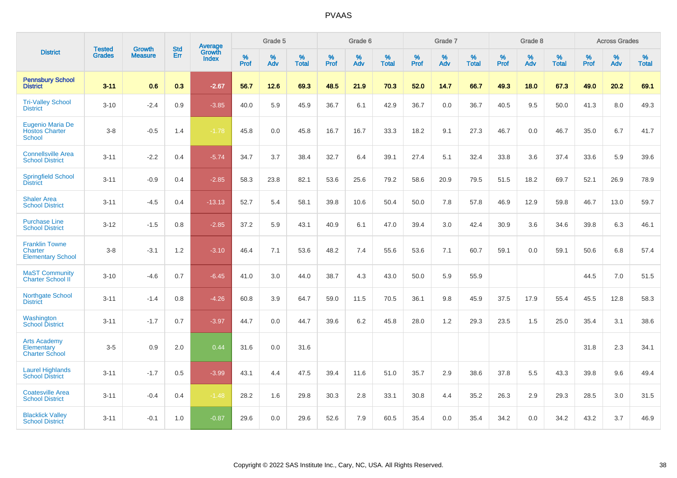|                                                                     | <b>Tested</b> | <b>Growth</b>  | <b>Std</b> | Average                       |              | Grade 5  |                   |           | Grade 6  |                   |           | Grade 7  |                   |           | Grade 8  |                   |           | <b>Across Grades</b> |                   |
|---------------------------------------------------------------------|---------------|----------------|------------|-------------------------------|--------------|----------|-------------------|-----------|----------|-------------------|-----------|----------|-------------------|-----------|----------|-------------------|-----------|----------------------|-------------------|
| <b>District</b>                                                     | <b>Grades</b> | <b>Measure</b> | Err        | <b>Growth</b><br><b>Index</b> | $\%$<br>Prof | %<br>Adv | %<br><b>Total</b> | %<br>Prof | %<br>Adv | %<br><b>Total</b> | %<br>Prof | %<br>Adv | %<br><b>Total</b> | %<br>Prof | %<br>Adv | %<br><b>Total</b> | %<br>Prof | %<br>Adv             | %<br><b>Total</b> |
| <b>Pennsbury School</b><br><b>District</b>                          | $3 - 11$      | 0.6            | 0.3        | $-2.67$                       | 56.7         | 12.6     | 69.3              | 48.5      | 21.9     | 70.3              | 52.0      | 14.7     | 66.7              | 49.3      | 18.0     | 67.3              | 49.0      | 20.2                 | 69.1              |
| <b>Tri-Valley School</b><br><b>District</b>                         | $3 - 10$      | $-2.4$         | 0.9        | $-3.85$                       | 40.0         | 5.9      | 45.9              | 36.7      | 6.1      | 42.9              | 36.7      | 0.0      | 36.7              | 40.5      | 9.5      | 50.0              | 41.3      | 8.0                  | 49.3              |
| <b>Eugenio Maria De</b><br><b>Hostos Charter</b><br><b>School</b>   | $3 - 8$       | $-0.5$         | 1.4        | $-1.78$                       | 45.8         | 0.0      | 45.8              | 16.7      | 16.7     | 33.3              | 18.2      | 9.1      | 27.3              | 46.7      | 0.0      | 46.7              | 35.0      | 6.7                  | 41.7              |
| <b>Connellsville Area</b><br><b>School District</b>                 | $3 - 11$      | $-2.2$         | 0.4        | $-5.74$                       | 34.7         | 3.7      | 38.4              | 32.7      | 6.4      | 39.1              | 27.4      | 5.1      | 32.4              | 33.8      | 3.6      | 37.4              | 33.6      | 5.9                  | 39.6              |
| <b>Springfield School</b><br><b>District</b>                        | $3 - 11$      | $-0.9$         | 0.4        | $-2.85$                       | 58.3         | 23.8     | 82.1              | 53.6      | 25.6     | 79.2              | 58.6      | 20.9     | 79.5              | 51.5      | 18.2     | 69.7              | 52.1      | 26.9                 | 78.9              |
| <b>Shaler Area</b><br><b>School District</b>                        | $3 - 11$      | $-4.5$         | 0.4        | $-13.13$                      | 52.7         | 5.4      | 58.1              | 39.8      | 10.6     | 50.4              | 50.0      | 7.8      | 57.8              | 46.9      | 12.9     | 59.8              | 46.7      | 13.0                 | 59.7              |
| <b>Purchase Line</b><br><b>School District</b>                      | $3 - 12$      | $-1.5$         | 0.8        | $-2.85$                       | 37.2         | 5.9      | 43.1              | 40.9      | 6.1      | 47.0              | 39.4      | 3.0      | 42.4              | 30.9      | 3.6      | 34.6              | 39.8      | 6.3                  | 46.1              |
| <b>Franklin Towne</b><br><b>Charter</b><br><b>Elementary School</b> | $3 - 8$       | $-3.1$         | $1.2$      | $-3.10$                       | 46.4         | 7.1      | 53.6              | 48.2      | 7.4      | 55.6              | 53.6      | 7.1      | 60.7              | 59.1      | 0.0      | 59.1              | 50.6      | 6.8                  | 57.4              |
| <b>MaST Community</b><br><b>Charter School II</b>                   | $3 - 10$      | $-4.6$         | 0.7        | $-6.45$                       | 41.0         | 3.0      | 44.0              | 38.7      | 4.3      | 43.0              | 50.0      | 5.9      | 55.9              |           |          |                   | 44.5      | 7.0                  | 51.5              |
| Northgate School<br><b>District</b>                                 | $3 - 11$      | $-1.4$         | 0.8        | $-4.26$                       | 60.8         | 3.9      | 64.7              | 59.0      | 11.5     | 70.5              | 36.1      | 9.8      | 45.9              | 37.5      | 17.9     | 55.4              | 45.5      | 12.8                 | 58.3              |
| Washington<br><b>School District</b>                                | $3 - 11$      | $-1.7$         | 0.7        | $-3.97$                       | 44.7         | 0.0      | 44.7              | 39.6      | 6.2      | 45.8              | 28.0      | 1.2      | 29.3              | 23.5      | 1.5      | 25.0              | 35.4      | 3.1                  | 38.6              |
| <b>Arts Academy</b><br>Elementary<br><b>Charter School</b>          | $3-5$         | 0.9            | 2.0        | 0.44                          | 31.6         | 0.0      | 31.6              |           |          |                   |           |          |                   |           |          |                   | 31.8      | 2.3                  | 34.1              |
| <b>Laurel Highlands</b><br><b>School District</b>                   | $3 - 11$      | $-1.7$         | 0.5        | $-3.99$                       | 43.1         | 4.4      | 47.5              | 39.4      | 11.6     | 51.0              | 35.7      | 2.9      | 38.6              | 37.8      | 5.5      | 43.3              | 39.8      | 9.6                  | 49.4              |
| <b>Coatesville Area</b><br><b>School District</b>                   | $3 - 11$      | $-0.4$         | 0.4        | $-1.48$                       | 28.2         | 1.6      | 29.8              | 30.3      | 2.8      | 33.1              | 30.8      | 4.4      | 35.2              | 26.3      | 2.9      | 29.3              | 28.5      | 3.0                  | 31.5              |
| <b>Blacklick Valley</b><br><b>School District</b>                   | $3 - 11$      | $-0.1$         | 1.0        | $-0.87$                       | 29.6         | 0.0      | 29.6              | 52.6      | 7.9      | 60.5              | 35.4      | 0.0      | 35.4              | 34.2      | 0.0      | 34.2              | 43.2      | 3.7                  | 46.9              |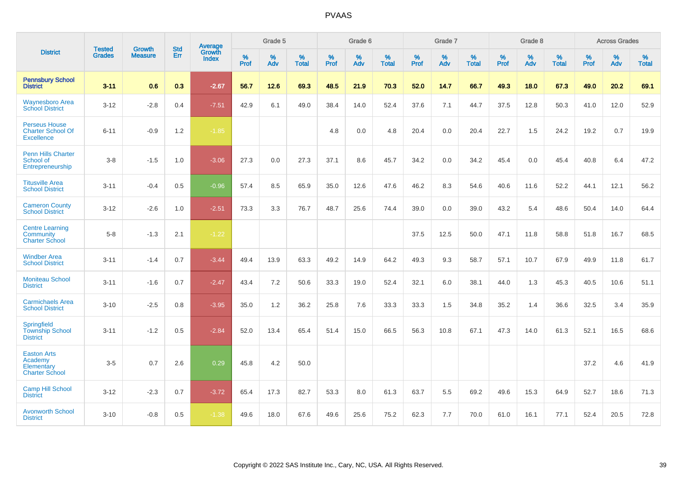|                                                                       |                                |                                 | <b>Std</b> | Average                |              | Grade 5  |                   |           | Grade 6  |                   |           | Grade 7  |                   |           | Grade 8  |                   |           | <b>Across Grades</b> |                   |
|-----------------------------------------------------------------------|--------------------------------|---------------------------------|------------|------------------------|--------------|----------|-------------------|-----------|----------|-------------------|-----------|----------|-------------------|-----------|----------|-------------------|-----------|----------------------|-------------------|
| <b>District</b>                                                       | <b>Tested</b><br><b>Grades</b> | <b>Growth</b><br><b>Measure</b> | Err        | Growth<br><b>Index</b> | $\%$<br>Prof | %<br>Adv | %<br><b>Total</b> | %<br>Prof | %<br>Adv | %<br><b>Total</b> | %<br>Prof | %<br>Adv | %<br><b>Total</b> | %<br>Prof | %<br>Adv | %<br><b>Total</b> | %<br>Prof | %<br>Adv             | %<br><b>Total</b> |
| <b>Pennsbury School</b><br><b>District</b>                            | $3 - 11$                       | 0.6                             | 0.3        | $-2.67$                | 56.7         | 12.6     | 69.3              | 48.5      | 21.9     | 70.3              | 52.0      | 14.7     | 66.7              | 49.3      | 18.0     | 67.3              | 49.0      | 20.2                 | 69.1              |
| <b>Waynesboro Area</b><br><b>School District</b>                      | $3 - 12$                       | $-2.8$                          | 0.4        | $-7.51$                | 42.9         | 6.1      | 49.0              | 38.4      | 14.0     | 52.4              | 37.6      | 7.1      | 44.7              | 37.5      | 12.8     | 50.3              | 41.0      | 12.0                 | 52.9              |
| <b>Perseus House</b><br><b>Charter School Of</b><br><b>Excellence</b> | $6 - 11$                       | $-0.9$                          | 1.2        | $-1.85$                |              |          |                   | 4.8       | 0.0      | 4.8               | 20.4      | 0.0      | 20.4              | 22.7      | 1.5      | 24.2              | 19.2      | 0.7                  | 19.9              |
| <b>Penn Hills Charter</b><br>School of<br>Entrepreneurship            | $3-8$                          | $-1.5$                          | 1.0        | $-3.06$                | 27.3         | 0.0      | 27.3              | 37.1      | 8.6      | 45.7              | 34.2      | 0.0      | 34.2              | 45.4      | 0.0      | 45.4              | 40.8      | 6.4                  | 47.2              |
| <b>Titusville Area</b><br><b>School District</b>                      | $3 - 11$                       | $-0.4$                          | 0.5        | $-0.96$                | 57.4         | 8.5      | 65.9              | 35.0      | 12.6     | 47.6              | 46.2      | 8.3      | 54.6              | 40.6      | 11.6     | 52.2              | 44.1      | 12.1                 | 56.2              |
| <b>Cameron County</b><br><b>School District</b>                       | $3 - 12$                       | $-2.6$                          | 1.0        | $-2.51$                | 73.3         | 3.3      | 76.7              | 48.7      | 25.6     | 74.4              | 39.0      | 0.0      | 39.0              | 43.2      | 5.4      | 48.6              | 50.4      | 14.0                 | 64.4              |
| <b>Centre Learning</b><br>Community<br><b>Charter School</b>          | $5-8$                          | $-1.3$                          | 2.1        | $-1.22$                |              |          |                   |           |          |                   | 37.5      | 12.5     | 50.0              | 47.1      | 11.8     | 58.8              | 51.8      | 16.7                 | 68.5              |
| <b>Windber Area</b><br><b>School District</b>                         | $3 - 11$                       | $-1.4$                          | 0.7        | $-3.44$                | 49.4         | 13.9     | 63.3              | 49.2      | 14.9     | 64.2              | 49.3      | 9.3      | 58.7              | 57.1      | 10.7     | 67.9              | 49.9      | 11.8                 | 61.7              |
| <b>Moniteau School</b><br><b>District</b>                             | $3 - 11$                       | $-1.6$                          | 0.7        | $-2.47$                | 43.4         | 7.2      | 50.6              | 33.3      | 19.0     | 52.4              | 32.1      | 6.0      | 38.1              | 44.0      | 1.3      | 45.3              | 40.5      | 10.6                 | 51.1              |
| <b>Carmichaels Area</b><br><b>School District</b>                     | $3 - 10$                       | $-2.5$                          | 0.8        | $-3.95$                | 35.0         | 1.2      | 36.2              | 25.8      | 7.6      | 33.3              | 33.3      | 1.5      | 34.8              | 35.2      | 1.4      | 36.6              | 32.5      | 3.4                  | 35.9              |
| Springfield<br><b>Township School</b><br><b>District</b>              | $3 - 11$                       | $-1.2$                          | 0.5        | $-2.84$                | 52.0         | 13.4     | 65.4              | 51.4      | 15.0     | 66.5              | 56.3      | 10.8     | 67.1              | 47.3      | 14.0     | 61.3              | 52.1      | 16.5                 | 68.6              |
| <b>Easton Arts</b><br>Academy<br>Elementary<br><b>Charter School</b>  | $3-5$                          | 0.7                             | 2.6        | 0.29                   | 45.8         | 4.2      | 50.0              |           |          |                   |           |          |                   |           |          |                   | 37.2      | 4.6                  | 41.9              |
| <b>Camp Hill School</b><br><b>District</b>                            | $3 - 12$                       | $-2.3$                          | 0.7        | $-3.72$                | 65.4         | 17.3     | 82.7              | 53.3      | 8.0      | 61.3              | 63.7      | 5.5      | 69.2              | 49.6      | 15.3     | 64.9              | 52.7      | 18.6                 | 71.3              |
| <b>Avonworth School</b><br><b>District</b>                            | $3 - 10$                       | $-0.8$                          | 0.5        | $-1.38$                | 49.6         | 18.0     | 67.6              | 49.6      | 25.6     | 75.2              | 62.3      | 7.7      | 70.0              | 61.0      | 16.1     | 77.1              | 52.4      | 20.5                 | 72.8              |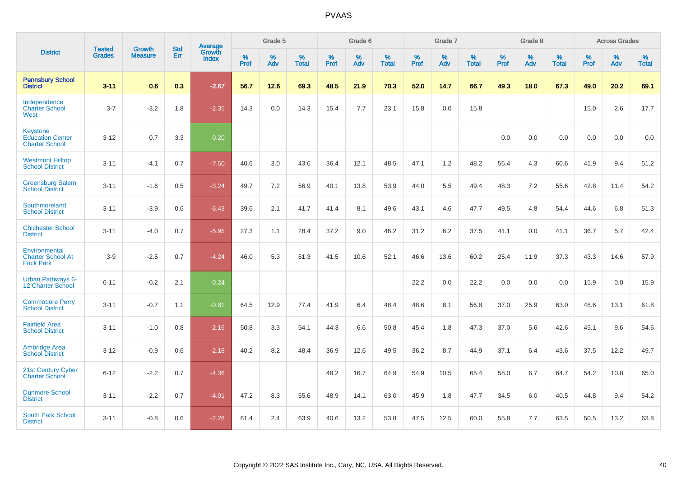|                                                                     | <b>Tested</b> | <b>Growth</b>  | <b>Std</b> | Average                       |              | Grade 5  |                   |           | Grade 6  |                   |           | Grade 7  |                   |           | Grade 8  |                   |           | <b>Across Grades</b> |                   |
|---------------------------------------------------------------------|---------------|----------------|------------|-------------------------------|--------------|----------|-------------------|-----------|----------|-------------------|-----------|----------|-------------------|-----------|----------|-------------------|-----------|----------------------|-------------------|
| <b>District</b>                                                     | <b>Grades</b> | <b>Measure</b> | <b>Err</b> | <b>Growth</b><br><b>Index</b> | $\%$<br>Prof | %<br>Adv | %<br><b>Total</b> | %<br>Prof | %<br>Adv | %<br><b>Total</b> | %<br>Prof | %<br>Adv | %<br><b>Total</b> | %<br>Prof | %<br>Adv | %<br><b>Total</b> | %<br>Prof | %<br>Adv             | %<br><b>Total</b> |
| <b>Pennsbury School</b><br><b>District</b>                          | $3 - 11$      | 0.6            | 0.3        | $-2.67$                       | 56.7         | 12.6     | 69.3              | 48.5      | 21.9     | 70.3              | 52.0      | 14.7     | 66.7              | 49.3      | 18.0     | 67.3              | 49.0      | 20.2                 | 69.1              |
| Independence<br><b>Charter School</b><br>West                       | $3 - 7$       | $-3.2$         | 1.8        | $-2.35$                       | 14.3         | 0.0      | 14.3              | 15.4      | 7.7      | 23.1              | 15.8      | $0.0\,$  | 15.8              |           |          |                   | 15.0      | 2.6                  | 17.7              |
| <b>Keystone</b><br><b>Education Center</b><br><b>Charter School</b> | $3 - 12$      | 0.7            | 3.3        | 0.20                          |              |          |                   |           |          |                   |           |          |                   | 0.0       | 0.0      | 0.0               | 0.0       | 0.0                  | 0.0               |
| <b>Westmont Hilltop</b><br><b>School District</b>                   | $3 - 11$      | $-4.1$         | 0.7        | $-7.50$                       | 40.6         | 3.0      | 43.6              | 36.4      | 12.1     | 48.5              | 47.1      | 1.2      | 48.2              | 56.4      | 4.3      | 60.6              | 41.9      | 9.4                  | 51.2              |
| <b>Greensburg Salem</b><br><b>School District</b>                   | $3 - 11$      | $-1.6$         | 0.5        | $-3.24$                       | 49.7         | 7.2      | 56.9              | 40.1      | 13.8     | 53.9              | 44.0      | 5.5      | 49.4              | 48.3      | 7.2      | 55.6              | 42.8      | 11.4                 | 54.2              |
| Southmoreland<br><b>School District</b>                             | $3 - 11$      | $-3.9$         | 0.6        | $-6.43$                       | 39.6         | 2.1      | 41.7              | 41.4      | 8.1      | 49.6              | 43.1      | 4.6      | 47.7              | 49.5      | 4.8      | 54.4              | 44.6      | 6.8                  | 51.3              |
| <b>Chichester School</b><br><b>District</b>                         | $3 - 11$      | $-4.0$         | 0.7        | $-5.95$                       | 27.3         | 1.1      | 28.4              | 37.2      | 9.0      | 46.2              | 31.2      | 6.2      | 37.5              | 41.1      | 0.0      | 41.1              | 36.7      | 5.7                  | 42.4              |
| Environmental<br><b>Charter School At</b><br><b>Frick Park</b>      | $3-9$         | $-2.5$         | 0.7        | $-4.24$                       | 46.0         | 5.3      | 51.3              | 41.5      | 10.6     | 52.1              | 46.6      | 13.6     | 60.2              | 25.4      | 11.9     | 37.3              | 43.3      | 14.6                 | 57.9              |
| <b>Urban Pathways 6-</b><br>12 Charter School                       | $6 - 11$      | $-0.2$         | 2.1        | $-0.24$                       |              |          |                   |           |          |                   | 22.2      | 0.0      | 22.2              | 0.0       | 0.0      | 0.0               | 15.9      | 0.0                  | 15.9              |
| <b>Commodore Perry</b><br><b>School District</b>                    | $3 - 11$      | $-0.7$         | 1.1        | $-0.81$                       | 64.5         | 12.9     | 77.4              | 41.9      | 6.4      | 48.4              | 48.6      | 8.1      | 56.8              | 37.0      | 25.9     | 63.0              | 48.6      | 13.1                 | 61.8              |
| <b>Fairfield Area</b><br><b>School District</b>                     | $3 - 11$      | $-1.0$         | 0.8        | $-2.16$                       | 50.8         | 3.3      | 54.1              | 44.3      | 6.6      | 50.8              | 45.4      | 1.8      | 47.3              | 37.0      | 5.6      | 42.6              | 45.1      | 9.6                  | 54.6              |
| <b>Ambridge Area</b><br><b>School District</b>                      | $3 - 12$      | $-0.9$         | 0.6        | $-2.18$                       | 40.2         | 8.2      | 48.4              | 36.9      | 12.6     | 49.5              | 36.2      | 8.7      | 44.9              | 37.1      | 6.4      | 43.6              | 37.5      | 12.2                 | 49.7              |
| <b>21st Century Cyber</b><br><b>Charter School</b>                  | $6 - 12$      | $-2.2$         | 0.7        | $-4.36$                       |              |          |                   | 48.2      | 16.7     | 64.9              | 54.9      | 10.5     | 65.4              | 58.0      | 6.7      | 64.7              | 54.2      | 10.8                 | 65.0              |
| <b>Dunmore School</b><br><b>District</b>                            | $3 - 11$      | $-2.2$         | 0.7        | $-4.01$                       | 47.2         | 8.3      | 55.6              | 48.9      | 14.1     | 63.0              | 45.9      | 1.8      | 47.7              | 34.5      | 6.0      | 40.5              | 44.8      | 9.4                  | 54.2              |
| <b>South Park School</b><br><b>District</b>                         | $3 - 11$      | $-0.8$         | 0.6        | $-2.28$                       | 61.4         | 2.4      | 63.9              | 40.6      | 13.2     | 53.8              | 47.5      | 12.5     | 60.0              | 55.8      | 7.7      | 63.5              | 50.5      | 13.2                 | 63.8              |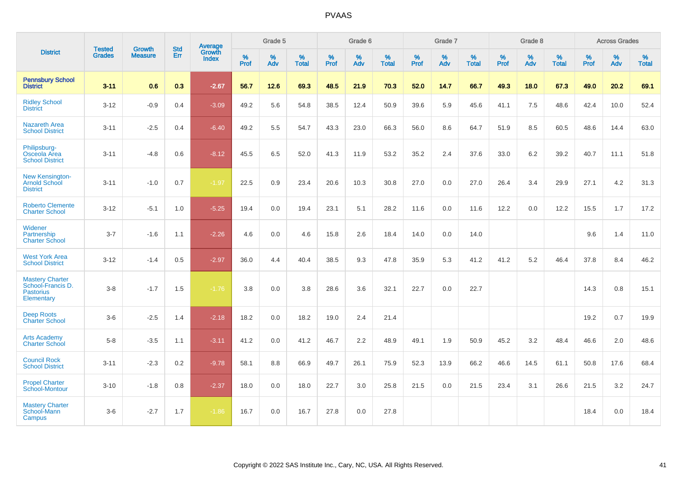|                                                                               |                                |                                 | <b>Std</b> | <b>Average</b>         |              | Grade 5  |                   |           | Grade 6  |                   |           | Grade 7  |                   |           | Grade 8  |                   |           | <b>Across Grades</b> |                   |
|-------------------------------------------------------------------------------|--------------------------------|---------------------------------|------------|------------------------|--------------|----------|-------------------|-----------|----------|-------------------|-----------|----------|-------------------|-----------|----------|-------------------|-----------|----------------------|-------------------|
| <b>District</b>                                                               | <b>Tested</b><br><b>Grades</b> | <b>Growth</b><br><b>Measure</b> | Err        | Growth<br><b>Index</b> | $\%$<br>Prof | %<br>Adv | %<br><b>Total</b> | %<br>Prof | %<br>Adv | %<br><b>Total</b> | %<br>Prof | %<br>Adv | %<br><b>Total</b> | %<br>Prof | %<br>Adv | %<br><b>Total</b> | %<br>Prof | %<br>Adv             | %<br><b>Total</b> |
| <b>Pennsbury School</b><br><b>District</b>                                    | $3 - 11$                       | 0.6                             | 0.3        | $-2.67$                | 56.7         | 12.6     | 69.3              | 48.5      | 21.9     | 70.3              | 52.0      | 14.7     | 66.7              | 49.3      | 18.0     | 67.3              | 49.0      | 20.2                 | 69.1              |
| <b>Ridley School</b><br><b>District</b>                                       | $3 - 12$                       | $-0.9$                          | 0.4        | $-3.09$                | 49.2         | 5.6      | 54.8              | 38.5      | 12.4     | 50.9              | 39.6      | 5.9      | 45.6              | 41.1      | 7.5      | 48.6              | 42.4      | 10.0                 | 52.4              |
| <b>Nazareth Area</b><br><b>School District</b>                                | $3 - 11$                       | $-2.5$                          | 0.4        | $-6.40$                | 49.2         | 5.5      | 54.7              | 43.3      | 23.0     | 66.3              | 56.0      | 8.6      | 64.7              | 51.9      | 8.5      | 60.5              | 48.6      | 14.4                 | 63.0              |
| Philipsburg-<br>Osceola Area<br><b>School District</b>                        | $3 - 11$                       | $-4.8$                          | 0.6        | $-8.12$                | 45.5         | 6.5      | 52.0              | 41.3      | 11.9     | 53.2              | 35.2      | 2.4      | 37.6              | 33.0      | 6.2      | 39.2              | 40.7      | 11.1                 | 51.8              |
| New Kensington-<br><b>Arnold School</b><br><b>District</b>                    | $3 - 11$                       | $-1.0$                          | 0.7        | $-1.97$                | 22.5         | 0.9      | 23.4              | 20.6      | 10.3     | 30.8              | 27.0      | 0.0      | 27.0              | 26.4      | 3.4      | 29.9              | 27.1      | 4.2                  | 31.3              |
| <b>Roberto Clemente</b><br><b>Charter School</b>                              | $3 - 12$                       | $-5.1$                          | 1.0        | $-5.25$                | 19.4         | 0.0      | 19.4              | 23.1      | 5.1      | 28.2              | 11.6      | $0.0\,$  | 11.6              | 12.2      | 0.0      | 12.2              | 15.5      | 1.7                  | 17.2              |
| Widener<br>Partnership<br><b>Charter School</b>                               | $3 - 7$                        | $-1.6$                          | 1.1        | $-2.26$                | 4.6          | 0.0      | 4.6               | 15.8      | 2.6      | 18.4              | 14.0      | 0.0      | 14.0              |           |          |                   | 9.6       | 1.4                  | 11.0              |
| <b>West York Area</b><br><b>School District</b>                               | $3 - 12$                       | $-1.4$                          | 0.5        | $-2.97$                | 36.0         | 4.4      | 40.4              | 38.5      | 9.3      | 47.8              | 35.9      | 5.3      | 41.2              | 41.2      | 5.2      | 46.4              | 37.8      | 8.4                  | 46.2              |
| <b>Mastery Charter</b><br>School-Francis D.<br><b>Pastorius</b><br>Elementary | $3 - 8$                        | $-1.7$                          | 1.5        | $-1.76$                | 3.8          | 0.0      | 3.8               | 28.6      | 3.6      | 32.1              | 22.7      | 0.0      | 22.7              |           |          |                   | 14.3      | 0.8                  | 15.1              |
| <b>Deep Roots</b><br><b>Charter School</b>                                    | $3-6$                          | $-2.5$                          | 1.4        | $-2.18$                | 18.2         | 0.0      | 18.2              | 19.0      | 2.4      | 21.4              |           |          |                   |           |          |                   | 19.2      | 0.7                  | 19.9              |
| <b>Arts Academy</b><br><b>Charter School</b>                                  | $5 - 8$                        | $-3.5$                          | 1.1        | $-3.11$                | 41.2         | 0.0      | 41.2              | 46.7      | 2.2      | 48.9              | 49.1      | 1.9      | 50.9              | 45.2      | 3.2      | 48.4              | 46.6      | 2.0                  | 48.6              |
| <b>Council Rock</b><br><b>School District</b>                                 | $3 - 11$                       | $-2.3$                          | 0.2        | $-9.78$                | 58.1         | 8.8      | 66.9              | 49.7      | 26.1     | 75.9              | 52.3      | 13.9     | 66.2              | 46.6      | 14.5     | 61.1              | 50.8      | 17.6                 | 68.4              |
| <b>Propel Charter</b><br><b>School-Montour</b>                                | $3 - 10$                       | $-1.8$                          | 0.8        | $-2.37$                | 18.0         | 0.0      | 18.0              | 22.7      | 3.0      | 25.8              | 21.5      | 0.0      | 21.5              | 23.4      | 3.1      | 26.6              | 21.5      | 3.2                  | 24.7              |
| <b>Mastery Charter</b><br>School-Mann<br>Campus                               | $3-6$                          | $-2.7$                          | 1.7        | $-1.86$                | 16.7         | 0.0      | 16.7              | 27.8      | 0.0      | 27.8              |           |          |                   |           |          |                   | 18.4      | 0.0                  | 18.4              |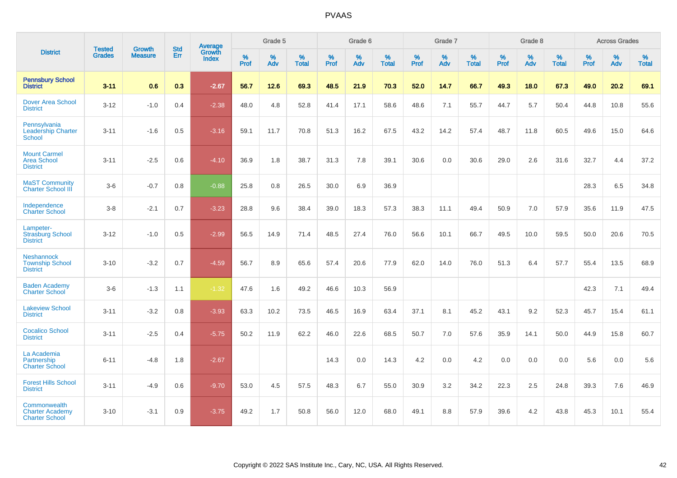|                                                                 |                                |                                 | <b>Std</b> | Average                |           | Grade 5  |                   |           | Grade 6  |                   |           | Grade 7  |                   |           | Grade 8  |                   |           | <b>Across Grades</b> |                   |
|-----------------------------------------------------------------|--------------------------------|---------------------------------|------------|------------------------|-----------|----------|-------------------|-----------|----------|-------------------|-----------|----------|-------------------|-----------|----------|-------------------|-----------|----------------------|-------------------|
| <b>District</b>                                                 | <b>Tested</b><br><b>Grades</b> | <b>Growth</b><br><b>Measure</b> | Err        | Growth<br><b>Index</b> | %<br>Prof | %<br>Adv | %<br><b>Total</b> | %<br>Prof | %<br>Adv | %<br><b>Total</b> | %<br>Prof | %<br>Adv | %<br><b>Total</b> | %<br>Prof | %<br>Adv | %<br><b>Total</b> | %<br>Prof | %<br>Adv             | %<br><b>Total</b> |
| <b>Pennsbury School</b><br><b>District</b>                      | $3 - 11$                       | 0.6                             | 0.3        | $-2.67$                | 56.7      | 12.6     | 69.3              | 48.5      | 21.9     | 70.3              | 52.0      | 14.7     | 66.7              | 49.3      | 18.0     | 67.3              | 49.0      | 20.2                 | 69.1              |
| <b>Dover Area School</b><br><b>District</b>                     | $3 - 12$                       | $-1.0$                          | 0.4        | $-2.38$                | 48.0      | 4.8      | 52.8              | 41.4      | 17.1     | 58.6              | 48.6      | 7.1      | 55.7              | 44.7      | 5.7      | 50.4              | 44.8      | 10.8                 | 55.6              |
| Pennsylvania<br><b>Leadership Charter</b><br>School             | $3 - 11$                       | $-1.6$                          | 0.5        | $-3.16$                | 59.1      | 11.7     | 70.8              | 51.3      | 16.2     | 67.5              | 43.2      | 14.2     | 57.4              | 48.7      | 11.8     | 60.5              | 49.6      | 15.0                 | 64.6              |
| <b>Mount Carmel</b><br><b>Area School</b><br><b>District</b>    | $3 - 11$                       | $-2.5$                          | 0.6        | $-4.10$                | 36.9      | 1.8      | 38.7              | 31.3      | 7.8      | 39.1              | 30.6      | 0.0      | 30.6              | 29.0      | 2.6      | 31.6              | 32.7      | 4.4                  | 37.2              |
| <b>MaST Community</b><br><b>Charter School III</b>              | $3-6$                          | $-0.7$                          | 0.8        | $-0.88$                | 25.8      | 0.8      | 26.5              | 30.0      | 6.9      | 36.9              |           |          |                   |           |          |                   | 28.3      | 6.5                  | 34.8              |
| Independence<br><b>Charter School</b>                           | $3 - 8$                        | $-2.1$                          | 0.7        | $-3.23$                | 28.8      | 9.6      | 38.4              | 39.0      | 18.3     | 57.3              | 38.3      | 11.1     | 49.4              | 50.9      | 7.0      | 57.9              | 35.6      | 11.9                 | 47.5              |
| Lampeter-<br><b>Strasburg School</b><br><b>District</b>         | $3 - 12$                       | $-1.0$                          | 0.5        | $-2.99$                | 56.5      | 14.9     | 71.4              | 48.5      | 27.4     | 76.0              | 56.6      | 10.1     | 66.7              | 49.5      | 10.0     | 59.5              | 50.0      | 20.6                 | 70.5              |
| <b>Neshannock</b><br><b>Township School</b><br><b>District</b>  | $3 - 10$                       | $-3.2$                          | 0.7        | $-4.59$                | 56.7      | 8.9      | 65.6              | 57.4      | 20.6     | 77.9              | 62.0      | 14.0     | 76.0              | 51.3      | 6.4      | 57.7              | 55.4      | 13.5                 | 68.9              |
| <b>Baden Academy</b><br><b>Charter School</b>                   | $3-6$                          | $-1.3$                          | 1.1        | $-1.32$                | 47.6      | 1.6      | 49.2              | 46.6      | 10.3     | 56.9              |           |          |                   |           |          |                   | 42.3      | 7.1                  | 49.4              |
| <b>Lakeview School</b><br><b>District</b>                       | $3 - 11$                       | $-3.2$                          | 0.8        | $-3.93$                | 63.3      | 10.2     | 73.5              | 46.5      | 16.9     | 63.4              | 37.1      | 8.1      | 45.2              | 43.1      | 9.2      | 52.3              | 45.7      | 15.4                 | 61.1              |
| <b>Cocalico School</b><br><b>District</b>                       | $3 - 11$                       | $-2.5$                          | 0.4        | $-5.75$                | 50.2      | 11.9     | 62.2              | 46.0      | 22.6     | 68.5              | 50.7      | 7.0      | 57.6              | 35.9      | 14.1     | 50.0              | 44.9      | 15.8                 | 60.7              |
| La Academia<br>Partnership<br><b>Charter School</b>             | $6 - 11$                       | $-4.8$                          | 1.8        | $-2.67$                |           |          |                   | 14.3      | 0.0      | 14.3              | 4.2       | 0.0      | 4.2               | 0.0       | 0.0      | 0.0               | 5.6       | 0.0                  | 5.6               |
| <b>Forest Hills School</b><br><b>District</b>                   | $3 - 11$                       | $-4.9$                          | 0.6        | $-9.70$                | 53.0      | 4.5      | 57.5              | 48.3      | 6.7      | 55.0              | 30.9      | 3.2      | 34.2              | 22.3      | 2.5      | 24.8              | 39.3      | 7.6                  | 46.9              |
| Commonwealth<br><b>Charter Academy</b><br><b>Charter School</b> | $3 - 10$                       | $-3.1$                          | 0.9        | $-3.75$                | 49.2      | 1.7      | 50.8              | 56.0      | 12.0     | 68.0              | 49.1      | 8.8      | 57.9              | 39.6      | 4.2      | 43.8              | 45.3      | 10.1                 | 55.4              |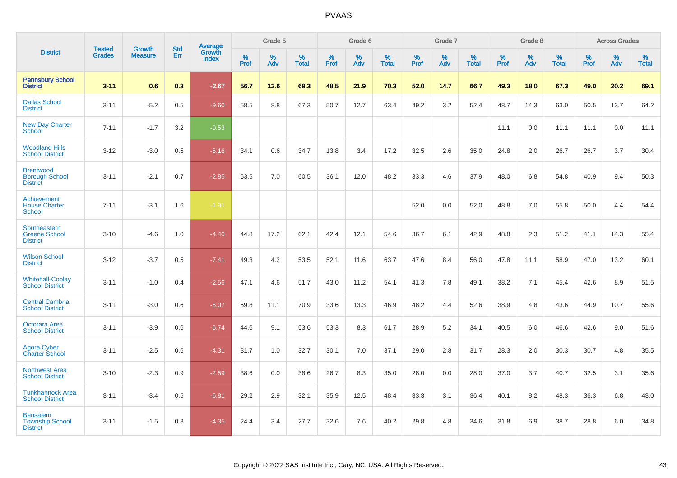|                                                                |                                |                                 | <b>Std</b> | Average                |           | Grade 5  |                   |           | Grade 6  |                   |           | Grade 7  |                   |           | Grade 8  |                   |           | <b>Across Grades</b> |                   |
|----------------------------------------------------------------|--------------------------------|---------------------------------|------------|------------------------|-----------|----------|-------------------|-----------|----------|-------------------|-----------|----------|-------------------|-----------|----------|-------------------|-----------|----------------------|-------------------|
| <b>District</b>                                                | <b>Tested</b><br><b>Grades</b> | <b>Growth</b><br><b>Measure</b> | Err        | Growth<br><b>Index</b> | %<br>Prof | %<br>Adv | %<br><b>Total</b> | %<br>Prof | %<br>Adv | %<br><b>Total</b> | %<br>Prof | %<br>Adv | %<br><b>Total</b> | %<br>Prof | %<br>Adv | %<br><b>Total</b> | %<br>Prof | %<br>Adv             | %<br><b>Total</b> |
| <b>Pennsbury School</b><br><b>District</b>                     | $3 - 11$                       | 0.6                             | 0.3        | $-2.67$                | 56.7      | 12.6     | 69.3              | 48.5      | 21.9     | 70.3              | 52.0      | 14.7     | 66.7              | 49.3      | 18.0     | 67.3              | 49.0      | 20.2                 | 69.1              |
| <b>Dallas School</b><br><b>District</b>                        | $3 - 11$                       | $-5.2$                          | 0.5        | $-9.60$                | 58.5      | 8.8      | 67.3              | 50.7      | 12.7     | 63.4              | 49.2      | 3.2      | 52.4              | 48.7      | 14.3     | 63.0              | 50.5      | 13.7                 | 64.2              |
| <b>New Day Charter</b><br>School                               | $7 - 11$                       | $-1.7$                          | 3.2        | $-0.53$                |           |          |                   |           |          |                   |           |          |                   | 11.1      | 0.0      | 11.1              | 11.1      | 0.0                  | 11.1              |
| <b>Woodland Hills</b><br><b>School District</b>                | $3 - 12$                       | $-3.0$                          | 0.5        | $-6.16$                | 34.1      | 0.6      | 34.7              | 13.8      | 3.4      | 17.2              | 32.5      | 2.6      | 35.0              | 24.8      | 2.0      | 26.7              | 26.7      | 3.7                  | 30.4              |
| <b>Brentwood</b><br><b>Borough School</b><br><b>District</b>   | $3 - 11$                       | $-2.1$                          | 0.7        | $-2.85$                | 53.5      | 7.0      | 60.5              | 36.1      | 12.0     | 48.2              | 33.3      | 4.6      | 37.9              | 48.0      | 6.8      | 54.8              | 40.9      | 9.4                  | 50.3              |
| <b>Achievement</b><br><b>House Charter</b><br>School           | $7 - 11$                       | $-3.1$                          | 1.6        | $-1.91$                |           |          |                   |           |          |                   | 52.0      | 0.0      | 52.0              | 48.8      | 7.0      | 55.8              | 50.0      | 4.4                  | 54.4              |
| <b>Southeastern</b><br><b>Greene School</b><br><b>District</b> | $3 - 10$                       | $-4.6$                          | 1.0        | $-4.40$                | 44.8      | 17.2     | 62.1              | 42.4      | 12.1     | 54.6              | 36.7      | 6.1      | 42.9              | 48.8      | 2.3      | 51.2              | 41.1      | 14.3                 | 55.4              |
| <b>Wilson School</b><br><b>District</b>                        | $3 - 12$                       | $-3.7$                          | 0.5        | $-7.41$                | 49.3      | 4.2      | 53.5              | 52.1      | 11.6     | 63.7              | 47.6      | 8.4      | 56.0              | 47.8      | 11.1     | 58.9              | 47.0      | 13.2                 | 60.1              |
| <b>Whitehall-Coplay</b><br><b>School District</b>              | $3 - 11$                       | $-1.0$                          | 0.4        | $-2.56$                | 47.1      | 4.6      | 51.7              | 43.0      | 11.2     | 54.1              | 41.3      | 7.8      | 49.1              | 38.2      | 7.1      | 45.4              | 42.6      | 8.9                  | 51.5              |
| <b>Central Cambria</b><br><b>School District</b>               | $3 - 11$                       | $-3.0$                          | 0.6        | $-5.07$                | 59.8      | 11.1     | 70.9              | 33.6      | 13.3     | 46.9              | 48.2      | 4.4      | 52.6              | 38.9      | 4.8      | 43.6              | 44.9      | 10.7                 | 55.6              |
| Octorara Area<br><b>School District</b>                        | $3 - 11$                       | $-3.9$                          | 0.6        | $-6.74$                | 44.6      | 9.1      | 53.6              | 53.3      | 8.3      | 61.7              | 28.9      | 5.2      | 34.1              | 40.5      | 6.0      | 46.6              | 42.6      | 9.0                  | 51.6              |
| Agora Cyber<br><b>Charter School</b>                           | $3 - 11$                       | $-2.5$                          | 0.6        | $-4.31$                | 31.7      | 1.0      | 32.7              | 30.1      | 7.0      | 37.1              | 29.0      | 2.8      | 31.7              | 28.3      | 2.0      | 30.3              | 30.7      | 4.8                  | 35.5              |
| <b>Northwest Area</b><br><b>School District</b>                | $3 - 10$                       | $-2.3$                          | 0.9        | $-2.59$                | 38.6      | 0.0      | 38.6              | 26.7      | 8.3      | 35.0              | 28.0      | 0.0      | 28.0              | 37.0      | 3.7      | 40.7              | 32.5      | 3.1                  | 35.6              |
| <b>Tunkhannock Area</b><br><b>School District</b>              | $3 - 11$                       | $-3.4$                          | 0.5        | $-6.81$                | 29.2      | 2.9      | 32.1              | 35.9      | 12.5     | 48.4              | 33.3      | 3.1      | 36.4              | 40.1      | 8.2      | 48.3              | 36.3      | 6.8                  | 43.0              |
| <b>Bensalem</b><br><b>Township School</b><br><b>District</b>   | $3 - 11$                       | $-1.5$                          | 0.3        | $-4.35$                | 24.4      | 3.4      | 27.7              | 32.6      | 7.6      | 40.2              | 29.8      | 4.8      | 34.6              | 31.8      | 6.9      | 38.7              | 28.8      | 6.0                  | 34.8              |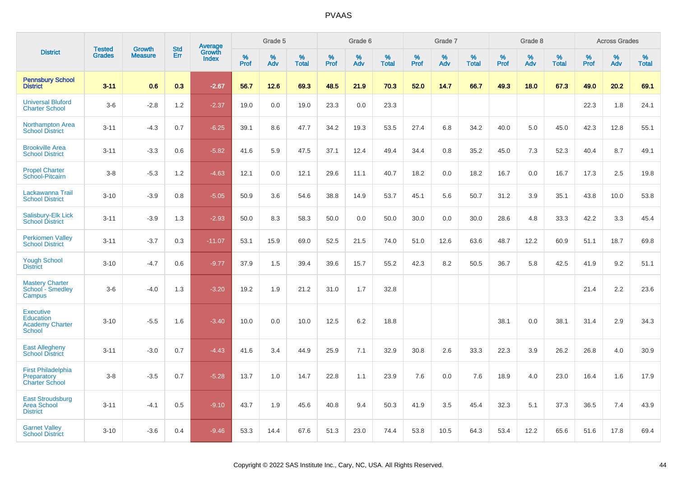|                                                                   | <b>Tested</b> | <b>Growth</b>  | <b>Std</b> |                                          |           | Grade 5  |                   |           | Grade 6  |                   |           | Grade 7  |                   |           | Grade 8  |                   |           | <b>Across Grades</b> |                   |
|-------------------------------------------------------------------|---------------|----------------|------------|------------------------------------------|-----------|----------|-------------------|-----------|----------|-------------------|-----------|----------|-------------------|-----------|----------|-------------------|-----------|----------------------|-------------------|
| <b>District</b>                                                   | <b>Grades</b> | <b>Measure</b> | Err        | <b>Average</b><br>Growth<br><b>Index</b> | %<br>Prof | %<br>Adv | %<br><b>Total</b> | %<br>Prof | %<br>Adv | %<br><b>Total</b> | %<br>Prof | %<br>Adv | %<br><b>Total</b> | %<br>Prof | %<br>Adv | %<br><b>Total</b> | %<br>Prof | %<br>Adv             | %<br><b>Total</b> |
| <b>Pennsbury School</b><br><b>District</b>                        | $3 - 11$      | 0.6            | 0.3        | $-2.67$                                  | 56.7      | 12.6     | 69.3              | 48.5      | 21.9     | 70.3              | 52.0      | 14.7     | 66.7              | 49.3      | 18.0     | 67.3              | 49.0      | 20.2                 | 69.1              |
| <b>Universal Bluford</b><br><b>Charter School</b>                 | $3-6$         | $-2.8$         | 1.2        | $-2.37$                                  | 19.0      | 0.0      | 19.0              | 23.3      | 0.0      | 23.3              |           |          |                   |           |          |                   | 22.3      | 1.8                  | 24.1              |
| <b>Northampton Area</b><br><b>School District</b>                 | $3 - 11$      | $-4.3$         | 0.7        | $-6.25$                                  | 39.1      | 8.6      | 47.7              | 34.2      | 19.3     | 53.5              | 27.4      | 6.8      | 34.2              | 40.0      | 5.0      | 45.0              | 42.3      | 12.8                 | 55.1              |
| <b>Brookville Area</b><br><b>School District</b>                  | $3 - 11$      | $-3.3$         | 0.6        | $-5.82$                                  | 41.6      | 5.9      | 47.5              | 37.1      | 12.4     | 49.4              | 34.4      | 0.8      | 35.2              | 45.0      | 7.3      | 52.3              | 40.4      | 8.7                  | 49.1              |
| <b>Propel Charter</b><br>School-Pitcairn                          | $3 - 8$       | $-5.3$         | 1.2        | $-4.63$                                  | 12.1      | 0.0      | 12.1              | 29.6      | 11.1     | 40.7              | 18.2      | 0.0      | 18.2              | 16.7      | 0.0      | 16.7              | 17.3      | 2.5                  | 19.8              |
| Lackawanna Trail<br><b>School District</b>                        | $3 - 10$      | $-3.9$         | 0.8        | $-5.05$                                  | 50.9      | 3.6      | 54.6              | 38.8      | 14.9     | 53.7              | 45.1      | 5.6      | 50.7              | 31.2      | 3.9      | 35.1              | 43.8      | 10.0                 | 53.8              |
| Salisbury-Elk Lick<br><b>School District</b>                      | $3 - 11$      | $-3.9$         | 1.3        | $-2.93$                                  | 50.0      | 8.3      | 58.3              | 50.0      | 0.0      | 50.0              | 30.0      | 0.0      | 30.0              | 28.6      | 4.8      | 33.3              | 42.2      | 3.3                  | 45.4              |
| <b>Perkiomen Valley</b><br><b>School District</b>                 | $3 - 11$      | $-3.7$         | 0.3        | $-11.07$                                 | 53.1      | 15.9     | 69.0              | 52.5      | 21.5     | 74.0              | 51.0      | 12.6     | 63.6              | 48.7      | 12.2     | 60.9              | 51.1      | 18.7                 | 69.8              |
| <b>Yough School</b><br><b>District</b>                            | $3 - 10$      | $-4.7$         | 0.6        | $-9.77$                                  | 37.9      | 1.5      | 39.4              | 39.6      | 15.7     | 55.2              | 42.3      | 8.2      | 50.5              | 36.7      | 5.8      | 42.5              | 41.9      | 9.2                  | 51.1              |
| <b>Mastery Charter</b><br>School - Smedley<br>Campus              | $3-6$         | $-4.0$         | 1.3        | $-3.20$                                  | 19.2      | 1.9      | 21.2              | 31.0      | 1.7      | 32.8              |           |          |                   |           |          |                   | 21.4      | 2.2                  | 23.6              |
| <b>Executive</b><br>Education<br><b>Academy Charter</b><br>School | $3 - 10$      | $-5.5$         | 1.6        | $-3.40$                                  | 10.0      | 0.0      | 10.0              | 12.5      | 6.2      | 18.8              |           |          |                   | 38.1      | 0.0      | 38.1              | 31.4      | 2.9                  | 34.3              |
| <b>East Allegheny</b><br><b>School District</b>                   | $3 - 11$      | $-3.0$         | 0.7        | $-4.43$                                  | 41.6      | 3.4      | 44.9              | 25.9      | 7.1      | 32.9              | 30.8      | 2.6      | 33.3              | 22.3      | 3.9      | 26.2              | 26.8      | 4.0                  | 30.9              |
| <b>First Philadelphia</b><br>Preparatory<br><b>Charter School</b> | $3 - 8$       | $-3.5$         | 0.7        | $-5.28$                                  | 13.7      | 1.0      | 14.7              | 22.8      | 1.1      | 23.9              | 7.6       | 0.0      | 7.6               | 18.9      | 4.0      | 23.0              | 16.4      | 1.6                  | 17.9              |
| <b>East Stroudsburg</b><br><b>Area School</b><br><b>District</b>  | $3 - 11$      | $-4.1$         | 0.5        | $-9.10$                                  | 43.7      | 1.9      | 45.6              | 40.8      | 9.4      | 50.3              | 41.9      | 3.5      | 45.4              | 32.3      | 5.1      | 37.3              | 36.5      | 7.4                  | 43.9              |
| <b>Garnet Valley</b><br><b>School District</b>                    | $3 - 10$      | $-3.6$         | 0.4        | $-9.46$                                  | 53.3      | 14.4     | 67.6              | 51.3      | 23.0     | 74.4              | 53.8      | 10.5     | 64.3              | 53.4      | 12.2     | 65.6              | 51.6      | 17.8                 | 69.4              |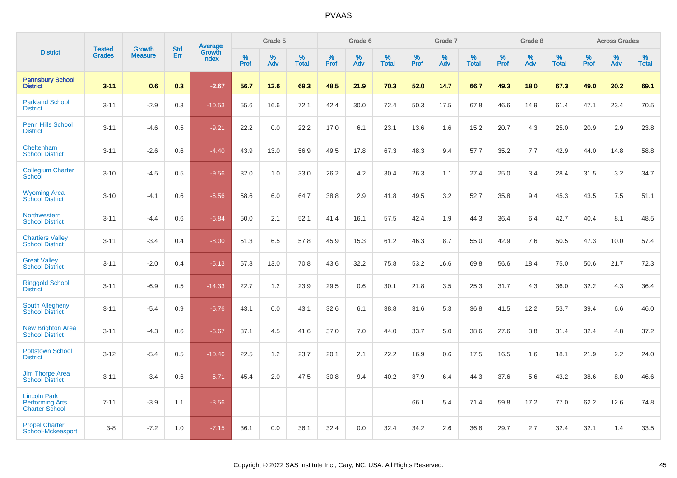|                                                                        | <b>Tested</b> | <b>Growth</b>  | <b>Std</b> | Average                |              | Grade 5  |                   |              | Grade 6  |                   |              | Grade 7     |                   |              | Grade 8     |                   |              | <b>Across Grades</b> |                   |
|------------------------------------------------------------------------|---------------|----------------|------------|------------------------|--------------|----------|-------------------|--------------|----------|-------------------|--------------|-------------|-------------------|--------------|-------------|-------------------|--------------|----------------------|-------------------|
| <b>District</b>                                                        | <b>Grades</b> | <b>Measure</b> | Err        | Growth<br><b>Index</b> | $\%$<br>Prof | %<br>Adv | %<br><b>Total</b> | $\%$<br>Prof | %<br>Adv | %<br><b>Total</b> | $\%$<br>Prof | $\%$<br>Adv | %<br><b>Total</b> | $\%$<br>Prof | $\%$<br>Adv | %<br><b>Total</b> | $\%$<br>Prof | $\%$<br>Adv          | %<br><b>Total</b> |
| <b>Pennsbury School</b><br><b>District</b>                             | $3 - 11$      | 0.6            | 0.3        | $-2.67$                | 56.7         | 12.6     | 69.3              | 48.5         | 21.9     | 70.3              | 52.0         | 14.7        | 66.7              | 49.3         | 18.0        | 67.3              | 49.0         | 20.2                 | 69.1              |
| <b>Parkland School</b><br><b>District</b>                              | $3 - 11$      | $-2.9$         | 0.3        | $-10.53$               | 55.6         | 16.6     | 72.1              | 42.4         | 30.0     | 72.4              | 50.3         | 17.5        | 67.8              | 46.6         | 14.9        | 61.4              | 47.1         | 23.4                 | 70.5              |
| <b>Penn Hills School</b><br><b>District</b>                            | $3 - 11$      | $-4.6$         | 0.5        | $-9.21$                | 22.2         | 0.0      | 22.2              | 17.0         | 6.1      | 23.1              | 13.6         | 1.6         | 15.2              | 20.7         | 4.3         | 25.0              | 20.9         | 2.9                  | 23.8              |
| Cheltenham<br><b>School District</b>                                   | $3 - 11$      | $-2.6$         | 0.6        | $-4.40$                | 43.9         | 13.0     | 56.9              | 49.5         | 17.8     | 67.3              | 48.3         | 9.4         | 57.7              | 35.2         | 7.7         | 42.9              | 44.0         | 14.8                 | 58.8              |
| <b>Collegium Charter</b><br>School                                     | $3 - 10$      | $-4.5$         | 0.5        | $-9.56$                | 32.0         | 1.0      | 33.0              | 26.2         | 4.2      | 30.4              | 26.3         | 1.1         | 27.4              | 25.0         | 3.4         | 28.4              | 31.5         | 3.2                  | 34.7              |
| <b>Wyoming Area</b><br><b>School District</b>                          | $3 - 10$      | $-4.1$         | 0.6        | $-6.56$                | 58.6         | 6.0      | 64.7              | 38.8         | 2.9      | 41.8              | 49.5         | 3.2         | 52.7              | 35.8         | 9.4         | 45.3              | 43.5         | 7.5                  | 51.1              |
| Northwestern<br><b>School District</b>                                 | $3 - 11$      | $-4.4$         | 0.6        | $-6.84$                | 50.0         | 2.1      | 52.1              | 41.4         | 16.1     | 57.5              | 42.4         | 1.9         | 44.3              | 36.4         | 6.4         | 42.7              | 40.4         | 8.1                  | 48.5              |
| <b>Chartiers Valley</b><br><b>School District</b>                      | $3 - 11$      | $-3.4$         | 0.4        | $-8.00$                | 51.3         | 6.5      | 57.8              | 45.9         | 15.3     | 61.2              | 46.3         | 8.7         | 55.0              | 42.9         | 7.6         | 50.5              | 47.3         | 10.0                 | 57.4              |
| <b>Great Valley</b><br><b>School District</b>                          | $3 - 11$      | $-2.0$         | 0.4        | $-5.13$                | 57.8         | 13.0     | 70.8              | 43.6         | 32.2     | 75.8              | 53.2         | 16.6        | 69.8              | 56.6         | 18.4        | 75.0              | 50.6         | 21.7                 | 72.3              |
| <b>Ringgold School</b><br><b>District</b>                              | $3 - 11$      | $-6.9$         | 0.5        | $-14.33$               | 22.7         | 1.2      | 23.9              | 29.5         | 0.6      | 30.1              | 21.8         | 3.5         | 25.3              | 31.7         | 4.3         | 36.0              | 32.2         | 4.3                  | 36.4              |
| <b>South Allegheny</b><br><b>School District</b>                       | $3 - 11$      | $-5.4$         | 0.9        | $-5.76$                | 43.1         | 0.0      | 43.1              | 32.6         | 6.1      | 38.8              | 31.6         | 5.3         | 36.8              | 41.5         | 12.2        | 53.7              | 39.4         | 6.6                  | 46.0              |
| <b>New Brighton Area</b><br><b>School District</b>                     | $3 - 11$      | $-4.3$         | 0.6        | $-6.67$                | 37.1         | 4.5      | 41.6              | 37.0         | 7.0      | 44.0              | 33.7         | 5.0         | 38.6              | 27.6         | 3.8         | 31.4              | 32.4         | 4.8                  | 37.2              |
| <b>Pottstown School</b><br><b>District</b>                             | $3 - 12$      | $-5.4$         | 0.5        | $-10.46$               | 22.5         | 1.2      | 23.7              | 20.1         | 2.1      | 22.2              | 16.9         | 0.6         | 17.5              | 16.5         | 1.6         | 18.1              | 21.9         | 2.2                  | 24.0              |
| Jim Thorpe Area<br><b>School District</b>                              | $3 - 11$      | $-3.4$         | 0.6        | $-5.71$                | 45.4         | 2.0      | 47.5              | 30.8         | 9.4      | 40.2              | 37.9         | 6.4         | 44.3              | 37.6         | 5.6         | 43.2              | 38.6         | 8.0                  | 46.6              |
| <b>Lincoln Park</b><br><b>Performing Arts</b><br><b>Charter School</b> | $7 - 11$      | $-3.9$         | 1.1        | $-3.56$                |              |          |                   |              |          |                   | 66.1         | 5.4         | 71.4              | 59.8         | 17.2        | 77.0              | 62.2         | 12.6                 | 74.8              |
| <b>Propel Charter</b><br>School-Mckeesport                             | $3 - 8$       | $-7.2$         | 1.0        | $-7.15$                | 36.1         | 0.0      | 36.1              | 32.4         | 0.0      | 32.4              | 34.2         | 2.6         | 36.8              | 29.7         | 2.7         | 32.4              | 32.1         | 1.4                  | 33.5              |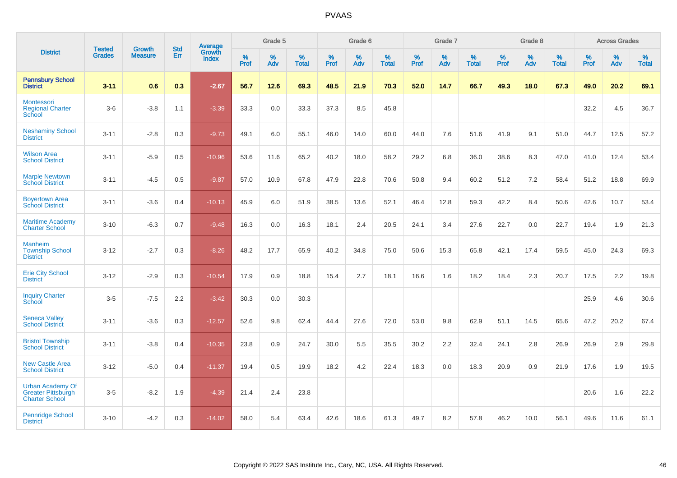|                                                                               | <b>Tested</b> | <b>Growth</b>  | <b>Std</b> |                                   |              | Grade 5  |                      |              | Grade 6  |                   |              | Grade 7  |                      |              | Grade 8  |                   |              | <b>Across Grades</b> |                   |
|-------------------------------------------------------------------------------|---------------|----------------|------------|-----------------------------------|--------------|----------|----------------------|--------------|----------|-------------------|--------------|----------|----------------------|--------------|----------|-------------------|--------------|----------------------|-------------------|
| <b>District</b>                                                               | <b>Grades</b> | <b>Measure</b> | Err        | Average<br>Growth<br><b>Index</b> | $\%$<br>Prof | %<br>Adv | $\%$<br><b>Total</b> | $\%$<br>Prof | %<br>Adv | %<br><b>Total</b> | $\%$<br>Prof | %<br>Adv | $\%$<br><b>Total</b> | $\%$<br>Prof | %<br>Adv | %<br><b>Total</b> | $\%$<br>Prof | %<br>Adv             | %<br><b>Total</b> |
| <b>Pennsbury School</b><br><b>District</b>                                    | $3 - 11$      | 0.6            | 0.3        | $-2.67$                           | 56.7         | 12.6     | 69.3                 | 48.5         | 21.9     | 70.3              | 52.0         | 14.7     | 66.7                 | 49.3         | 18.0     | 67.3              | 49.0         | 20.2                 | 69.1              |
| Montessori<br><b>Regional Charter</b><br>School                               | $3-6$         | $-3.8$         | 1.1        | $-3.39$                           | 33.3         | 0.0      | 33.3                 | 37.3         | 8.5      | 45.8              |              |          |                      |              |          |                   | 32.2         | 4.5                  | 36.7              |
| <b>Neshaminy School</b><br><b>District</b>                                    | $3 - 11$      | $-2.8$         | 0.3        | $-9.73$                           | 49.1         | 6.0      | 55.1                 | 46.0         | 14.0     | 60.0              | 44.0         | 7.6      | 51.6                 | 41.9         | 9.1      | 51.0              | 44.7         | 12.5                 | 57.2              |
| <b>Wilson Area</b><br><b>School District</b>                                  | $3 - 11$      | $-5.9$         | 0.5        | $-10.96$                          | 53.6         | 11.6     | 65.2                 | 40.2         | 18.0     | 58.2              | 29.2         | 6.8      | 36.0                 | 38.6         | 8.3      | 47.0              | 41.0         | 12.4                 | 53.4              |
| <b>Marple Newtown</b><br><b>School District</b>                               | $3 - 11$      | $-4.5$         | 0.5        | $-9.87$                           | 57.0         | 10.9     | 67.8                 | 47.9         | 22.8     | 70.6              | 50.8         | 9.4      | 60.2                 | 51.2         | 7.2      | 58.4              | 51.2         | 18.8                 | 69.9              |
| <b>Boyertown Area</b><br><b>School District</b>                               | $3 - 11$      | $-3.6$         | 0.4        | $-10.13$                          | 45.9         | 6.0      | 51.9                 | 38.5         | 13.6     | 52.1              | 46.4         | 12.8     | 59.3                 | 42.2         | 8.4      | 50.6              | 42.6         | 10.7                 | 53.4              |
| <b>Maritime Academy</b><br><b>Charter School</b>                              | $3 - 10$      | $-6.3$         | 0.7        | $-9.48$                           | 16.3         | 0.0      | 16.3                 | 18.1         | 2.4      | 20.5              | 24.1         | 3.4      | 27.6                 | 22.7         | 0.0      | 22.7              | 19.4         | 1.9                  | 21.3              |
| <b>Manheim</b><br><b>Township School</b><br><b>District</b>                   | $3 - 12$      | $-2.7$         | 0.3        | $-8.26$                           | 48.2         | 17.7     | 65.9                 | 40.2         | 34.8     | 75.0              | 50.6         | 15.3     | 65.8                 | 42.1         | 17.4     | 59.5              | 45.0         | 24.3                 | 69.3              |
| <b>Erie City School</b><br><b>District</b>                                    | $3 - 12$      | $-2.9$         | 0.3        | $-10.54$                          | 17.9         | 0.9      | 18.8                 | 15.4         | 2.7      | 18.1              | 16.6         | 1.6      | 18.2                 | 18.4         | 2.3      | 20.7              | 17.5         | 2.2                  | 19.8              |
| <b>Inquiry Charter</b><br>School                                              | $3-5$         | $-7.5$         | 2.2        | $-3.42$                           | 30.3         | 0.0      | 30.3                 |              |          |                   |              |          |                      |              |          |                   | 25.9         | 4.6                  | 30.6              |
| <b>Seneca Valley</b><br><b>School District</b>                                | $3 - 11$      | $-3.6$         | 0.3        | $-12.57$                          | 52.6         | 9.8      | 62.4                 | 44.4         | 27.6     | 72.0              | 53.0         | 9.8      | 62.9                 | 51.1         | 14.5     | 65.6              | 47.2         | 20.2                 | 67.4              |
| <b>Bristol Township</b><br><b>School District</b>                             | $3 - 11$      | $-3.8$         | 0.4        | $-10.35$                          | 23.8         | 0.9      | 24.7                 | 30.0         | 5.5      | 35.5              | 30.2         | 2.2      | 32.4                 | 24.1         | 2.8      | 26.9              | 26.9         | 2.9                  | 29.8              |
| <b>New Castle Area</b><br><b>School District</b>                              | $3 - 12$      | $-5.0$         | 0.4        | $-11.37$                          | 19.4         | 0.5      | 19.9                 | 18.2         | 4.2      | 22.4              | 18.3         | 0.0      | 18.3                 | 20.9         | 0.9      | 21.9              | 17.6         | 1.9                  | 19.5              |
| <b>Urban Academy Of</b><br><b>Greater Pittsburgh</b><br><b>Charter School</b> | $3-5$         | $-8.2$         | 1.9        | $-4.39$                           | 21.4         | 2.4      | 23.8                 |              |          |                   |              |          |                      |              |          |                   | 20.6         | 1.6                  | 22.2              |
| <b>Pennridge School</b><br><b>District</b>                                    | $3 - 10$      | $-4.2$         | 0.3        | $-14.02$                          | 58.0         | 5.4      | 63.4                 | 42.6         | 18.6     | 61.3              | 49.7         | 8.2      | 57.8                 | 46.2         | 10.0     | 56.1              | 49.6         | 11.6                 | 61.1              |